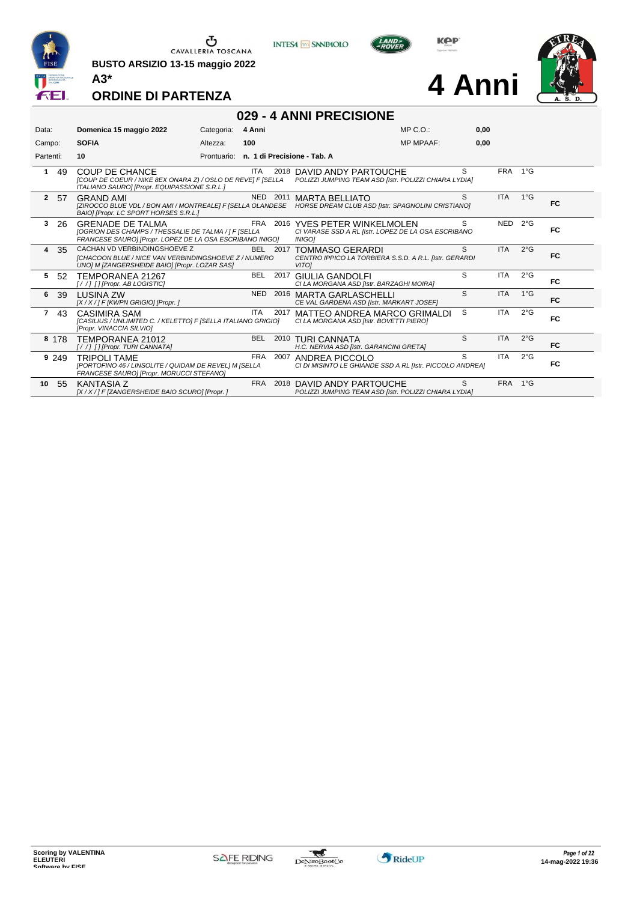

**BUSTO ARSIZIO 13-15 maggio 2022 A3\***



**KPP** 

**4 Anni**



#### **ORDINE DI PARTENZA**

# **029 - 4 ANNI PRECISIONE**

| Data:                | Domenica 15 maggio 2022                                                                                                                      | Categoria:  | 4 Anni                      | MP C. O.                                                                                                                              | 0,00 |            |               |           |
|----------------------|----------------------------------------------------------------------------------------------------------------------------------------------|-------------|-----------------------------|---------------------------------------------------------------------------------------------------------------------------------------|------|------------|---------------|-----------|
| Campo:               | <b>SOFIA</b>                                                                                                                                 | Altezza:    | 100                         | <b>MP MPAAF:</b>                                                                                                                      | 0.00 |            |               |           |
| Partenti:            | 10                                                                                                                                           | Prontuario: | n. 1 di Precisione - Tab. A |                                                                                                                                       |      |            |               |           |
| $\mathbf{1}$<br>49   | <b>COUP DE CHANCE</b><br>[COUP DE COEUR / NIKE 8EX ONARA Z) / OSLO DE REVE] F [SELLA<br>ITALIANO SAURO] [Propr. EQUIPASSIONE S.R.L.]         |             | ITA<br>2018                 | DAVID ANDY PARTOUCHE<br>POLIZZI JUMPING TEAM ASD [Istr. POLIZZI CHIARA LYDIA]                                                         | S    | FRA 1°G    |               |           |
| 2 57                 | <b>GRAND AMI</b><br>BAIO] [Propr. LC SPORT HORSES S.R.L.]                                                                                    |             | NED 2011                    | <b>MARTA BELLIATO</b><br>[ZIROCCO BLUE VDL / BON AMI / MONTREALE] F [SELLA OLANDESE HORSE DREAM CLUB ASD [Istr. SPAGNOLINI CRISTIANO] | S    | <b>ITA</b> | $1^{\circ}$ G | FC.       |
| 3<br>26              | <b>GRENADE DE TALMA</b><br>[OGRION DES CHAMPS / THESSALIE DE TALMA / ] F [SELLA<br>FRANCESE SAUROI [Propr. LOPEZ DE LA OSA ESCRIBANO INIGO]  |             | <b>FRA</b><br>2016          | YVES PETER WINKELMOLEN<br>CI VARASE SSD A RL [Istr. LOPEZ DE LA OSA ESCRIBANO<br><b>INIGO1</b>                                        | S    | NED        | $2^{\circ}$ G | FC.       |
| 4<br>-35             | CACHAN VD VERBINDINGSHOEVE Z<br><b>ICHACOON BLUE / NICE VAN VERBINDINGSHOEVE Z / NUMERO</b><br>UNO] M [ZANGERSHEIDE BAIO] [Propr. LOZAR SAS] |             | BEL 2017                    | TOMMASO GERARDI<br>CENTRO IPPICO LA TORBIERA S.S.D. A R.L. IIstr. GERARDI<br><b>VITO1</b>                                             | S    | <b>ITA</b> | $2^{\circ}$ G | FC        |
| 5<br>-52             | TEMPORANEA 21267<br>[//] [] [Propr. AB LOGISTIC]                                                                                             |             | BEL 2017                    | GIULIA GANDOLFI<br>CI LA MORGANA ASD [Istr. BARZAGHI MOIRA]                                                                           | S    | <b>ITA</b> | $2^{\circ}$ G | FC.       |
| 6<br>-39             | <b>I USINA ZW</b><br>[X / X / ] F [KWPN GRIGIO] [Propr. ]                                                                                    |             | <b>NED</b><br>2016          | MARTA GARLASCHELLI<br>CE VAL GARDENA ASD [Istr. MARKART JOSEF]                                                                        | S    | <b>ITA</b> | $1^{\circ}G$  | <b>FC</b> |
| 43<br>$\overline{7}$ | CASIMIRA SAM<br>[CASILIUS / UNLIMITED C. / KELETTO] F [SELLA ITALIANO GRIGIO]<br>[Propr. VINACCIA SILVIO]                                    |             | ITA<br>2017                 | MATTEO ANDREA MARCO GRIMALDI<br>CI LA MORGANA ASD [Istr. BOVETTI PIERO]                                                               | S    | <b>ITA</b> | $2^{\circ}$ G | FC.       |
| 8 178                | TEMPORANEA 21012<br>[//] [] [Propr. TURI CANNATA]                                                                                            |             | <b>BEL</b>                  | 2010 TURI CANNATA<br>H.C. NERVIA ASD [Istr. GARANCINI GRETA]                                                                          | S    | <b>ITA</b> | $2^{\circ}$ G | FC.       |
| 9 2 4 9              | <b>TRIPOLI TAME</b><br>[PORTOFINO 46 / LINSOLITE / QUIDAM DE REVEL] M [SELLA<br>FRANCESE SAUROI [Propr. MORUCCI STEFANO]                     |             | <b>FRA</b><br>2007          | ANDREA PICCOLO<br>CI DI MISINTO LE GHIANDE SSD A RL [Istr. PICCOLO ANDREA]                                                            | S.   | <b>ITA</b> | $2^{\circ}$ G | FC.       |
| 10<br>55             | <b>KANTASIA Z</b><br>[X / X / ] F [ZANGERSHEIDE BAIO SCURO] [Propr. ]                                                                        |             | <b>FRA</b>                  | 2018 DAVID ANDY PARTOUCHE<br>POLIZZI JUMPING TEAM ASD [Istr. POLIZZI CHIARA LYDIA]                                                    | S.   | <b>FRA</b> | $1^{\circ}G$  |           |

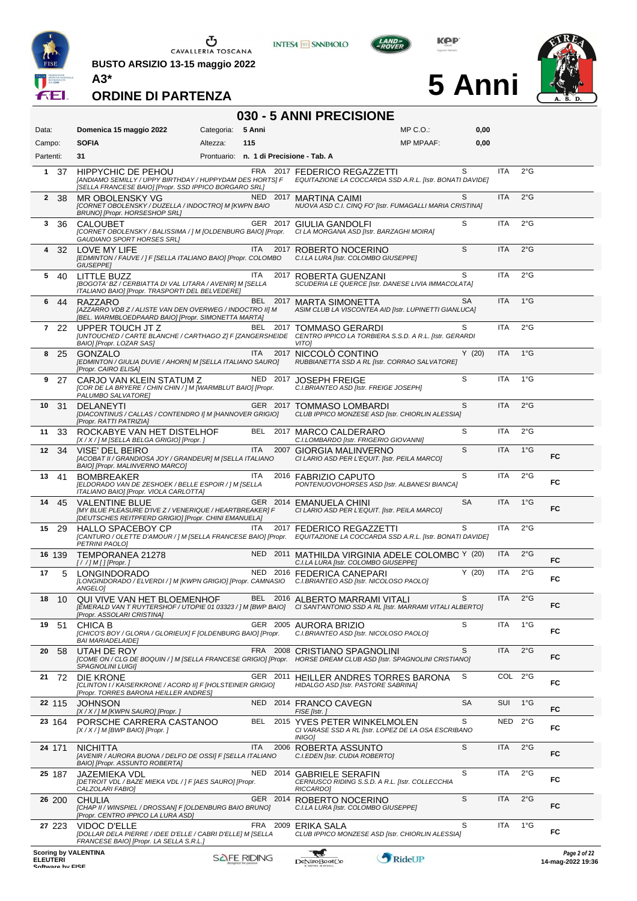

**BUSTO ARSIZIO 13-15 maggio 2022 A3\***





**5 Anni**



**ORDINE DI PARTENZA**

# **030 - 5 ANNI PRECISIONE**

| Data:                                                              | Domenica 15 maggio 2022                                                                                                                        | Categoria:                              | 5 Anni             |      | MP C.O.:                                                                                                                                                | 0,00      |            |               |                                   |
|--------------------------------------------------------------------|------------------------------------------------------------------------------------------------------------------------------------------------|-----------------------------------------|--------------------|------|---------------------------------------------------------------------------------------------------------------------------------------------------------|-----------|------------|---------------|-----------------------------------|
| Campo:                                                             | <b>SOFIA</b>                                                                                                                                   | Altezza:                                | 115                |      | <b>MP MPAAF:</b>                                                                                                                                        | 0,00      |            |               |                                   |
| Partenti:                                                          | 31                                                                                                                                             | Prontuario: n. 1 di Precisione - Tab. A |                    |      |                                                                                                                                                         |           |            |               |                                   |
| -37<br>1                                                           | <b>HIPPYCHIC DE PEHOU</b><br>[ANDIAMO SEMILLY / UPPY BIRTHDAY / HUPPYDAM DES HORTS] F<br>[SELLA FRANCESE BAIO] [Propr. SSD IPPICO BORGARO SRL] |                                         |                    |      | FRA 2017 FEDERICO REGAZZETTI<br>EQUITAZIONE LA COCCARDA SSD A.R.L. [Istr. BONATI DAVIDE]                                                                | S         | ITA        | $2^{\circ}$ G |                                   |
| $\mathbf{2}$<br>- 38                                               | MR OBOLENSKY VG<br>[CORNET OBOLENSKY / DUZELLA / INDOCTRO] M [KWPN BAIO<br>BRUNO] [Propr. HORSESHOP SRL]                                       |                                         |                    |      | NED 2017 MARTINA CAIMI<br>NUOVA ASD C.I. CINQ FO' [Istr. FUMAGALLI MARIA CRISTINA]                                                                      | S         | <b>ITA</b> | $2^{\circ}$ G |                                   |
| 3<br>36                                                            | <b>CALOUBET</b><br>[CORNET OBOLENSKY / BALISSIMA / ] M [OLDENBURG BAIO] [Propr.<br><b>GAUDIANO SPORT HORSES SRLI</b>                           |                                         |                    |      | GER 2017 GIULIA GANDOLFI<br>CI LA MORGANA ASD [Istr. BARZAGHI MOIRA]                                                                                    | S         | <b>ITA</b> | $2^{\circ}$ G |                                   |
| 32<br>4                                                            | LOVE MY LIFE<br>[EDMINTON / FAUVE / ] F [SELLA ITALIANO BAIO] [Propr. COLOMBO<br><b>GIUSEPPE</b>                                               |                                         | ITA                |      | 2017 ROBERTO NOCERINO<br>C.I.LA LURA [Istr. COLOMBO GIUSEPPE]                                                                                           | S         | <b>ITA</b> | $2^{\circ}$ G |                                   |
| 5<br>40                                                            | <b>LITTLE BUZZ</b><br>[BOGOTA' BZ / CERBIATTA DI VAL LITARA / AVENIR] M [SELLA<br>ITALIANO BAIO] [Propr. TRASPORTI DEL BELVEDERE]              |                                         | ITA                |      | 2017 ROBERTA GUENZANI<br>SCUDERIA LE QUERCE [Istr. DANESE LIVIA IMMACOLATA]                                                                             | S         | <b>ITA</b> | $2^{\circ}$ G |                                   |
| 6<br>44                                                            | RAZZARO<br>[AZZARRO VDB Z / ALISTE VAN DEN OVERWEG / INDOCTRO II] M<br>[BEL. WARMBLOEDPAARD BAIO] [Propr. SIMONETTA MARTA]                     |                                         |                    |      | BEL 2017 MARTA SIMONETTA<br>ASIM CLUB LA VISCONTEA AID [Istr. LUPINETTI GIANLUCA]                                                                       | <b>SA</b> | <b>ITA</b> | $1^{\circ}$ G |                                   |
| 7 22                                                               | UPPER TOUCH JT Z<br>[UNTOUCHED / CARTE BLANCHE / CARTHAGO Z] F [ZANGERSHEIDE<br>BAIO] [Propr. LOZAR SAS]                                       |                                         | BEL.               | 2017 | TOMMASO GERARDI<br>CENTRO IPPICO LA TORBIERA S.S.D. A R.L. [Istr. GERARDI<br><b>VITOI</b>                                                               | S         | <b>ITA</b> | $2^{\circ}$ G |                                   |
| 8<br>25                                                            | <b>GONZALO</b><br>[EDMINTON / GIULIA DUVIE / AHORN] M [SELLA ITALIANO SAURO]<br>[Propr. CAIRO ELISA]                                           |                                         | <b>ITA</b>         |      | 2017 NICCOLÓ CONTINO<br>RUBBIANETTA SSD A RL [Istr. CORRAO SALVATORE]                                                                                   | Y(20)     | <b>ITA</b> | $1^{\circ}$ G |                                   |
| 9<br>27                                                            | CARJO VAN KLEIN STATUM Z<br>[COR DE LA BRYERE / CHIN CHIN / ] M [WARMBLUT BAIO] [Propr.<br>PALUMBO SALVATORE]                                  |                                         | NED 2017           |      | <b>JOSEPH FREIGE</b><br>C.I.BRIANTEO ASD [Istr. FREIGE JOSEPH]                                                                                          | S         | <b>ITA</b> | $1^{\circ}G$  |                                   |
| 31<br>10                                                           | <b>DELANEYTI</b><br>[DIACONTINUS / CALLAS / CONTENDRO I] M [HANNOVER GRIGIO]<br>[Propr. RATTI PATRIZIA]                                        |                                         |                    |      | GER 2017 TOMMASO LOMBARDI<br>CLUB IPPICO MONZESE ASD [Istr. CHIORLIN ALESSIA]                                                                           | S         | <b>ITA</b> | 2°G           |                                   |
| 33<br>11                                                           | ROCKABYE VAN HET DISTELHOF<br>[X / X / ] M [SELLA BELGA GRIGIO] [Propr. ]                                                                      |                                         |                    |      | BEL 2017 MARCO CALDERARO<br>C.I.LOMBARDO [Istr. FRIGERIO GIOVANNI]                                                                                      | S         | <b>ITA</b> | $2^{\circ}$ G |                                   |
| 12<br>34                                                           | VISE' DEL BEIRO<br>[ACOBAT II / GRANDIOSA JOY / GRANDEUR] M [SELLA ITALIANO<br>BAIO] [Propr. MALINVERNO MARCO]                                 |                                         | <b>ITA</b>         | 2007 | <b>GIORGIA MALINVERNO</b><br>CI LARIO ASD PER L'EQUIT. [Istr. PEILA MARCO]                                                                              | S         | <b>ITA</b> | $1^{\circ}$ G | FC                                |
| 13<br>41                                                           | <b>BOMBREAKER</b><br>[ELDORADO VAN DE ZESHOEK / BELLE ESPOIR / ] M [SELLA<br>ITALIANO BAIO] [Propr. VIOLA CARLOTTA]                            |                                         | ITA                |      | 2016 FABRIZIO CAPUTO<br>PONTENUOVOHORSES ASD [Istr. ALBANESI BIANCA]                                                                                    | S         | <b>ITA</b> | $2^{\circ}$ G | FC                                |
| 14<br>45                                                           | <b>VALENTINE BLUE</b><br>[MY BLUE PLEASURE D'IVE Z / VENERIQUE / HEARTBREAKER] F<br>[DEUTSCHES REITPFERD GRIGIO] [Propr. CHINI EMANUELA]       |                                         |                    |      | GER 2014 EMANUELA CHINI<br>CI LARIO ASD PER L'EQUIT. [Istr. PEILA MARCO]                                                                                | <b>SA</b> | <b>ITA</b> | $1^{\circ}$ G | FC.                               |
| 15<br>-29                                                          | <b>HALLO SPACEBOY CP</b><br><b>PETRINI PAOLO]</b>                                                                                              |                                         | ITA.               |      | 2017 FEDERICO REGAZZETTI<br>[CANTURO / OLETTE D'AMOUR / ] M [SELLA FRANCESE BAIO] [Propr. EQUITAZIONE LA COCCARDA SSD A.R.L. [Istr. BONATI DAVIDE]      | S         | <b>ITA</b> | $2^{\circ}$ G |                                   |
| 16 139                                                             | TEMPORANEA 21278<br>$[!/]/M$ [][Propr.]                                                                                                        |                                         |                    |      | NED 2011 MATHILDA VIRGINIA ADELE COLOMBC Y (20)<br>C.I.LA LURA [Istr. COLOMBO GIUSEPPE]                                                                 |           | <b>ITA</b> | $2^{\circ}$ G | FC                                |
| 17<br>5                                                            | <b>LONGINDORADO</b><br>[LONGINDORADO / ELVERDI / ] M [KWPN GRIGIO] [Propr. CAMNASIO<br>ANGELO]                                                 |                                         |                    |      | NED 2016 FEDERICA CANEPARI<br>C.I.BRIANTEO ASD [Istr. NICOLOSO PAOLO]                                                                                   | Y(20)     | <b>ITA</b> | $2^{\circ}$ G | FC                                |
| 18<br>10                                                           | QUI VIVE VAN HET BLOEMENHOF<br>[Propr. ASSOLARI CRISTINA]                                                                                      |                                         |                    |      | BEL 2016 ALBERTO MARRAMI VITALI<br>[EMERALD VAN T RUYTERSHOF / UTOPIE 01 03323 / ] M [BWP BAIO] CI SANT'ANTONIO SSD A RL [Istr. MARRAMI VITALI ALBERTO] | S         | <b>ITA</b> | $2^{\circ}$ G | FC                                |
| 51<br>19                                                           | CHICA B<br>[CHICO'S BOY / GLORIA / GLORIEUX] F [OLDENBURG BAIO] [Propr.<br><b>BAI MARIADELAIDE]</b>                                            |                                         | GER 2005           |      | AURORA BRIZIO<br>C.I.BRIANTEO ASD [Istr. NICOLOSO PAOLO]                                                                                                | S         | ITA        | $1^{\circ}$ G | FC                                |
| 20<br>58                                                           | UTAH DE ROY<br>[COME ON / CLG DE BOQUIN / ] M [SELLA FRANCESE GRIGIO] [Propr.<br><b>SPAGNOLINI LUIGII</b>                                      |                                         | FRA 2008           |      | CRISTIANO SPAGNOLINI<br>HORSE DREAM CLUB ASD [Istr. SPAGNOLINI CRISTIANO]                                                                               | S         | <b>ITA</b> | $2^{\circ}$ G | FC                                |
| 21<br>72                                                           | DIE KRONE<br>[CLINTON I / KAISERKRONE / ACORD II] F [HOLSTEINER GRIGIO]<br>[Propr. TORRES BARONA HEILLER ANDRES]                               |                                         | GER 2011           |      | HEILLER ANDRES TORRES BARONA<br>HIDALGO ASD [Istr. PASTORE SABRINA]                                                                                     | S         | COL        | $2^{\circ}$ G | FC                                |
| 22 115                                                             | <b>JOHNSON</b><br>[X / X / ] M [KWPN SAURO] [Propr. ]                                                                                          |                                         |                    |      | NED 2014 FRANCO CAVEGN<br>FISE [Istr.]                                                                                                                  | <b>SA</b> | SUI        | $1^{\circ}G$  | FC                                |
| 23 164                                                             | PORSCHE CARRERA CASTANOO<br>$[X/X]/M$ [BWP BAIO] [Propr.]                                                                                      |                                         | BEL                |      | 2015 YVES PETER WINKELMOLEN<br>CI VARASE SSD A RL [Istr. LOPEZ DE LA OSA ESCRIBANO<br><i><b>INIGO]</b></i>                                              | S         | NED        | $2^{\circ}$ G | FC                                |
| 24 171                                                             | <b>NICHITTA</b><br>[AVENIR / AURORA BUONA / DELFO DE OSSI] F [SELLA ITALIANO<br>BAIO] [Propr. ASSUNTO ROBERTA]                                 |                                         | <b>ITA</b>         | 2006 | ROBERTA ASSUNTO<br>C.I.EDEN [Istr. CUDIA ROBERTO]                                                                                                       | S         | <b>ITA</b> | 2°G           | FC                                |
| 25 187                                                             | JAZEMIEKA VDL<br>[DETROIT VDL / BAZE MIEKA VDL / ] F [AES SAURO] [Propr.<br>CALZOLARI FABIO]                                                   |                                         | NED                | 2014 | <b>GABRIELE SERAFIN</b><br>CERNUSCO RIDING S.S.D. A R.L. [Istr. COLLECCHIA<br>RICCARDO]                                                                 | S         | ITA        | $2^{\circ}$ G | FC                                |
| 26 200                                                             | <b>CHULIA</b><br>[CHAP II / WINSPIEL / DROSSAN] F [OLDENBURG BAIO BRUNO]<br>[Propr. CENTRO IPPICO LA LURA ASD]                                 |                                         | GER 2014           |      | ROBERTO NOCERINO<br>C.I.LA LURA [Istr. COLOMBO GIUSEPPE]                                                                                                | S         | <b>ITA</b> | 2°G           | FC                                |
| 27 223                                                             | VIDOC D'ELLE<br>[DOLLAR DELA PIERRE / IDEE D'ELLE / CABRI D'ELLE] M [SELLA<br>FRANCESE BAIO] [Propr. LA SELLA S.R.L.]                          |                                         | FRA                | 2009 | ERIKA SALA<br>CLUB IPPICO MONZESE ASD [Istr. CHIORLIN ALESSIA]                                                                                          | S         | ITA        | $1^{\circ}$ G | FC                                |
| <b>Scoring by VALENTINA</b><br><b>ELEUTERI</b><br>Coffware by EICE |                                                                                                                                                |                                         | <b>SAFE RIDING</b> |      | RideUP<br><b>DeNiroBootCo</b>                                                                                                                           |           |            |               | Page 2 of 22<br>14-mag-2022 19:36 |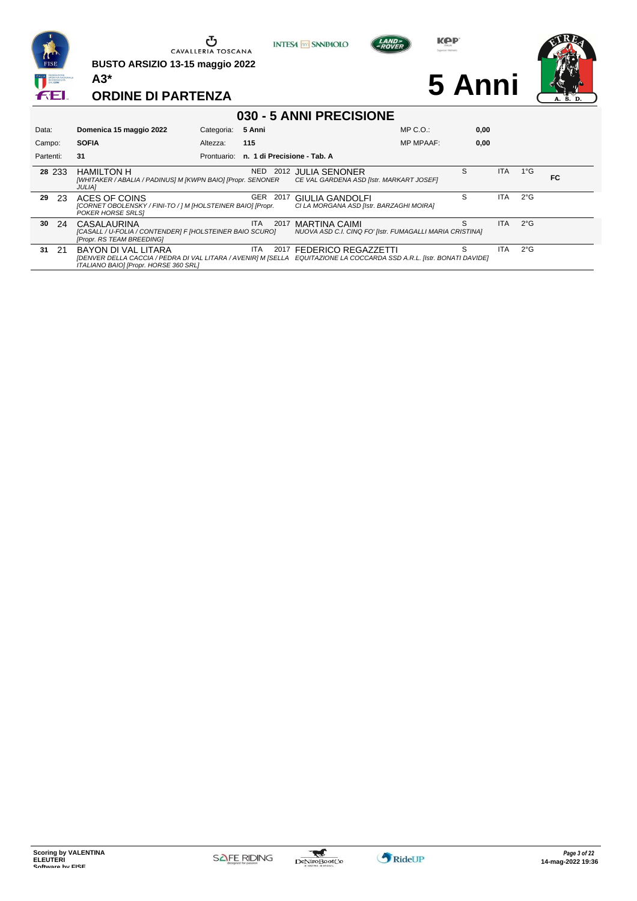

**BUSTO ARSIZIO 13-15 maggio 2022 A3\***





**5 Anni**



| 030 - 5 ANNI PRECISIONE |                                                                                                                                                                                        |             |                             |                                                                           |                  |      |            |               |    |  |  |
|-------------------------|----------------------------------------------------------------------------------------------------------------------------------------------------------------------------------------|-------------|-----------------------------|---------------------------------------------------------------------------|------------------|------|------------|---------------|----|--|--|
| Data:                   | Domenica 15 maggio 2022                                                                                                                                                                | Categoria:  | 5 Anni                      |                                                                           | MP C. O.         | 0,00 |            |               |    |  |  |
| Campo:                  | <b>SOFIA</b>                                                                                                                                                                           | Altezza:    | 115                         |                                                                           | <b>MP MPAAF:</b> | 0,00 |            |               |    |  |  |
| Partenti:               | 31                                                                                                                                                                                     | Prontuario: | n. 1 di Precisione - Tab. A |                                                                           |                  |      |            |               |    |  |  |
| 28 233                  | <b>HAMILTON H</b><br>[WHITAKER / ABALIA / PADINUS] M [KWPN BAIO] [Propr. SENONER<br><b>JULIAI</b>                                                                                      |             | NED.<br>2012                | <b>JULIA SENONER</b><br>CE VAL GARDENA ASD [Istr. MARKART JOSEF]          |                  | S    | <b>ITA</b> | $1^{\circ}$ G | FC |  |  |
| 29<br>-23               | ACES OF COINS<br>[CORNET OBOLENSKY / FINI-TO / ] M [HOLSTEINER BAIO] [Propr.<br>POKER HORSE SRLSI                                                                                      |             | GER<br>-2017                | <b>GIULIA GANDOLFI</b><br>CI LA MORGANA ASD [Istr. BARZAGHI MOIRA]        |                  | S    | <b>ITA</b> | $2^{\circ}$ G |    |  |  |
| 30<br>-24               | CASALAURINA<br>[CASALL / U-FOLIA / CONTENDER] F [HOLSTEINER BAIO SCURO]<br>[Propr. RS TEAM BREEDING]                                                                                   |             | ITA.<br>2017                | MARTINA CAIMI<br>NUOVA ASD C.I. CINQ FO' [Istr. FUMAGALLI MARIA CRISTINA] |                  | S    | <b>ITA</b> | $2^{\circ}$ G |    |  |  |
| 31<br>- 21              | BAYON DI VAL LITARA<br>[DENVER DELLA CACCIA / PEDRA DI VAL LITARA / AVENIR] M [SELLA EQUITAZIONE LA COCCARDA SSD A.R.L. [Istr. BONATI DAVIDE]<br>ITALIANO BAIO] [Propr. HORSE 360 SRL] |             | ITA.                        | 2017 FEDERICO REGAZZETTI                                                  |                  | S    | <b>ITA</b> | $2^{\circ}$ G |    |  |  |



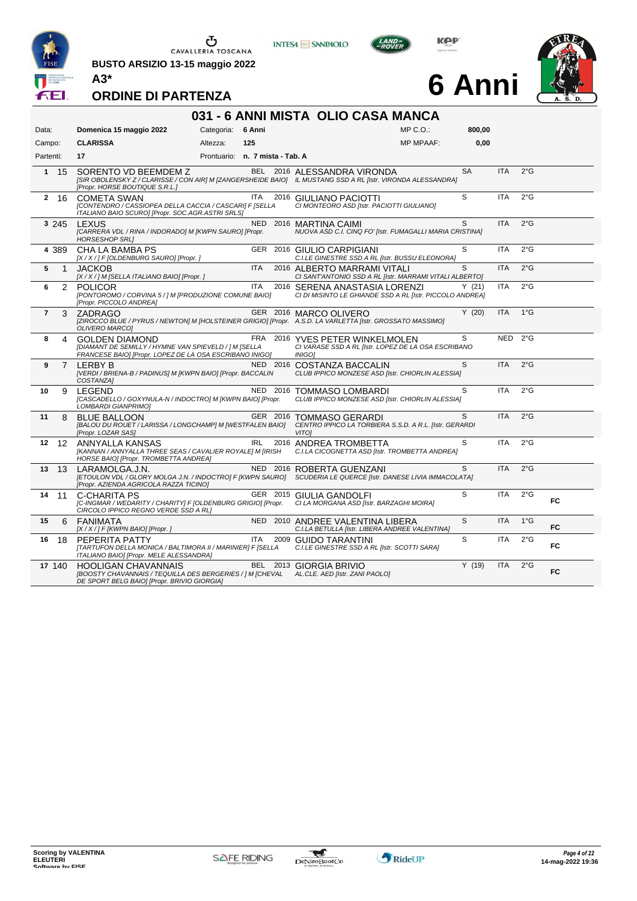

**BUSTO ARSIZIO 13-15 maggio 2022 A3\***





**6 Anni**



|                | 031 - 6 ANNI MISTA OLIO CASA MANCA |                                                                                                                                                                       |                                 |            |      |                                                                                                                                            |                  |           |            |               |     |  |
|----------------|------------------------------------|-----------------------------------------------------------------------------------------------------------------------------------------------------------------------|---------------------------------|------------|------|--------------------------------------------------------------------------------------------------------------------------------------------|------------------|-----------|------------|---------------|-----|--|
| Data:          |                                    | Domenica 15 maggio 2022                                                                                                                                               | Categoria: 6 Anni               |            |      |                                                                                                                                            | $MP C. O.$ :     | 800,00    |            |               |     |  |
| Campo:         |                                    | <b>CLARISSA</b>                                                                                                                                                       | Altezza:                        | 125        |      |                                                                                                                                            | <b>MP MPAAF:</b> | 0,00      |            |               |     |  |
| Partenti:      |                                    | 17                                                                                                                                                                    | Prontuario: n. 7 mista - Tab. A |            |      |                                                                                                                                            |                  |           |            |               |     |  |
|                | 1 15                               | SORENTO VD BEEMDEM Z<br>[Propr. HORSE BOUTIQUE S.R.L.]                                                                                                                |                                 |            |      | BEL 2016 ALESSANDRA VIRONDA<br>[SIR OBOLENSKY Z / CLARISSE / CON AIR] M [ZANGERSHEIDE BAIO] IL MUSTANG SSD A RL [Istr. VIRONDA ALESSANDRA] |                  | <b>SA</b> | <b>ITA</b> | $2^{\circ}$ G |     |  |
|                | 2 16                               | COMETA SWAN<br>[CONTENDRO / CASSIOPEA DELLA CACCIA / CASCARI] F [SELLA<br>ITALIANO BAIO SCUROI [Propr. SOC.AGR.ASTRI SRLS]                                            |                                 | <b>ITA</b> |      | 2016 GIULIANO PACIOTTI<br>CI MONTEORO ASD [Istr. PACIOTTI GIULIANO]                                                                        |                  | S         | <b>ITA</b> | $2^{\circ}$ G |     |  |
|                | 3 245                              | LEXUS<br>[CARRERA VDL / RINA / INDORADO] M [KWPN SAURO] [Propr.<br><b>HORSESHOP SRLI</b>                                                                              |                                 |            |      | NED 2016 MARTINA CAIMI<br>NUOVA ASD C.I. CINQ FO' [Istr. FUMAGALLI MARIA CRISTINA]                                                         |                  | S         | <b>ITA</b> | $2^{\circ}$ G |     |  |
|                | 4 389                              | CHA LA BAMBA PS<br>[X / X / ] F [OLDENBURG SAURO] [Propr. ]                                                                                                           |                                 |            |      | GER 2016 GIULIO CARPIGIANI<br>C.I.LE GINESTRE SSD A RL [Istr. BUSSU ELEONORA]                                                              |                  | S         | <b>ITA</b> | $2^{\circ}$ G |     |  |
| 5              | 1                                  | <b>JACKOB</b><br>[X / X / ] M [SELLA ITALIANO BAIO] [Propr. ]                                                                                                         |                                 | <b>ITA</b> |      | 2016 ALBERTO MARRAMI VITALI<br>CI SANT'ANTONIO SSD A RL [Istr. MARRAMI VITALI ALBERTO]                                                     |                  | S         | <b>ITA</b> | $2^{\circ}$ G |     |  |
| 6              | 2                                  | <b>POLICOR</b><br>[PONTOROMO / CORVINA 5 / ] M [PRODUZIONE COMUNE BAIO]<br>[Propr. PICCOLO ANDREA]                                                                    |                                 | <b>ITA</b> |      | 2016 SERENA ANASTASIA LORENZI<br>CI DI MISINTO LE GHIANDE SSD A RL [Istr. PICCOLO ANDREA]                                                  |                  | Y(21)     | <b>ITA</b> | $2^{\circ}$ G |     |  |
| $\overline{7}$ | 3                                  | ZADRAGO<br><b>OLIVERO MARCOI</b>                                                                                                                                      |                                 |            |      | GER 2016 MARCO OLIVERO<br>[ZIROCCO BLUE / PYRUS / NEWTON] M [HOLSTEINER GRIGIO] [Propr. A.S.D. LA VARLETTA [Istr. GROSSATO MASSIMO]        |                  | Y(20)     | <b>ITA</b> | $1^{\circ}$ G |     |  |
| 8              | 4                                  | <b>GOLDEN DIAMOND</b><br>[DIAMANT DE SEMILLY / HYMNE VAN SPIEVELD / ] M [SELLA<br>FRANCESE BAIO] [Propr. LOPEZ DE LA OSA ESCRIBANO INIGO]                             |                                 |            |      | FRA 2016 YVES PETER WINKELMOLEN<br>CI VARASE SSD A RL [Istr. LOPEZ DE LA OSA ESCRIBANO<br><b>INIGO1</b>                                    |                  | S         | <b>NED</b> | $2^{\circ}$ G |     |  |
| 9              | 7                                  | LERBY B<br>[VERDI / BRIENA-B / PADINUS] M [KWPN BAIO] [Propr. BACCALIN<br>COSTANZA1                                                                                   |                                 | NED 2016   |      | COSTANZA BACCALIN<br>CLUB IPPICO MONZESE ASD [Istr. CHIORLIN ALESSIA]                                                                      |                  | S         | <b>ITA</b> | $2^{\circ}$ G |     |  |
| 10             | 9                                  | <b>LEGEND</b><br>[CASCADELLO / GOXYNULA-N / INDOCTRO] M [KWPN BAIO] [Propr.<br>LOMBARDI GIANPRIMO]                                                                    |                                 | NED 2016   |      | TOMMASO LOMBARDI<br>CLUB IPPICO MONZESE ASD [Istr. CHIORLIN ALESSIA]                                                                       |                  | S         | <b>ITA</b> | $2^{\circ}$ G |     |  |
| 11             | 8                                  | <b>BLUE BALLOON</b><br>[BALOU DU ROUET / LARISSA / LONGCHAMP] M [WESTFALEN BAIO]<br>[Propr. LOZAR SAS]                                                                |                                 | GER 2016   |      | <b>TOMMASO GERARDI</b><br>CENTRO IPPICO LA TORBIERA S.S.D. A R.L. [Istr. GERARDI<br><b>VITO1</b>                                           |                  | S         | <b>ITA</b> | $2^{\circ}$ G |     |  |
| $12 \,$        | 12                                 | ANNYALLA KANSAS<br>[KANNAN / ANNYALLA THREE SEAS / CAVALIER ROYALE] M [IRISH<br>HORSE BAIO] [Propr. TROMBETTA ANDREA]                                                 |                                 | <b>IRL</b> |      | 2016 ANDREA TROMBETTA<br>C.I.LA CICOGNETTA ASD [Istr. TROMBETTA ANDREA]                                                                    |                  | S         | <b>ITA</b> | $2^{\circ}$ G |     |  |
| 13             | 13                                 | LARAMOLGA.J.N.<br>[Propr. AZIENDA AGRICOLA RAZZA TICINO]                                                                                                              |                                 |            |      | NED 2016 ROBERTA GUENZANI<br>[ETOULON VDL / GLORY MOLGA J.N. / INDOCTRO] F [KWPN SAURO] SCUDERIA LE QUERCE [Istr. DANESE LIVIA IMMACOLATA] |                  | S         | <b>ITA</b> | $2^{\circ}$ G |     |  |
| 14             | 11                                 | <b>C-CHARITA PS</b><br>[C-INGMAR / WEDARITY / CHARITY] F [OLDENBURG GRIGIO] [Propr.<br>CIRCOLO IPPICO REGNO VERDE SSD A RLI                                           |                                 |            |      | GER 2015 GIULIA GANDOLFI<br>CI LA MORGANA ASD [Istr. BARZAGHI MOIRA]                                                                       |                  | S         | <b>ITA</b> | $2^{\circ}$ G | FC  |  |
| 15             | 6                                  | FANIMATA<br>$[X/X]/F$ [KWPN BAIO] [Propr.]                                                                                                                            |                                 |            |      | NED 2010 ANDREE VALENTINA LIBERA<br>C.I.LA BETULLA [Istr. LIBERA ANDREE VALENTINA]                                                         |                  | S         | <b>ITA</b> | $1^{\circ}$ G | FC. |  |
| 16             | 18                                 | PEPERITA PATTY<br>[TARTUFON DELLA MONICA / BALTIMORA II / MARINIER] F [SELLA<br>ITALIANO BAIO] [Propr. MELE ALESSANDRA]                                               |                                 | ITA        | 2009 | <b>GUIDO TARANTINI</b><br>C.I.LE GINESTRE SSD A RL [Istr. SCOTTI SARA]                                                                     |                  | S         | ITA        | 2°G           | FC  |  |
|                | 17 140                             | <b>HOOLIGAN CHAVANNAIS</b><br>[BOOSTY CHAVANNAIS / TEQUILLA DES BERGERIES / ] M [CHEVAL AL.CLE. AED [Istr. ZANI PAOLO]<br>DE SPORT BELG BAIO] [Propr. BRIVIO GIORGIA] |                                 |            |      | BEL 2013 GIORGIA BRIVIO                                                                                                                    |                  | Y(19)     | <b>ITA</b> | $2^{\circ}$ G | FC. |  |

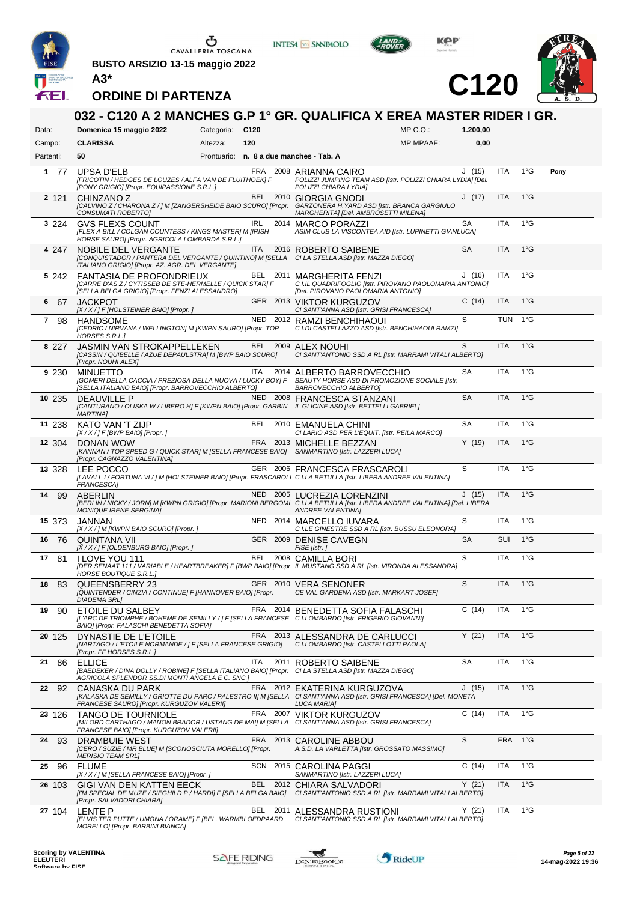

**BUSTO ARSIZIO 13-15 maggio 2022 A3\***



**INTESA M** SANPAOLO



**C120**



|                     | 032 - C120 A 2 MANCHES G.P 1° GR. QUALIFICA X EREA MASTER RIDER I GR.                                                                                                               |                 |            |          |                                                                                                                            |                                  |           |            |               |      |
|---------------------|-------------------------------------------------------------------------------------------------------------------------------------------------------------------------------------|-----------------|------------|----------|----------------------------------------------------------------------------------------------------------------------------|----------------------------------|-----------|------------|---------------|------|
| Data:               | Domenica 15 maggio 2022                                                                                                                                                             | Categoria: C120 |            |          |                                                                                                                            | $MP C. O.$ :<br><b>MP MPAAF:</b> | 1.200,00  |            |               |      |
| Campo:<br>Partenti: | <b>CLARISSA</b><br>50                                                                                                                                                               | Altezza:        | 120        |          | Prontuario: n. 8 a due manches - Tab. A                                                                                    |                                  | 0,00      |            |               |      |
| 177                 | UPSA D'ELB<br>[FRICOTIN / HEDGES DE LOUZES / ALFA VAN DE FLUITHOEK] F<br>[PONY GRIGIO] [Propr. EQUIPASSIONE S.R.L.]                                                                 |                 |            |          | FRA 2008 ARIANNA CAIRO<br>POLIZZI JUMPING TEAM ASD [Istr. POLIZZI CHIARA LYDIA] [Del.<br>POLIZZI CHIARA LYDIA]             |                                  | J(15)     | <b>ITA</b> | $1^{\circ}$ G | Pony |
| 2 1 2 1             | CHINZANO Z<br>[CALVINO Z / CHARONA Z / ] M [ZANGERSHEIDE BAIO SCURO] [Propr. GARZONERA H.YARD ASD [Istr. BRANCA GARGIULO<br>CONSUMATI ROBERTO]                                      |                 |            | BEL 2010 | <b>GIORGIA GNODI</b><br>MARGHERITA] [Del. AMBROSETTI MILENA]                                                               |                                  | J(17)     | <b>ITA</b> | $1^{\circ}$ G |      |
| 3 2 2 4             | <b>GVS FLEXS COUNT</b><br>[FLEX A BILL / COLGAN COUNTESS / KINGS MASTER] M [IRISH<br>HORSE SAURO] [Propr. AGRICOLA LOMBARDA S.R.L.]                                                 |                 | IRL        | 2014     | MARCO PORAZZI<br>ASIM CLUB LA VISCONTEA AID [Istr. LUPINETTI GIANLUCA]                                                     |                                  | SA        | <b>ITA</b> | $1^{\circ}$ G |      |
| 4 247               | NOBILE DEL VERGANTE<br>[CONQUISTADOR / PANTERA DEL VERGANTE / QUINTINO] M [SELLA CI LA STELLA ASD [Istr. MAZZA DIEGO]<br>ITALIANO GRIGIO] [Propr. AZ. AGR. DEL VERGANTE]            |                 | ITA.       |          | 2016 ROBERTO SAIBENE                                                                                                       |                                  | <b>SA</b> | <b>ITA</b> | $1^{\circ}$ G |      |
| 5 242               | <b>FANTASIA DE PROFONDRIEUX</b><br>[CARRE D'AS Z / CYTISSEB DE STE-HERMELLE / QUICK STAR] F<br>[SELLA BELGA GRIGIO] [Propr. FENZI ALESSANDRO]                                       |                 |            |          | BEL 2011 MARGHERITA FENZI<br>C.I.IL QUADRIFOGLIO [Istr. PIROVANO PAOLOMARIA ANTONIO]<br>[Del. PIROVANO PAOLOMARIA ANTONIO] |                                  | J(16)     | <b>ITA</b> | $1^{\circ}$ G |      |
| 6 67                | <b>JACKPOT</b><br>$[X/X$ / ] F [HOLSTEINER BAIO] [Propr. ]                                                                                                                          |                 |            |          | GER 2013 VIKTOR KURGUZOV<br>CI SANT'ANNA ASD [Istr. GRISI FRANCESCA]                                                       |                                  | C(14)     | <b>ITA</b> | $1^{\circ}$ G |      |
| 7<br>98             | HANDSOME<br>[CEDRIC / NIRVANA / WELLINGTON] M [KWPN SAURO] [Propr. TOP<br>HORSES S.R.L.]                                                                                            |                 |            |          | NED 2012 RAMZI BENCHIHAOUI<br>C.I.DI CASTELLAZZO ASD [Istr. BENCHIHAOUI RAMZI]                                             |                                  | S         | <b>TUN</b> | 1°G           |      |
| 8 2 2 7             | JASMIN VAN STROKAPPELLEKEN<br>[CASSIN / QUIBELLE / AZUE DEPAULSTRA] M [BWP BAIO SCURO]<br>[Propr. NOUHI ALEX]                                                                       |                 |            |          | BEL 2009 ALEX NOUHI<br>CI SANT'ANTONIO SSD A RL [Istr. MARRAMI VITALI ALBERTO]                                             |                                  | S         | <b>ITA</b> | $1^{\circ}$ G |      |
| 9 2 3 0             | <b>MINUETTO</b><br>[GOMERI DELLA CACCIA / PREZIOSA DELLA NUOVA / LUCKY BOY] F BEAUTY HORSE ASD DI PROMOZIONE SOCIALE [Istr.<br>[SELLA ITALIANO BAIO] [Propr. BARROVECCHIO ALBERTO]  |                 | ITA        |          | 2014 ALBERTO BARROVECCHIO<br>BARROVECCHIO ALBERTOJ                                                                         |                                  | SА        | <b>ITA</b> | $1^{\circ}$ G |      |
| 10 235              | <b>DEAUVILLE P</b><br>[CANTURANO / OLISKA W / LIBERO H] F [KWPN BAIO] [Propr. GARBIN IL GLICINE ASD [Istr. BETTELLI GABRIEL]<br><b>MARTINAI</b>                                     |                 |            |          | NED 2008 FRANCESCA STANZANI                                                                                                |                                  | <b>SA</b> | <b>ITA</b> | $1^{\circ}$ G |      |
| 11 238              | KATO VAN 'T ZIJP<br>$[X/X$ / ] F [BWP BAIO] [Propr. ]                                                                                                                               |                 | BEL        |          | 2010 EMANUELA CHINI<br>CI LARIO ASD PER L'EQUIT. [Istr. PEILA MARCO]                                                       |                                  | <b>SA</b> | <b>ITA</b> | $1^{\circ}$ G |      |
| 12 304              | DONAN WOW<br>[KANNAN / TOP SPEED G / QUICK STAR] M [SELLA FRANCESE BAIO] SANMARTINO [Istr. LAZZERI LUCA]<br>[Propr. CAGNAZZO VALENTINA]                                             |                 |            |          | FRA 2013 MICHELLE BEZZAN                                                                                                   |                                  | Y(19)     | <b>ITA</b> | $1^{\circ}$ G |      |
| 13 328              | LEE POCCO<br>[LAVALL I / FORTUNA VI / ] M [HOLSTEINER BAIO] [Propr. FRASCAROLI C.I.LA BETULLA [Istr. LIBERA ANDREE VALENTINA]<br>FRANCESCA]                                         |                 |            |          | GER 2006 FRANCESCA FRASCAROLI                                                                                              |                                  | S         | <b>ITA</b> | $1^{\circ}$ G |      |
| 14<br>-99           | ABERLIN<br>[BERLIN / NICKY / JORN] M [KWPN GRIGIO] [Propr. MARIONI BERGOMI C.I.LA BETULLA [Istr. LIBERA ANDREE VALENTINA] [Del. LIBERA<br><b>MONIQUE IRENE SERGINA]</b>             |                 |            |          | NED 2005 LUCREZIA LORENZINI<br><b>ANDREE VALENTINAI</b>                                                                    |                                  | J(15)     | <b>ITA</b> | $1^{\circ}$ G |      |
| 15 373              | JANNAN<br>[X / X / ] M [KWPN BAIO SCURO] [Propr. ]                                                                                                                                  |                 |            |          | NED 2014 MARCELLO IUVARA<br>C.I.LE GINESTRE SSD A RL [Istr. BUSSU ELEONORA]                                                |                                  | S         | <b>ITA</b> | $1^{\circ}$ G |      |
| 16 76               | QUINTANA VII<br>[X / X / ] F [OLDENBURG BAIO] [Propr. ]                                                                                                                             |                 |            |          | GER 2009 DENISE CAVEGN<br>FISE [Istr.]                                                                                     |                                  | SA        | SUI        | $1^{\circ}$ G |      |
| 17 81               | <b>I LOVE YOU 111</b><br>[DER SENAAT 111 / VARIABLE / HEARTBREAKER] F [BWP BAIO] [Propr. IL MUSTANG SSD A RL [Istr. VIRONDA ALESSANDRA]<br><b>HORSE BOUTIQUE S.R.L.1</b>            |                 | BEL        |          | 2008 CAMILLA BORI                                                                                                          |                                  | S         | <b>ITA</b> | $1^{\circ}$ G |      |
| 18 83               | QUEENSBERRY 23<br>[QUINTENDER / CINZIA / CONTINUE] F [HANNOVER BAIO] [Propr.<br><b>DIADEMA SRL]</b>                                                                                 |                 |            |          | GER 2010 VERA SENONER<br>CE VAL GARDENA ASD [Istr. MARKART JOSEF]                                                          |                                  | S         | <b>ITA</b> | $1^{\circ}G$  |      |
| 19<br>90            | ETOILE DU SALBEY<br>[L'ARC DE TRIOMPHE / BOHEME DE SEMILLY / ] F [SELLA FRANCESE C.I.LOMBARDO [Istr. FRIGERIO GIOVANNI]<br>BAIO] [Propr. FALASCHI BENEDETTA SOFIA]                  |                 |            |          | FRA 2014 BENEDETTA SOFIA FALASCHI                                                                                          |                                  | C(14)     | ITA        | $1^{\circ}$ G |      |
| 20 125              | DYNASTIE DE L'ETOILE<br>[NARTAGO / L'ETOILE NORMANDE / ] F [SELLA FRANCESE GRIGIO]<br>[Propr. FF HORSES S.R.L.]                                                                     |                 |            |          | FRA 2013 ALESSANDRA DE CARLUCCI<br>C.I.LOMBARDO [Istr. CASTELLOTTI PAOLA]                                                  |                                  | Y(21)     | <b>ITA</b> | $1^{\circ}$ G |      |
| 21<br>86            | <b>ELLICE</b><br>[BAEDEKER / DINA DOLLY / ROBINE] F [SELLA ITALIANO BAIO] [Propr. CI LA STELLA ASD [Istr. MAZZA DIEGO]<br>AGRICOLA SPLENDOR SS.DI MONTI ANGELA E C. SNC.]           |                 | <b>ITA</b> |          | 2011 ROBERTO SAIBENE                                                                                                       |                                  | SA        | <b>ITA</b> | $1^{\circ}$ G |      |
| 22<br>92            | CANASKA DU PARK<br>[KALASKA DE SEMILLY / GRIOTTE DU PARC / PALESTRO II] M [SELLA CI SANT'ANNA ASD [Istr. GRISI FRANCESCA] [Del. MONETA<br>FRANCESE SAURO] [Propr. KURGUZOV VALERII] |                 |            |          | FRA 2012 EKATERINA KURGUZOVA<br><b>LUCA MARIA]</b>                                                                         |                                  | J(15)     | <b>ITA</b> | $1^{\circ}$ G |      |
| 23 126              | <b>TANGO DE TOURNIOLE</b><br>[MILORD CARTHAGO / MANON BRADOR / USTANG DE MAI] M [SELLA CI SANT'ANNA ASD [Istr. GRISI FRANCESCA]<br>FRANCESE BAIO] [Propr. KURGUZOV VALERII]         |                 | FRA        |          | 2007 VIKTOR KURGUZOV                                                                                                       |                                  | C(14)     | <b>ITA</b> | $1^{\circ}$ G |      |
| 24<br>93            | DRAMBUIE WEST<br>[CERO / SUZIE / MR BLUE] M [SCONOSCIUTA MORELLO] [Propr.<br><b>MERISIO TEAM SRL]</b>                                                                               |                 |            |          | FRA 2013 CAROLINE ABBOU<br>A.S.D. LA VARLETTA [Istr. GROSSATO MASSIMO]                                                     |                                  | S         | <b>FRA</b> | 1°G           |      |
| 25<br>96            | <b>FLUME</b><br>[X / X / ] M [SELLA FRANCESE BAIO] [Propr. ]                                                                                                                        |                 |            |          | SCN 2015 CAROLINA PAGGI<br>SANMARTINO [Istr. LAZZERI LUCA]                                                                 |                                  | C(14)     | <b>ITA</b> | $1^{\circ}G$  |      |
| 26 103              | GIGI VAN DEN KATTEN EECK<br>[I'M SPECIAL DE MUZE / SIEGHILD P / HARDI] F [SELLA BELGA BAIO]<br>[Propr. SALVADORI CHIARA]                                                            |                 |            | BEL 2012 | CHIARA SALVADORI<br>CI SANT'ANTONIO SSD A RL [Istr. MARRAMI VITALI ALBERTO]                                                |                                  | Y(21)     | <b>ITA</b> | $1^{\circ}$ G |      |
| 27 104              | LENTE P<br>[ELVIS TER PUTTE / UMONA / ORAME] F [BEL. WARMBLOEDPAARD<br>MORELLOJ [Propr. BARBINI BIANCA]                                                                             |                 | BEL        | 2011     | ALESSANDRA RUSTIONI<br>CI SANT'ANTONIO SSD A RL [Istr. MARRAMI VITALI ALBERTO]                                             |                                  | Y(21)     | <b>ITA</b> | $1^{\circ}$ G |      |

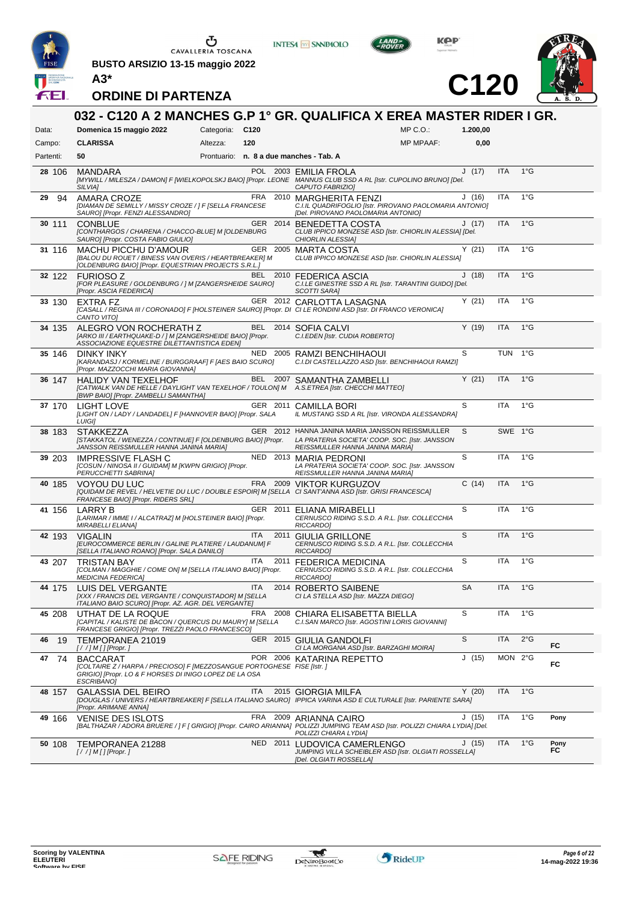

**BUSTO ARSIZIO 13-15 maggio 2022 A3\***



**INTESA M** SANPAOLO



**C120**



|           |                                                                                                                                                                           |                 |            | 032 - C120 A 2 MANCHES G.P 1° GR. QUALIFICA X EREA MASTER RIDER I GR.                                                                                                                            |                  |           |            |               |            |
|-----------|---------------------------------------------------------------------------------------------------------------------------------------------------------------------------|-----------------|------------|--------------------------------------------------------------------------------------------------------------------------------------------------------------------------------------------------|------------------|-----------|------------|---------------|------------|
| Data:     | Domenica 15 maggio 2022                                                                                                                                                   | Categoria: C120 |            |                                                                                                                                                                                                  | $MP C. O.$ :     | 1.200,00  |            |               |            |
| Campo:    | <b>CLARISSA</b>                                                                                                                                                           | Altezza:        | 120        |                                                                                                                                                                                                  | <b>MP MPAAF:</b> | 0,00      |            |               |            |
| Partenti: | 50                                                                                                                                                                        |                 |            | Prontuario: n. 8 a due manches - Tab. A                                                                                                                                                          |                  |           |            |               |            |
| 28 106    | <b>MANDARA</b><br>SILVIA]                                                                                                                                                 |                 |            | POL 2003 FMII IA FROI A<br>[MYWILL / MILESZA / DAMON] F [WIELKOPOLSKJ BAIO] [Propr. LEONE MANNUS CLUB SSD A RL [Istr. CUPOLINO BRUNO] [Del.<br>CAPUTO FABRIZIO]                                  |                  | J(17)     | <b>ITA</b> | $1^{\circ}$ G |            |
| 29<br>94  | AMARA CROZE<br>[DIAMAN DE SEMILLY / MISSY CROZE / ] F [SELLA FRANCESE<br>SAURO] [Propr. FENZI ALESSANDRO]                                                                 |                 |            | FRA 2010 MARGHERITA FENZI<br>C.I.IL QUADRIFOGLIO [Istr. PIROVANO PAOLOMARIA ANTONIO]<br>[Del. PIROVANO PAOLOMARIA ANTONIO]                                                                       |                  | J(16)     | <b>ITA</b> | $1^{\circ}$ G |            |
| 30 111    | <b>CONBLUE</b><br>[CONTHARGOS / CHARENA / CHACCO-BLUE] M [OLDENBURG<br>SAURO] [Propr. COSTA FABIO GIULIO]                                                                 |                 |            | GER 2014 BENEDETTA COSTA<br>CLUB IPPICO MONZESE ASD [Istr. CHIORLIN ALESSIA] [Del.<br>CHIORLIN ALESSIA]                                                                                          |                  | J(17)     | <b>ITA</b> | $1^{\circ}$ G |            |
| 31 116    | <b>MACHU PICCHU D'AMOUR</b><br>[BALOU DU ROUET / BINESS VAN OVERIS / HEARTBREAKER] M<br>[OLDENBURG BAIO] [Propr. EQUESTRIAN PROJECTS S.R.L.]                              |                 |            | GER 2005 MARTA COSTA<br>CLUB IPPICO MONZESE ASD [Istr. CHIORLIN ALESSIA]                                                                                                                         |                  | Y(21)     | <b>ITA</b> | $1^{\circ}$ G |            |
| 32 122    | <b>FURIOSO Z</b><br>[FOR PLEASURE / GOLDENBURG / ] M [ZANGERSHEIDE SAURO]<br>[Propr. ASCIA FEDERICA]                                                                      |                 |            | BEL 2010 FEDERICA ASCIA<br>C.I.LE GINESTRE SSD A RL [Istr. TARANTINI GUIDO] [Del.<br><b>SCOTTI SARAI</b>                                                                                         |                  | J(18)     | <b>ITA</b> | $1^{\circ}$ G |            |
| 33 130    | EXTRA FZ<br>CANTO VITOJ                                                                                                                                                   |                 |            | GER 2012 CARLOTTA LASAGNA<br>[CASALL / REGINA III / CORONADO] F [HOLSTEINER SAURO] [Propr. DI CI LE RONDINI ASD [Istr. DI FRANCO VERONICA]                                                       |                  | Y(21)     | ITA        | $1^{\circ}$ G |            |
| 34 135    | ALEGRO VON ROCHERATH Z<br>[ARKO III / EARTHQUAKE-D / ] M [ZANGERSHEIDE BAIO] [Propr.<br>ASSOCIAZIONE EQUESTRE DILETTANTISTICA EDENI                                       |                 |            | BEL 2014 SOFIA CALVI<br>C.I.EDEN [Istr. CUDIA ROBERTO]                                                                                                                                           |                  | Y(19)     | <b>ITA</b> | $1^{\circ}$ G |            |
| 35 146    | DINKY INKY<br>[KARANDASJ / KORMELINE / BURGGRAAF] F [AES BAIO SCURO]<br>[Propr. MAZZOCCHI MARIA GIOVANNA]                                                                 |                 |            | NED 2005 RAMZI BENCHIHAOUI<br>C.I.DI CASTELLAZZO ASD [Istr. BENCHIHAOUI RAMZI]                                                                                                                   |                  | S         | TUN 1°G    |               |            |
| 36 147    | <b>HALIDY VAN TEXELHOF</b><br>[CATWALK VAN DE HELLE / DAYLIGHT VAN TEXELHOF / TOULON] M A.S.ETREA [Istr. CHECCHI MATTEO]<br>[BWP BAIO] [Propr. ZAMBELLI SAMANTHA]         |                 |            | BEL 2007 SAMANTHA ZAMBELLI                                                                                                                                                                       |                  | Y(21)     | <b>ITA</b> | $1^{\circ}$ G |            |
| 37 170    | LIGHT LOVE<br>[LIGHT ON / LADY / LANDADEL] F [HANNOVER BAIO] [Propr. SALA<br><b>LUIGII</b>                                                                                |                 |            | GER 2011 CAMILLA BORI<br>IL MUSTANG SSD A RL [Istr. VIRONDA ALESSANDRA]                                                                                                                          |                  | S         | <b>ITA</b> | $1^{\circ}$ G |            |
| 38 183    | <b>STAKKEZZA</b><br>JANSSON REISSMULLER HANNA JANINA MARIA]                                                                                                               |                 |            | GER 2012 HANNA JANINA MARIA JANSSON REISSMULLER<br>[STAKKATOL / WENEZZA / CONTINUE] F [OLDENBURG BAIO] [Propr. LA PRATERIA SOCIETA' COOP. SOC. [Istr. JANSSON<br>REISSMULLER HANNA JANINA MARIA] |                  | S         | SWE 1°G    |               |            |
| 39 203    | <b>IMPRESSIVE FLASH C</b><br>[COSUN / NINOSA II / GUIDAM] M [KWPN GRIGIO] [Propr.<br>PERUCCHETTI SABRINA]                                                                 |                 |            | NED 2013 MARIA PEDRONI<br>LA PRATERIA SOCIETA' COOP. SOC. [Istr. JANSSON<br>REISSMULLER HANNA JANINA MARIA]                                                                                      |                  | S         | ITA        | $1^{\circ}$ G |            |
| 40 185    | <b>VOYOU DU LUC</b><br>FRANCESE BAIO] [Propr. RIDERS SRL]                                                                                                                 |                 |            | FRA 2009 VIKTOR KURGUZOV<br>[QUIDAM DE REVEL / HELVETIE DU LUC / DOUBLE ESPOIR] M [SELLA CI SANT'ANNA ASD [Istr. GRISI FRANCESCA]                                                                |                  | C(14)     | <b>ITA</b> | $1^{\circ}$ G |            |
| 41 156    | LARRY B<br>[LARIMAR / IMME I / ALCATRAZ] M [HOLSTEINER BAIO] [Propr.<br>MIRABELLI ELIANA]                                                                                 |                 |            | GER 2011 ELIANA MIRABELLI<br>CERNUSCO RIDING S.S.D. A R.L. [Istr. COLLECCHIA<br><b>RICCARDOI</b>                                                                                                 |                  | S         | <b>ITA</b> | $1^{\circ}$ G |            |
| 42 193    | <b>VIGALIN</b><br>[EUROCOMMERCE BERLIN / GALINE PLATIERE / LAUDANUM] F<br>[SELLA ITALIANO ROANO] [Propr. SALA DANILO]                                                     |                 | ITA.       | 2011 GIULIA GRILLONE<br>CERNUSCO RIDING S.S.D. A R.L. [Istr. COLLECCHIA<br><b>RICCARDOI</b>                                                                                                      |                  | S         | <b>ITA</b> | $1^{\circ}$ G |            |
| 43 207    | <b>TRISTAN BAY</b><br>[COLMAN / MAGGHIE / COME ON] M [SELLA ITALIANO BAIO] [Propr.<br><b>MEDICINA FEDERICA]</b>                                                           |                 | <b>ITA</b> | 2011 FEDERICA MEDICINA<br>CERNUSCO RIDING S.S.D. A R.L. [Istr. COLLECCHIA<br>RICCARDO]                                                                                                           |                  | S         | ITA        | $1^{\circ}$ G |            |
| 44 175    | <b>LUIS DEL VERGANTE</b><br>[XXX / FRANCIS DEL VERGANTE / CONQUISTADOR] M [SELLA<br>ITALIANO BAIO SCURO] [Propr. AZ. AGR. DEL VERGANTE]                                   |                 | ITA.       | 2014 ROBERTO SAIBENE<br>CI LA STELLA ASD [Istr. MAZZA DIEGO]                                                                                                                                     |                  | <b>SA</b> | ITA        | $1^{\circ}$ G |            |
| 45 208    | UTHAT DE LA ROQUE<br>[CAPITAL / KALISTE DE BACON / QUERCUS DU MAURY] M [SELLA<br>FRANCESE GRIGIO] [Propr. TREZZI PAOLO FRANCESCO]                                         |                 | FRA        | 2008 CHIARA ELISABETTA BIELLA<br>C.I.SAN MARCO [Istr. AGOSTINI LORIS GIOVANNI]                                                                                                                   |                  | S         | ITA        | $1^{\circ}$ G |            |
| 46<br>-19 | TEMPORANEA 21019                                                                                                                                                          |                 |            | GER 2015 GIULIA GANDOLFI<br>CI LA MORGANA ASD [Istr. BARZAGHI MOIRA]                                                                                                                             |                  | S         | ITA        | 2°G           | FC         |
| 47<br>74  | <b>BACCARAT</b><br>[COLTAIRE Z / HARPA / PRECIOSO] F [MEZZOSANGUE PORTOGHESE FISE [Istr. ]<br>GRIGIO] [Propr. LO & F HORSES DI INIGO LOPEZ DE LA OSA<br><b>ESCRIBANO]</b> |                 |            | POR 2006 KATARINA REPETTO                                                                                                                                                                        |                  | J(15)     | MON 2°G    |               | FC         |
| 48 157    | GALASSIA DEL BEIRO<br>[Propr. ARIMANE ANNA]                                                                                                                               |                 | <b>ITA</b> | 2015 GIORGIA MILFA<br>[DOUGLAS / UNIVERS / HEARTBREAKER] F [SELLA ITALIANO SAURO] IPPICA VARINA ASD E CULTURALE [Istr. PARIENTE SARA]                                                            |                  | Y(20)     | <b>ITA</b> | $1^{\circ}$ G |            |
| 49 166    | <b>VENISE DES ISLOTS</b>                                                                                                                                                  |                 |            | FRA 2009 ARIANNA CAIRO<br>[BALTHAZAR / ADORA BRUERE / ] F [ GRIGIO] [Propr. CAIRO ARIANNA] POLIZZI JUMPING TEAM ASD [Istr. POLIZZI CHIARA LYDIA] [Del.<br>POLIZZI CHIARA LYDIA]                  |                  | J(15)     | ITA        | $1^{\circ}G$  | Pony       |
| 50 108    | TEMPORANEA 21288<br>[//] M [] [Propr. ]                                                                                                                                   |                 | NED 2011   | LUDOVICA CAMERLENGO<br>JUMPING VILLA SCHEIBLER ASD [Istr. OLGIATI ROSSELLA]<br>[Del. OLGIATI ROSSELLA]                                                                                           |                  | J(15)     | ITA        | $1^{\circ}$ G | Pony<br>FC |



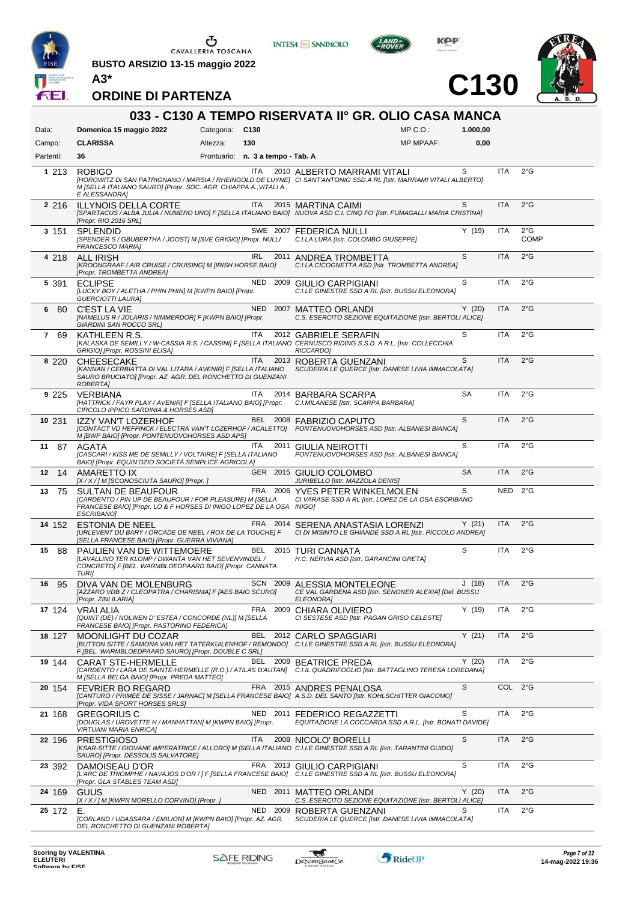

 $\begin{array}{c}\n\bullet \\
\bullet \\
\bullet \\
\bullet\n\end{array}$  CAVALLERIA TOSCANA

**BUSTO ARSIZIO 13-15 maggio 2022**



**INTESA M** SANPAOLO



**C130**



| 033 - C130 A TEMPO RISERVATA II° GR. OLIO CASA MANCA |                                                                                                                                                                                                                           |                                   |            |      |                                                                                                   |              |           |            |                              |  |  |
|------------------------------------------------------|---------------------------------------------------------------------------------------------------------------------------------------------------------------------------------------------------------------------------|-----------------------------------|------------|------|---------------------------------------------------------------------------------------------------|--------------|-----------|------------|------------------------------|--|--|
| Data:                                                | Domenica 15 maggio 2022                                                                                                                                                                                                   | Categoria: C130                   |            |      |                                                                                                   | $MP C. O.$ : | 1.000,00  |            |                              |  |  |
| Campo:                                               | <b>CLARISSA</b>                                                                                                                                                                                                           | Altezza:                          | 130        |      |                                                                                                   | MP MPAAF:    | 0,00      |            |                              |  |  |
| Partenti:                                            | 36                                                                                                                                                                                                                        | Prontuario: n. 3 a tempo - Tab. A |            |      |                                                                                                   |              |           |            |                              |  |  |
| 1 213                                                | <b>ROBIGO</b><br>[HOROWITZ DI SAN PATRIGNANO / MARSIA / RHEINGOLD DE LUYNE] CI SANT'ANTONIO SSD A RL [Istr. MARRAMI VITALI ALBERTO]<br>M [SELLA ITALIANO SAURO] [Propr. SOC. AGR. CHIAPPA A., VITALI A.,<br>E ALESSANDRA] |                                   | ITA        |      | 2010 ALBERTO MARRAMI VITALI                                                                       |              | S         | <b>ITA</b> | $2^{\circ}$ G                |  |  |
| 2 2 1 6                                              | <b>ILLYNOIS DELLA CORTE</b><br>[SPARTACUS / ALBA JULIA / NUMERO UNO] F [SELLA ITALIANO BAIO] NUOVA ASD C.I. CINQ FO' [Istr. FUMAGALLI MARIA CRISTINA]<br>[Propr. RIO 2016 SRL]                                            |                                   |            |      | ITA 2015 MARTINA CAIMI                                                                            |              | S         | <b>ITA</b> | $2^{\circ}$ G                |  |  |
| 3 151                                                | <b>SPLENDID</b><br>[SPENDER S / GBUBERTHA / JOOST] M [SVE GRIGIO] [Propr. NULLI<br>FRANCESCO MARIA]                                                                                                                       |                                   |            |      | SWE 2007 FEDERICA NULLI<br>C.I.LA LURA [Istr. COLOMBO GIUSEPPE]                                   |              | Y(19)     | <b>ITA</b> | $2^{\circ}$ G<br><b>COMP</b> |  |  |
| 4 218                                                | ALL IRISH<br>[KROONGRAAF / AIR CRUISE / CRUISING] M [IRISH HORSE BAIO]<br>[Propr. TROMBETTA ANDREA]                                                                                                                       |                                   | IRL        | 2011 | ANDREA TROMBETTA<br>C.I.LA CICOGNETTA ASD [Istr. TROMBETTA ANDREA]                                |              | S         | <b>ITA</b> | 2°G                          |  |  |
| 5 391                                                | <b>ECLIPSE</b><br>[LUCKY BOY / ALETHA / PHIN PHIN] M [KWPN BAIO] [Propr.<br><b>GUERCIOTTI LAURA]</b>                                                                                                                      |                                   | NED 2009   |      | GIULIO CARPIGIANI<br>C.I.LE GINESTRE SSD A RL [Istr. BUSSU ELEONORA]                              |              | S         | <b>ITA</b> | $2^{\circ}$ G                |  |  |
| 6<br>-80                                             | C'EST LA VIE<br>[NAMELUS R / JOLARIS / NIMMERDOR] F [KWPN BAIO] [Propr.<br>GIARDINI SAN ROCCO SRL]                                                                                                                        |                                   | <b>NED</b> | 2007 | MATTEO ORLANDI<br>C.S. ESERCITO SEZIONE EQUITAZIONE [Istr. BERTOLI ALICE]                         |              | Y(20)     | <b>ITA</b> | $2^{\circ}$ G                |  |  |
| 7 69                                                 | KATHLEEN R.S.<br>[KALASKA DE SEMILLY / W-CASSIA R.S. / CASSINI] F [SELLA ITALIANO CERNUSCO RIDING S.S.D. A R.L. [Istr. COLLECCHIA<br>GRIGIO] [Propr. ROSSINI ELISA]                                                       |                                   | ITA        |      | 2012 GABRIELE SERAFIN<br>RICCARDO]                                                                |              | S         | <b>ITA</b> | $2^{\circ}$ G                |  |  |
| 8 2 2 0                                              | <b>CHEESECAKE</b><br>[KANNAN / CERBIATTA DI VAL LITARA / AVENIR] F [SELLA ITALIANO<br>SAURO BRUCIATO] [Propr. AZ. AGR. DEL RONCHETTO DI GUENZANI<br>ROBERTA]                                                              |                                   | ITA        |      | 2013 ROBERTA GUENZANI<br>SCUDERIA LE QUERCE [Istr. DANESE LIVIA IMMACOLATA]                       |              | S         | <b>ITA</b> | $2^{\circ}$ G                |  |  |
| 9 2 2 5                                              | <b>VERBIANA</b><br>[HATTRICK / FAYR PLAY / AVENIR] F [SELLA ITALIANO BAIO] [Propr.<br>CIRCOLO IPPICO SARDINIA & HORSES ASD]                                                                                               |                                   | ITA        |      | 2014 BARBARA SCARPA<br>C.I.MILANESE [Istr. SCARPA BARBARA]                                        |              | <b>SA</b> | <b>ITA</b> | $2^{\circ}$ G                |  |  |
| 10 231                                               | IZZY VAN'T LOZERHOF<br>[CONTACT VD HEFFINCK / ELECTRA VAN'T LOZERHOF / ACALETTO] PONTENUOVOHORSES ASD [Istr. ALBANESI BIANCA]<br>M [BWP BAIO] [Propr. PONTENUOVOHORSES ASD APS]                                           |                                   |            |      | BEL 2008 FABRIZIO CAPUTO                                                                          |              | S         | <b>ITA</b> | $2^{\circ}$ G                |  |  |
| 87<br>11                                             | AGATA<br>[CASCARI / KISS ME DE SEMILLY / VOLTAIRE] F [SELLA ITALIANO<br>BAIO] [Propr. EQUIN'OZIO SOCIETÀ SEMPLICE AGRICOLA]                                                                                               |                                   | ITA        | 2011 | <b>GIULIA NEIROTTI</b><br>PONTENUOVOHORSES ASD [Istr. ALBANESI BIANCA]                            |              | S         | <b>ITA</b> | $2^{\circ}$ G                |  |  |
| 12 14                                                | AMARETTO IX<br>[X / X / ] M [SCONOSCIUTA SAURO] [Propr. ]                                                                                                                                                                 |                                   |            |      | GER 2015 GIULIO COLOMBO<br>JURIBELLO [Istr. MAZZOLA DENIS]                                        |              | <b>SA</b> | <b>ITA</b> | $2^{\circ}$ G                |  |  |
| 75<br>13                                             | <b>SULTAN DE BEAUFOUR</b><br>[CARDENTO / PIN UP DE BEAUFOUR / FOR PLEASURE] M [SELLA<br>FRANCESE BAIO] [Propr. LO & F HORSES DI INIGO LOPEZ DE LA OSA INIGO]<br>ESCRIBANO]                                                |                                   |            |      | FRA 2006 YVES PETER WINKELMOLEN<br>CI VARASE SSD A RL [Istr. LOPEZ DE LA OSA ESCRIBANO            |              | S         | NED 2°G    |                              |  |  |
| 14 152                                               | <b>ESTONIA DE NEEL</b><br>[URLEVENT DU BARY / ORCADE DE NEEL / ROX DE LA TOUCHE] F<br>[SELLA FRANCESE BAIO] [Propr. GUERRA VIVIANA]                                                                                       |                                   |            |      | FRA 2014 SERENA ANASTASIA LORENZI<br>CI DI MISINTO LE GHIANDE SSD A RL [Istr. PICCOLO ANDREA]     |              | Y(21)     | <b>ITA</b> | $2^{\circ}$ G                |  |  |
| 15<br>- 88                                           | PAULIEN VAN DE WITTEMOERE<br><b>JLAVALLINO TER KLOMP / DWANTA VAN HET SEVENVINDEL /</b><br>CONCRETOJ F [BEL. WARMBLOEDPAARD BAIO] [Propr. CANNATA<br>TURI]                                                                |                                   |            |      | BEL 2015 TURI CANNATA<br>H.C. NERVIA ASD [Istr. GARANCINI GRETA]                                  |              | S         | ITA        | $2^{\circ}$ G                |  |  |
| 95<br>16                                             | DIVA VAN DE MOLENBURG<br>[AZZARO VDB Z / CLEOPATRA / CHARISMA] F [AES BAIO SCURO]<br>[Propr. ZINI ILARIA]                                                                                                                 |                                   |            |      | SCN 2009 ALESSIA MONTELEONE<br>CE VAL GARDENA ASD [Istr. SENONER ALEXIA] [Del. BUSSU<br>ELEONORA] |              | J(18)     | ITA        | $2^{\circ}$ G                |  |  |
| 17 124                                               | <b>VRAI ALIA</b><br>[QUINT (DE) / NOLWEN D' ESTEA / CONCORDE (NL)] M [SELLA<br>FRANCESE BAIO] [Propr. PASTORINO FEDERICA]                                                                                                 |                                   |            |      | FRA 2009 CHIARA OLIVIERO<br>CI SESTESE ASD [Istr. PAGAN GRISO CELESTE]                            |              | Y(19)     | <b>ITA</b> | $2^{\circ}$ G                |  |  |
| 18 127                                               | MOONLIGHT DU COZAR<br>[BUTTON SITTE / SAMONA VAN HET TATERKUILENHOF / REMONDO] C.I.LE GINESTRE SSD A RL [Istr. BUSSU ELEONORA]<br>F [BEL. WARMBLOEDPAARD SAURO] [Propr. DOUBLE C SRL]                                     |                                   |            |      | BEL 2012 CARLO SPAGGIARI                                                                          |              | Y(21)     | <b>ITA</b> | $2^{\circ}$ G                |  |  |
| 19 144                                               | CARAT STE-HERMELLE<br>[CARDENTO / LARA DE SAINTE-HERMELLE (R.O.) / ATILAS D'AUTAN] C.I.IL QUADRIFOGLIO [Istr. BATTAGLINO TERESA LOREDANA]<br>M [SELLA BELGA BAIO] [Propr. PREDA MATTEO]                                   |                                   |            |      | BEL 2008 BEATRICE PREDA                                                                           |              | Y(20)     | <b>ITA</b> | $2^{\circ}$ G                |  |  |
| 20 154                                               | <b>FEVRIER BO REGARD</b><br>[CANTURO / PRIMEE DE SISSE / JARNAC] M [SELLA FRANCESE BAIO] A.S.D. DEL SANTO [Istr. KOHLSCHITTER GIACOMO]<br>[Propr. VIDA SPORT HORSES SRLS]                                                 |                                   |            |      | FRA 2015 ANDRES PENALOSA                                                                          |              | S         | COL 2°G    |                              |  |  |
| 21 168                                               | <b>GREGORIUS C</b><br>[DOUGLAS / UROVETTE H / MANHATTAN] M [KWPN BAIO] [Propr.<br><b>VIRTUANI MARIA ENRICA]</b>                                                                                                           |                                   |            |      | NED 2011 FEDERICO REGAZZETTI<br>EQUITAZIONE LA COCCARDA SSD A.R.L. [Istr. BONATI DAVIDE]          |              | S         | <b>ITA</b> | $2^{\circ}$ G                |  |  |
| 22 196                                               | <b>PRESTIGIOSO</b><br>[KSAR-SITTE / GIOVANE IMPERATRICE / ALLORO] M [SELLA ITALIANO C.I.LE GINESTRE SSD A RL [Istr. TARANTINI GUIDO]<br>SAURO] [Propr. DESSOLIS SALVATORE]                                                |                                   | ITA.       |      | 2008 NICOLO' BORELLI                                                                              |              | S         | <b>ITA</b> | $2^{\circ}$ G                |  |  |
| 23 392                                               | DAMOISEAU D'OR<br>[L'ARC DE TRIOMPHE / NAVAJOS D'OR / ] F [SELLA FRANCESE BAIO] C.I.LE GINESTRE SSD A RL [Istr. BUSSU ELEONORA]<br>[Propr. GLA STABLES TEAM ASD]                                                          |                                   |            |      | FRA 2013 GIULIO CARPIGIANI                                                                        |              | S         | <b>ITA</b> | $2^{\circ}$ G                |  |  |
| 24 169                                               | GUUS<br>[X / X / ] M [KWPN MORELLO CORVINO] [Propr. ]                                                                                                                                                                     |                                   |            |      | NED 2011 MATTEO ORLANDI<br>C.S. ESERCITO SEZIONE EQUITAZIONE [Istr. BERTOLI ALICE]                |              | Y(20)     | <b>ITA</b> | $2^{\circ}$ G                |  |  |
| 25 172                                               | Е.<br>[CORLAND / UDASSARA / EMILION] M [KWPN BAIO] [Propr. AZ. AGR.<br>DEL RONCHETTO DI GUENZANI ROBERTA]                                                                                                                 |                                   |            |      | NED 2009 ROBERTA GUENZANI<br>SCUDERIA LE QUERCE [Istr. DANESE LIVIA IMMACOLATA]                   |              | S         | <b>ITA</b> | $2^{\circ}$ G                |  |  |

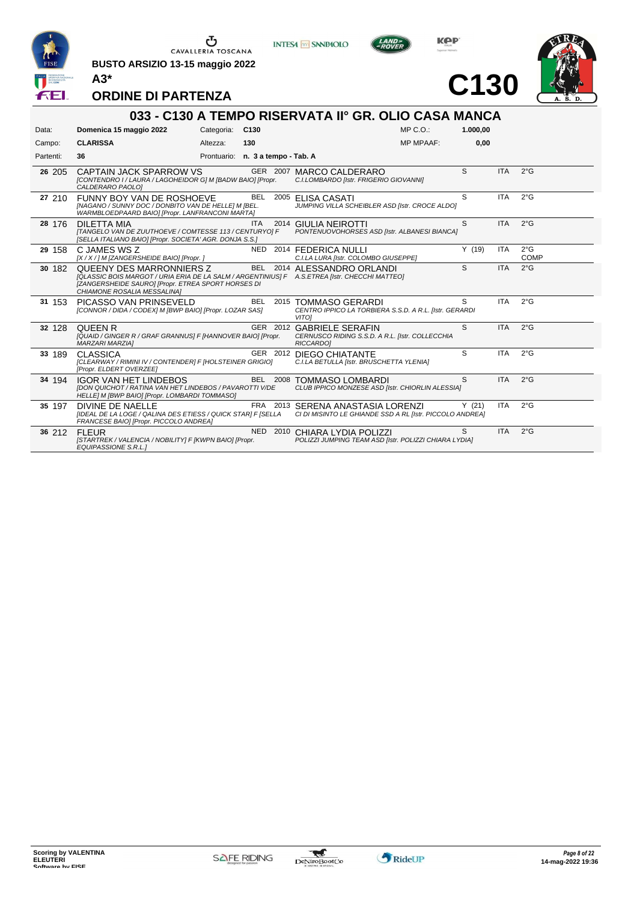

 $\begin{array}{c}\n\bullet \\
\bullet \\
\bullet \\
\bullet\n\end{array}$  CAVALLERIA TOSCANA

**BUSTO ARSIZIO 13-15 maggio 2022**





**C130**



**ORDINE DI PARTENZA**

|           | 033 - C130 A TEMPO RISERVATA II° GR. OLIO CASA MANCA                                                                                                                                                           |                                   |            |  |                                                                                                  |          |            |                       |  |  |  |
|-----------|----------------------------------------------------------------------------------------------------------------------------------------------------------------------------------------------------------------|-----------------------------------|------------|--|--------------------------------------------------------------------------------------------------|----------|------------|-----------------------|--|--|--|
| Data:     | Domenica 15 maggio 2022                                                                                                                                                                                        | Categoria: C130                   |            |  | MP C.O.                                                                                          | 1.000.00 |            |                       |  |  |  |
| Campo:    | <b>CLARISSA</b>                                                                                                                                                                                                | Altezza:                          | 130        |  | <b>MP MPAAF:</b>                                                                                 | 0,00     |            |                       |  |  |  |
| Partenti: | 36                                                                                                                                                                                                             | Prontuario: n. 3 a tempo - Tab. A |            |  |                                                                                                  |          |            |                       |  |  |  |
| 26 205    | CAPTAIN JACK SPARROW VS<br>[CONTENDRO I / LAURA / LAGOHEIDOR G] M [BADW BAIO] [Propr.<br>CALDERARO PAOLOI                                                                                                      |                                   |            |  | GER 2007 MARCO CALDERARO<br>C.I.LOMBARDO [Istr. FRIGERIO GIOVANNI]                               | S        | <b>ITA</b> | $2^{\circ}$ G         |  |  |  |
| 27 210    | FUNNY BOY VAN DE ROSHOEVE<br>[NAGANO / SUNNY DOC / DONBITO VAN DE HELLE] M [BEL.<br>WARMBLOEDPAARD BAIO] [Propr. LANFRANCONI MARTA]                                                                            |                                   | <b>BEL</b> |  | 2005 ELISA CASATI<br>JUMPING VILLA SCHEIBLER ASD [Istr. CROCE ALDO]                              | S        | <b>ITA</b> | $2^{\circ}$ G         |  |  |  |
| 28 176    | <b>DILETTA MIA</b><br>[TANGELO VAN DE ZUUTHOEVE / COMTESSE 113 / CENTURYO] F<br>[SELLA ITALIANO BAIO] [Propr. SOCIETA' AGR. DONJA S.S.]                                                                        |                                   | <b>ITA</b> |  | 2014 GIULIA NEIROTTI<br>PONTENUOVOHORSES ASD [Istr. ALBANESI BIANCA]                             | S        | <b>ITA</b> | 2°G                   |  |  |  |
| 29 158    | C JAMES WS Z<br>[X / X / ] M [ZANGERSHEIDE BAIO] [Propr. ]                                                                                                                                                     |                                   |            |  | NED 2014 FEDERICA NULLI<br>C.I.LA LURA [Istr. COLOMBO GIUSEPPE]                                  | Y(19)    | <b>ITA</b> | $2^{\circ}$ G<br>COMP |  |  |  |
| 30 182    | QUEENY DES MARRONNIERS Z<br>[QLASSIC BOIS MARGOT / URIA ERIA DE LA SALM / ARGENTINIUS] F A.S.ETREA [Istr. CHECCHI MATTEO]<br>[ZANGERSHEIDE SAURO] [Propr. ETREA SPORT HORSES DI<br>CHIAMONE ROSALIA MESSALINA] |                                   |            |  | BEL 2014 ALESSANDRO ORLANDI                                                                      | S        | <b>ITA</b> | $2^{\circ}$ G         |  |  |  |
| 31 153    | PICASSO VAN PRINSEVELD<br>[CONNOR / DIDA / CODEX] M [BWP BAIO] [Propr. LOZAR SAS]                                                                                                                              |                                   | <b>BEL</b> |  | 2015 TOMMASO GERARDI<br>CENTRO IPPICO LA TORBIERA S.S.D. A R.L. [Istr. GERARDI<br><b>VITO1</b>   | S.       | <b>ITA</b> | $2^{\circ}$ G         |  |  |  |
| 32 128    | <b>QUEEN R</b><br>[QUAID / GINGER R / GRAF GRANNUS] F [HANNOVER BAIO] [Propr.<br><b>MARZARI MARZIAI</b>                                                                                                        |                                   |            |  | GER 2012 GABRIELE SERAFIN<br>CERNUSCO RIDING S.S.D. A R.L. [Istr. COLLECCHIA<br><b>RICCARDOI</b> | S        | <b>ITA</b> | 2°G                   |  |  |  |
| 33 189    | <b>CLASSICA</b><br>[CLEARWAY / RIMINI IV / CONTENDER] F [HOLSTEINER GRIGIO]<br>[Propr. ELDERT OVERZEE]                                                                                                         |                                   |            |  | GER 2012 DIEGO CHIATANTE<br>C.I.LA BETULLA [Istr. BRUSCHETTA YLENIA]                             | S        | <b>ITA</b> | $2^{\circ}$ G         |  |  |  |
| 34 194    | <b>IGOR VAN HET LINDEBOS</b><br>[DON QUICHOT / RATINA VAN HET LINDEBOS / PAVAROTTI V/DE<br>HELLE] M [BWP BAIO] [Propr. LOMBARDI TOMMASO]                                                                       |                                   | BEL 2008   |  | <b>TOMMASO LOMBARDI</b><br>CLUB IPPICO MONZESE ASD [Istr. CHIORLIN ALESSIA]                      | S        | <b>ITA</b> | $2^{\circ}$ G         |  |  |  |
| 35 197    | DIVINE DE NAELLE<br>[IDEAL DE LA LOGE / QALINA DES ETIESS / QUICK STAR] F [SELLA<br>FRANCESE BAIO] [Propr. PICCOLO ANDREA]                                                                                     |                                   |            |  | FRA 2013 SERENA ANASTASIA LORENZI<br>CI DI MISINTO LE GHIANDE SSD A RL [Istr. PICCOLO ANDREA]    | Y(21)    | <b>ITA</b> | $2^{\circ}$ G         |  |  |  |
| 36 212    | <b>FIFUR</b><br>[STARTREK / VALENCIA / NOBILITY] F [KWPN BAIO] [Propr.<br><b>EQUIPASSIONE S.R.L.1</b>                                                                                                          |                                   |            |  | NED 2010 CHIARA LYDIA POLIZZI<br>POLIZZI JUMPING TEAM ASD [Istr. POLIZZI CHIARA LYDIA]           | S        | <b>ITA</b> | $2^{\circ}$ G         |  |  |  |

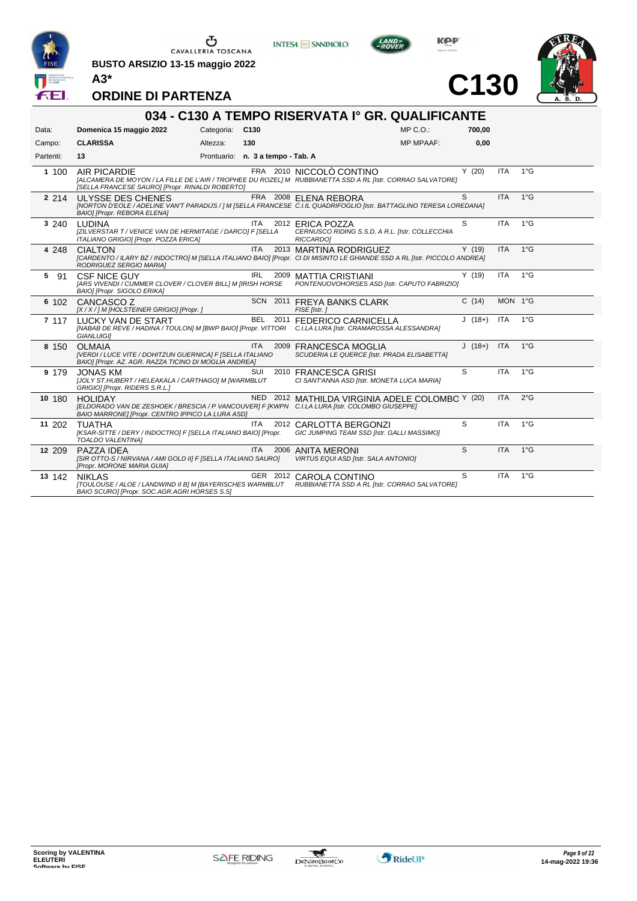

 $\begin{array}{c}\n\bullet \\
\bullet \\
\bullet \\
\bullet\n\end{array}$  CAVALLERIA TOSCANA

**BUSTO ARSIZIO 13-15 maggio 2022**





**C130**



**ORDINE DI PARTENZA**

| 034 - C130 A TEMPO RISERVATA Iº GR. QUALIFICANTE |                                                                                                                                     |                 |                                   |                                                                                                                                                     |          |            |               |  |  |  |  |
|--------------------------------------------------|-------------------------------------------------------------------------------------------------------------------------------------|-----------------|-----------------------------------|-----------------------------------------------------------------------------------------------------------------------------------------------------|----------|------------|---------------|--|--|--|--|
| Data:                                            | Domenica 15 maggio 2022                                                                                                             | Categoria: C130 |                                   | $MP C. O.$ :                                                                                                                                        | 700.00   |            |               |  |  |  |  |
| Campo:                                           | <b>CLARISSA</b>                                                                                                                     | Altezza:        | 130                               | <b>MP MPAAF:</b>                                                                                                                                    | 0.00     |            |               |  |  |  |  |
| Partenti:                                        | 13                                                                                                                                  |                 | Prontuario: n. 3 a tempo - Tab. A |                                                                                                                                                     |          |            |               |  |  |  |  |
| 1 100                                            | AIR PICARDIE<br>[SELLA FRANCESE SAURO] [Propr. RINALDI ROBERTO]                                                                     |                 |                                   | FRA 2010 NICCOLÒ CONTINO<br>[ALCAMERA DE MOYON / LA FILLE DE L'AIR / TROPHEE DU ROZEL] M RUBBIANETTA SSD A RL [Istr. CORRAO SALVATORE]              | Y(20)    | <b>ITA</b> | 1°G           |  |  |  |  |
| 2 2 1 4                                          | ULYSSE DES CHENES<br>BAIO] [Propr. REBORA ELENA]                                                                                    |                 |                                   | FRA 2008 ELENA REBORA<br>[NORTON D'EOLE / ADELINE VAN'T PARADIJS / ] M [SELLA FRANCESE C.I.IL QUADRIFOGLIO [Istr. BATTAGLINO TERESA LOREDANA]       | S        | <b>ITA</b> | $1^{\circ}$ G |  |  |  |  |
| 3 240                                            | <b>LUDINA</b><br>[ZILVERSTAR T / VENICE VAN DE HERMITAGE / DARCO] F [SELLA<br>ITALIANO GRIGIO] [Propr. POZZA ERICA]                 |                 | ITA                               | 2012 ERICA POZZA<br>CERNUSCO RIDING S.S.D. A R.L. [Istr. COLLECCHIA<br><b>RICCARDO1</b>                                                             | S        | <b>ITA</b> | $1^{\circ}$ G |  |  |  |  |
| 4 248                                            | <b>CIALTON</b><br>RODRIGUEZ SERGIO MARIA]                                                                                           |                 | <b>ITA</b>                        | 2013 MARTINA RODRIGUEZ<br>[CARDENTO / ILARY BZ / INDOCTRO] M [SELLA ITALIANO BAIO] [Propr. CI DI MISINTO LE GHIANDE SSD A RL [Istr. PICCOLO ANDREA] | Y(19)    | <b>ITA</b> | $1^{\circ}$ G |  |  |  |  |
| 5 91                                             | <b>CSF NICE GUY</b><br>[ARS VIVENDI / CUMMER CLOVER / CLOVER BILL] M [IRISH HORSE<br>BAIO] [Propr. SIGOLO ERIKA]                    |                 | IRL                               | 2009 MATTIA CRISTIANI<br>PONTENUOVOHORSES ASD [Istr. CAPUTO FABRIZIO]                                                                               | Y(19)    | <b>ITA</b> | $1^{\circ}G$  |  |  |  |  |
| 6 102                                            | CANCASCO Z<br>[X / X / ] M [HOLSTEINER GRIGIO] [Propr. ]                                                                            |                 |                                   | SCN 2011 FREYA BANKS CLARK<br>FISE [Istr.]                                                                                                          | C(14)    | MON 1°G    |               |  |  |  |  |
| 7 117                                            | LUCKY VAN DE START<br><b>GIANLUIGII</b>                                                                                             |                 |                                   | BEL 2011 FEDERICO CARNICELLA<br>[NABAB DE REVE / HADINA / TOULON] M [BWP BAIO] [Propr. VITTORI C.I.LA LURA [Istr. CRAMAROSSA ALESSANDRA]            | $J(18+)$ | <b>ITA</b> | $1^{\circ}$ G |  |  |  |  |
| 8 150                                            | <b>OLMAIA</b><br>[VERDI / LUCE VITE / DOHITZUN GUERNICA] F [SELLA ITALIANO<br>BAIOI [Propr. AZ. AGR. RAZZA TICINO DI MOGLIA ANDREA] |                 | <b>ITA</b>                        | 2009 FRANCESCA MOGLIA<br>SCUDERIA LE QUERCE [Istr. PRADA ELISABETTA]                                                                                | $J(18+)$ | <b>ITA</b> | $1^{\circ}$ G |  |  |  |  |
| 9 179                                            | <b>JONAS KM</b><br>JJOLY ST.HUBERT / HELEAKALA / CARTHAGO] M [WARMBLUT<br>GRIGIO] [Propr. RIDERS S.R.L.]                            |                 | SUI                               | 2010 FRANCESCA GRISI<br>CI SANT'ANNA ASD [Istr. MONETA LUCA MARIA]                                                                                  | S        | <b>ITA</b> | $1^{\circ}G$  |  |  |  |  |
| 10 180                                           | <b>HOLIDAY</b><br>BAIO MARRONE] [Propr. CENTRO IPPICO LA LURA ASD]                                                                  |                 |                                   | NED 2012 MATHILDA VIRGINIA ADELE COLOMBC Y (20)<br>[ELDORADO VAN DE ZESHOEK / BRESCIA / P VANCOUVER] F [KWPN C.I.LA LURA [Istr. COLOMBO GIUSEPPE]   |          | <b>ITA</b> | $2^{\circ}$ G |  |  |  |  |
| 11 202                                           | TUATHA<br>[KSAR-SITTE / DERY / INDOCTRO] F [SELLA ITALIANO BAIO] [Propr.<br>TOALDO VALENTINA]                                       |                 | <b>ITA</b>                        | 2012 CARLOTTA BERGONZI<br>GIC JUMPING TEAM SSD [Istr. GALLI MASSIMO]                                                                                | S        | <b>ITA</b> | $1^{\circ}G$  |  |  |  |  |
| 12 209                                           | PAZZA IDEA<br>[SIR OTTO-S / NIRVANA / AMI GOLD II] F [SELLA ITALIANO SAURO]<br>[Propr. MORONE MARIA GUIA]                           |                 | <b>ITA</b>                        | 2006 ANITA MERONI<br>VIRTUS EQUI ASD [Istr. SALA ANTONIO]                                                                                           | S        | <b>ITA</b> | $1^{\circ}G$  |  |  |  |  |
| 13 142                                           | <b>NIKLAS</b><br>BAIO SCURO] [Propr. SOC.AGR.AGRI HORSES S.S]                                                                       |                 |                                   | GER 2012 CAROLA CONTINO<br>[TOULOUSE / ALOE / LANDWIND II B] M [BAYERISCHES WARMBLUT RUBBIANETTA SSD A RL [Istr. CORRAO SALVATORE]                  | S        | <b>ITA</b> | $1^{\circ}G$  |  |  |  |  |

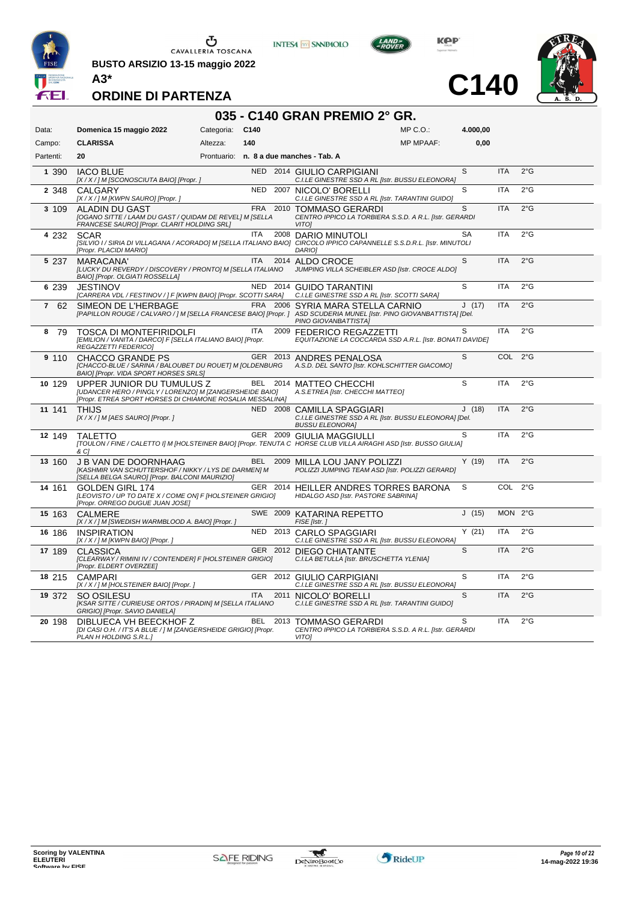

CAVALLERIA TOSCANA

**BUSTO ARSIZIO 13-15 maggio 2022**



KOP

**C140**



**ORDINE DI PARTENZA**

#### **035 - C140 GRAN PREMIO 2° GR.** Data: **Domenica 15 maggio 2022** Categoria: C140 Prontuario: **n. 8 a due manches - Tab. A** Campo: **CLARISSA** Partenti: **20** Altezza: **140**  $MP \cap \bigcap$ MP MPAAF: **4.000,00 0,00** 1 390 IACO BLUE NED 2014 GIULIO CARPIGIANI *[X / X / ] M [SCONOSCIUTA BAIO] [Propr. ] C.I.LE GINESTRE SSD A RL [Istr. BUSSU ELEONORA]* S ITA 2°G **2** 348 CALGARY NED 2007<br>  $[X/X]/M$ [KWPN SAURO] [Propr.] *[X / X / ] M [KWPN SAURO] [Propr. ] C.I.LE GINESTRE SSD A RL [Istr. TARANTINI GUIDO]*  $S$  ITA  $2^{\circ}G$ **3** 109 ALADIN DU GAST FRA 2010 TOMMASO GERARDI *[OGANO SITTE / LAAM DU GAST / QUIDAM DE REVEL] M [SELLA FRANCESE SAURO] [Propr. CLARIT HOLDING SRL] CENTRO IPPICO LA TORBIERA S.S.D. A R.L. [Istr. GERARDI VITO]* S ITA 2°G **4** 232 SCAR ITA 2008 DARIO MINUTOLI *[SILVIO I / SIRIA DI VILLAGANA / ACORADO] M [SELLA ITALIANO BAIO] [Propr. PLACIDI MARIO] CIRCOLO IPPICO CAPANNELLE S.S.D.R.L. [Istr. MINUTOLI DARIO]* SA ITA 2°G **5** 237 MARACANA' ITA 2014 ALDO CROCE *[LUCKY DU REVERDY / DISCOVERY / PRONTO] M [SELLA ITALIANO BAIO] [Propr. OLGIATI ROSSELLA] JUMPING VILLA SCHEIBLER ASD [Istr. CROCE ALDO]* S ITA 2°G **6** 239 JESTINOV NED 2014 GUIDO TARANTINI *[CARRERA VDL / FESTINOV / ] F [KWPN BAIO] [Propr. SCOTTI SARA] C.I.LE GINESTRE SSD A RL [Istr. SCOTTI SARA]*  $S$  ITA  $2^{\circ}G$ 1 62 SIMEON DE L'HERBAGE FRA 2006 SYRIA MARA STELLA CARNIO JUNEARE CONFINENTISTAL DE L'HERBAGE FRANCESE BAJOI IPropr. 1 ASD SCUDERIA MUNEL IIstr. PINO GIOVANBATTISTAI IDel *CINICON DE ETIENCINOE<br>[PAPILLON ROUGE / CALVARO / ] M [SELLA FRANCESE BAIO] [Propr. ] PINO GIOVANBATTISTA]* J (17) ITA 2°G **8** 79 TOSCA DI MONTEFIRIDOLFI ITA 2009 FEDERICO REGAZZETTI *[EMILION / VANITA / DARCO] F [SELLA ITALIANO BAIO] [Propr. REGAZZETTI FEDERICO] EQUITAZIONE LA COCCARDA SSD A.R.L. [Istr. BONATI DAVIDE]* S ITA 2°G **9** 110 CHACCO GRANDE PS **GER 2013 ANDRES PENALOSA** *[CHACCO-BLUE / SARINA / BALOUBET DU ROUET] M [OLDENBURG BAIO] [Propr. VIDA SPORT HORSES SRLS] A.S.D. DEL SANTO [Istr. KOHLSCHITTER GIACOMO]* S COL 2°G **10** 129 UPPER JUNIOR DU TUMULUS Z BEL 2014 MATTEO CHECCHI *[UDANCER HERO / PINGLY / LORENZO] M [ZANGERSHEIDE BAIO] [Propr. ETREA SPORT HORSES DI CHIAMONE ROSALIA MESSALINA] A.S.ETREA [Istr. CHECCHI MATTEO]* S ITA 2°G **11** 141 THIJS NED 2008 CAMILLA SPAGGIARI *[X / X / ] M [AES SAURO] [Propr. ] C.I.LE GINESTRE SSD A RL [Istr. BUSSU ELEONORA] [Del. BUSSU ELEONORA]* J (18) ITA 2°G **12** 149 TALETTO GER 2009 GIULIA MAGGIULLI *[TOULON / FINE / CALETTO I] M [HOLSTEINER BAIO] [Propr. TENUTA C HORSE CLUB VILLA AIRAGHI ASD [Istr. BUSSO GIULIA] & C]* S ITA 2°G **13** 160 J B VAN DE DOORNHAAG BEL 2009 MILLA LOU JANY POLIZZI *[KASHMIR VAN SCHUTTERSHOF / NIKKY / LYS DE DARMEN] M [SELLA BELGA SAURO] [Propr. BALCONI MAURIZIO] POLIZZI JUMPING TEAM ASD [Istr. POLIZZI GERARD]* Y (19) ITA 2°G **14** 161 GOLDEN GIRL 174 GER 2014 HEILLER ANDRES TORRES BARONA *[LEOVISTO / UP TO DATE X / COME ON] F [HOLSTEINER GRIGIO] [Propr. ORREGO DUGUE JUAN JOSE] HIDALGO ASD [Istr. PASTORE SABRINA]*  $S$  COL  $2^{\circ}G$ **15** 163 CALMERE **SWE 2009 KATARINA REPETTO** SWE 2009 **KATARINA REPETTO** *[X / X / ] M [SWEDISH WARMBLOOD A. BAIO] [Propr. ] FISE [Istr. ]* J (15) MON 2°G **16** 186 INSPIRATION NED 2013 CARLO SPAGGIARI<br>
X/X/JM[KWPN BAIO][Propr.] C.I.LE GINESTRE SSD A R *[X / X / ] M [KWPN BAIO] [Propr. ] C.I.LE GINESTRE SSD A RL [Istr. BUSSU ELEONORA]*  $Y$  (21) ITA  $2^{\circ}G$ **17** 189 CLASSICA GER 2012 DIEGO CHIATANTE *[CLEARWAY / RIMINI IV / CONTENDER] F [HOLSTEINER GRIGIO] [Propr. ELDERT OVERZEE] C.I.LA BETULLA [Istr. BRUSCHETTA YLENIA]*  $S$  ITA  $2^{\circ}G$ **18** 215 CAMPARI GER 2012 GIULIO CARPIGIANI *[X / X / ] M [HOLSTEINER BAIO] [Propr. ] C.I.LE GINESTRE SSD A RL [Istr. BUSSU ELEONORA]* S ITA 2°G **19** 372 SO OSILESU ITA 2011 NICOLO' BORELLI *C.I.LE GINESTRE SSD A RL [Istr. TARANTINI GUIDO] [KSAR SITTE / CURIEUSE ORTOS / PIRADIN] M [SELLA ITALIANO GRIGIO] [Propr. SAVIO DANIELA]*  $S$  ITA  $2^{\circ}G$ **20** 198 DIBLUECA VH BEECKHOF Z BEL 2013 TOMMASO GERARDI *[DI CASI O.H. / IT'S A BLUE / ] M [ZANGERSHEIDE GRIGIO] [Propr. PLAN H HOLDING S.R.L.] CENTRO IPPICO LA TORBIERA S.S.D. A R.L. [Istr. GERARDI VITO]*  $S$  ITA  $2^{\circ}G$



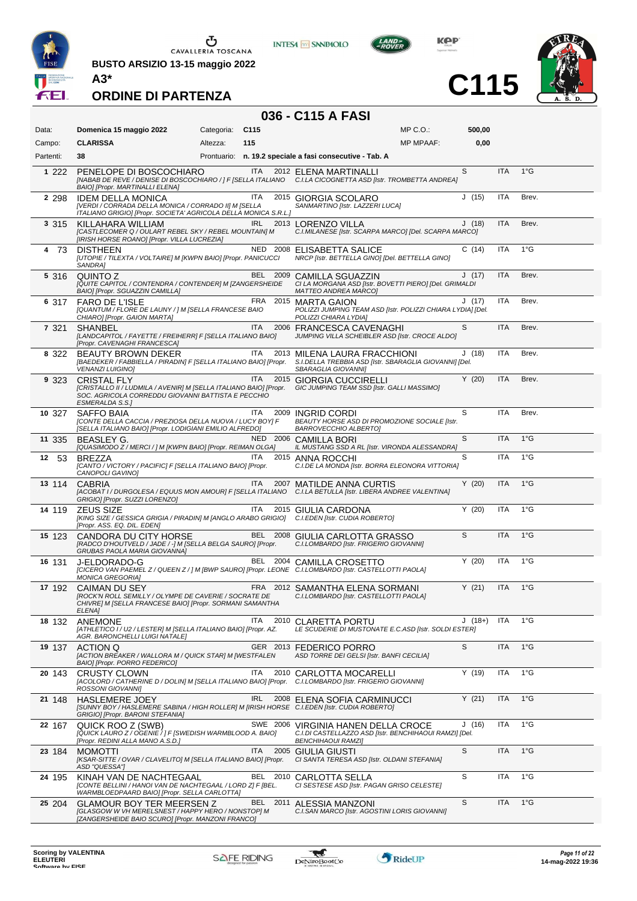

 $\begin{array}{c}\n\bullet \\
\bullet \\
\bullet \\
\bullet\n\end{array}$  CAVALLERIA TOSCANA

**BUSTO ARSIZIO 13-15 maggio 2022**



**INTESA M** SANPAOLO



**C115**



| 036 - C115 A FASI |                                                                                                                                                                           |            |                  |      |                                                                                                                            |              |          |            |               |  |  |  |
|-------------------|---------------------------------------------------------------------------------------------------------------------------------------------------------------------------|------------|------------------|------|----------------------------------------------------------------------------------------------------------------------------|--------------|----------|------------|---------------|--|--|--|
| Data:             | Domenica 15 maggio 2022                                                                                                                                                   | Categoria: | C <sub>115</sub> |      |                                                                                                                            | $MP C. O.$ : | 500,00   |            |               |  |  |  |
| Campo:            | <b>CLARISSA</b>                                                                                                                                                           | Altezza:   | 115              |      |                                                                                                                            | MP MPAAF:    | 0,00     |            |               |  |  |  |
| Partenti:         | 38                                                                                                                                                                        |            |                  |      | Prontuario: n. 19.2 speciale a fasi consecutive - Tab. A                                                                   |              |          |            |               |  |  |  |
| 1 2 2 2           | PENELOPE DI BOSCOCHIARO<br>[NABAB DE REVE / DENISE DI BOSCOCHIARO / ] F [SELLA ITALIANO C.I.LA CICOGNETTA ASD [Istr. TROMBETTA ANDREA]<br>BAIO] [Propr. MARTINALLI ELENA] |            | <b>ITA</b>       |      | 2012 ELENA MARTINALLI                                                                                                      |              | S        | <b>ITA</b> | $1^{\circ}$ G |  |  |  |
| 2 2 9 8           | <b>IDEM DELLA MONICA</b><br>[VERDI / CORRADA DELLA MONICA / CORRADO II] M [SELLA<br>ITALIANO GRIGIO] [Propr. SOCIETA' AGRICOLA DELLA MONICA S.R.L.]                       |            | <b>ITA</b>       |      | 2015 GIORGIA SCOLARO<br>SANMARTINO [Istr. LAZZERI LUCA]                                                                    |              | J(15)    | <b>ITA</b> | Brev.         |  |  |  |
| 3 3 1 5           | KILLAHARA WILLIAM<br>[CASTLECOMER Q / OULART REBEL SKY / REBEL MOUNTAIN] M<br>[IRISH HORSE ROANO] [Propr. VILLA LUCREZIA]                                                 |            | <b>IRL</b>       |      | 2013 LORENZO VILLA<br>C.I.MILANESE [Istr. SCARPA MARCO] [Del. SCARPA MARCO]                                                |              | J(18)    | <b>ITA</b> | Brev.         |  |  |  |
| 4 73              | <b>DISTHEEN</b><br>[UTOPIE / TILEXTA / VOLTAIRE] M [KWPN BAIO] [Propr. PANICUCCI<br>SANDRA1                                                                               |            |                  |      | NED 2008 ELISABETTA SALICE<br>NRCP [Istr. BETTELLA GINO] [Del. BETTELLA GINO]                                              |              | C(14)    | ITA        | $1^{\circ}$ G |  |  |  |
| 5 316             | QUINTO Z<br>[QUITE CAPITOL / CONTENDRA / CONTENDER] M [ZANGERSHEIDE<br>BAIO] [Propr. SGUAZZIN CAMILLA]                                                                    |            | BEL              |      | 2009 CAMILLA SGUAZZIN<br>CI LA MORGANA ASD [Istr. BOVETTI PIERO] [Del. GRIMALDI<br><b>MATTEO ANDREA MARCO]</b>             |              | J(17)    | <b>ITA</b> | Brev.         |  |  |  |
| 6 317             | <b>FARO DE L'ISLE</b><br>[QUANTUM / FLORE DE LAUNY / ] M [SELLA FRANCESE BAIO<br>CHIARO] [Propr. GAION MARTA]                                                             |            | FRA              |      | 2015 MARTA GAION<br>POLIZZI JUMPING TEAM ASD [Istr. POLIZZI CHIARA LYDIA] [Del.<br>POLIZZI CHIARA LYDIA]                   |              | J(17)    | ITA        | Brev.         |  |  |  |
| 7 3 2 1           | <b>SHANBEL</b><br>[LANDCAPITOL / FAYETTE / FREIHERR] F [SELLA ITALIANO BAIO]<br>[Propr. CAVENAGHI FRANCESCA]                                                              |            | <b>ITA</b>       |      | 2006 FRANCESCA CAVENAGHI<br>JUMPING VILLA SCHEIBLER ASD [Istr. CROCE ALDO]                                                 |              | S        | <b>ITA</b> | Brev.         |  |  |  |
| 8 322             | <b>BEAUTY BROWN DEKER</b><br>[BAEDEKER / FABBIELLA / PIRADIN] F [SELLA ITALIANO BAIO] [Propr.<br><b>VENANZI LUIGINO]</b>                                                  |            | ITA.             |      | 2013 MILENA LAURA FRACCHIONI<br>S.I.DELLA TREBBIA ASD [Istr. SBARAGLIA GIOVANNI] [Del.<br>SBARAGLIA GIOVANNII              |              | J(18)    | ITA        | Brev.         |  |  |  |
| 9 323             | <b>CRISTAL FLY</b><br>[CRISTALLO II / LUDMILA / AVENIR] M [SELLA ITALIANO BAIO] [Propr.<br>SOC. AGRICOLA CORREDDU GIOVANNI BATTISTA E PECCHIO<br><b>ESMERALDA S.S.1</b>   |            | ITA              |      | 2015 GIORGIA CUCCIRELLI<br>GIC JUMPING TEAM SSD [Istr. GALLI MASSIMO]                                                      |              | Y(20)    | <b>ITA</b> | Brev.         |  |  |  |
| 10 327            | SAFFO BAIA<br>[CONTE DELLA CACCIA / PREZIOSA DELLA NUOVA / LUCY BOY] F<br>[SELLA ITALIANO BAIO] [Propr. LODIGIANI EMILIO ALFREDO]                                         |            | ITA.             | 2009 | INGRID CORDI<br>BEAUTY HORSE ASD DI PROMOZIONE SOCIALE [Istr.<br>BARROVECCHIO ALBERTO]                                     |              | S        | <b>ITA</b> | Brev.         |  |  |  |
| 11 335            | BEASLEY G.<br>[QUASIMODO Z / MERCI / ] M [KWPN BAIO] [Propr. REIMAN OLGA]                                                                                                 |            |                  |      | NED 2006 CAMILLA BORI<br>IL MUSTANG SSD A RL [Istr. VIRONDA ALESSANDRA]                                                    |              | S        | <b>ITA</b> | $1^{\circ}$ G |  |  |  |
| 12 53             | <b>BREZZA</b><br>[CANTO / VICTORY / PACIFIC] F [SELLA ITALIANO BAIO] [Propr.<br>CANOPOLI GAVINO]                                                                          |            | <b>ITA</b>       |      | 2015 ANNA ROCCHI<br>C.I.DE LA MONDA [Istr. BORRA ELEONORA VITTORIA]                                                        |              | S        | ITA        | $1^{\circ}G$  |  |  |  |
| 13 114            | <b>CABRIA</b><br>[ACOBAT I / DURGOLESA / EQUUS MON AMOUR] F [SELLA ITALIANO C.I.LA BETULLA [Istr. LIBERA ANDREE VALENTINA]<br>GRIGIO] [Propr. SUZZI LORENZO]              |            | ITA.             |      | 2007 MATILDE ANNA CURTIS                                                                                                   |              | Y(20)    | <b>ITA</b> | $1^{\circ}$ G |  |  |  |
| 14 119            | <b>ZEUS SIZE</b><br>[KING SIZE / GESSICA GRIGIA / PIRADIN] M [ANGLO ARABO GRIGIO] C.I.EDEN [Istr. CUDIA ROBERTO]<br>[Propr. ASS. EQ. DIL. EDEN]                           |            | ITA              |      | 2015 GIULIA CARDONA                                                                                                        |              | Y(20)    | <b>ITA</b> | $1^{\circ}G$  |  |  |  |
| 15 123            | CANDORA DU CITY HORSE<br>[RADCO D'HOUTVELD / JADE / -] M [SELLA BELGA SAURO] [Propr.<br>GRUBAS PAOLA MARIA GIOVANNA]                                                      |            |                  |      | BEL 2008 GIULIA CARLOTTA GRASSO<br>C.I.LOMBARDO [Istr. FRIGERIO GIOVANNI]                                                  |              | S        | <b>ITA</b> | $1^{\circ}$ G |  |  |  |
| 16 131            | J-ELDORADO-G<br>[CICERO VAN PAEMEL Z / QUEEN Z / ] M [BWP SAURO] [Propr. LEONE C.I.LOMBARDO [Istr. CASTELLOTTI PAOLA]<br><b>MONICA GREGORIAI</b>                          |            |                  |      | BEL 2004 CAMILLA CROSETTO                                                                                                  |              | Y(20)    | <b>ITA</b> | $1^{\circ}G$  |  |  |  |
| 17 192            | CAIMAN DU SEY<br>[ROCK'N ROLL SEMILLY / OLYMPE DE CAVERIE / SOCRATE DE<br>CHIVRE] M [SELLA FRANCESE BAIO] [Propr. SORMANI SAMANTHA<br>ELENA]                              |            |                  |      | FRA 2012 SAMANTHA ELENA SORMANI<br>C.I.LOMBARDO [Istr. CASTELLOTTI PAOLA]                                                  |              | Y(21)    | <b>ITA</b> | $1^{\circ}$ G |  |  |  |
| 18 132            | <b>ANEMONE</b><br>[ATHLETICO I / U2 / LESTER] M [SELLA ITALIANO BAIO] [Propr. AZ.<br>AGR. BARONCHELLI LUIGI NATALE]                                                       |            | ITA              |      | 2010 CLARETTA PORTU<br>LE SCUDERIE DI MUSTONATE E.C.ASD [Istr. SOLDI ESTER]                                                |              | $J(18+)$ | <b>ITA</b> | $1^{\circ}G$  |  |  |  |
| 19 137            | ACTION Q<br>[ACTION BREAKER / WALLORA M / QUICK STAR] M [WESTFALEN<br>BAIO] [Propr. PORRO FEDERICO]                                                                       |            |                  |      | GER 2013 FEDERICO PORRO<br>ASD TORRE DEI GELSI [Istr. BANFI CECILIA]                                                       |              | S        | <b>ITA</b> | $1^{\circ}$ G |  |  |  |
| 20 143            | <b>CRUSTY CLOWN</b><br>[ACOLORD / CATHERINE D / DOLIN] M [SELLA ITALIANO BAIO] [Propr. C.I.LOMBARDO [Istr. FRIGERIO GIOVANNI]<br>ROSSONI GIOVANNI]                        |            | <b>ITA</b>       |      | 2010 CARLOTTA MOCARELLI                                                                                                    |              | Y(19)    | ITA        | $1^{\circ}$ G |  |  |  |
| 21 148            | <b>HASLEMERE JOEY</b><br>[SUNNY BOY / HASLEMERE SABINA / HIGH ROLLER] M [IRISH HORSE C.I.EDEN [Istr. CUDIA ROBERTO]<br>GRIGIO] [Propr. BARONI STEFANIA]                   |            | <b>IRL</b>       |      | 2008 ELENA SOFIA CARMINUCCI                                                                                                |              | Y(21)    | ITA        | $1^{\circ}$ G |  |  |  |
| 22 167            | QUICK ROO Z (SWB)<br>[QUICK LAURO Z / OGENIE / ] F [SWEDISH WARMBLOOD A. BAIO]<br>[Propr. REDINI ALLA MANO A.S.D.]                                                        |            |                  |      | SWE 2006 VIRGINIA HANEN DELLA CROCE<br>C.I.DI CASTELLAZZO ASD [Istr. BENCHIHAOUI RAMZI] [Del.<br><b>BENCHIHAOUI RAMZI]</b> |              | J(16)    | ITA        | $1^{\circ}$ G |  |  |  |
| 23 184            | <b>MOMOTTI</b><br>[KSAR-SITTE / OVAR / CLAVELITO] M [SELLA ITALIANO BAIO] [Propr.<br>ASD "QUESSA"]                                                                        |            | <b>ITA</b>       |      | 2005 GIULIA GIUSTI<br>CI SANTA TERESA ASD [Istr. OLDANI STEFANIA]                                                          |              | S        | ITA        | $1^{\circ}$ G |  |  |  |
| 24 195            | KINAH VAN DE NACHTEGAAL<br>[CONTE BELLINI / HANOI VAN DE NACHTEGAAL / LORD Z] F [BEL.<br>WARMBLOEDPAARD BAIO] [Propr. SELLA CARLOTTA]                                     |            |                  |      | BEL 2010 CARLOTTA SELLA<br>CI SESTESE ASD [Istr. PAGAN GRISO CELESTE]                                                      |              | S        | ITA        | $1^{\circ}$ G |  |  |  |
| 25 204            | <b>GLAMOUR BOY TER MEERSEN Z</b><br>[GLASGOW W VH MERELSNEST / HAPPY HERO / NONSTOP] M<br>[ZANGERSHEIDE BAIO SCURO] [Propr. MANZONI FRANCO]                               |            | BEL 2011         |      | ALESSIA MANZONI<br>C.I.SAN MARCO [Istr. AGOSTINI LORIS GIOVANNI]                                                           |              | S        | <b>ITA</b> | $1^{\circ}G$  |  |  |  |

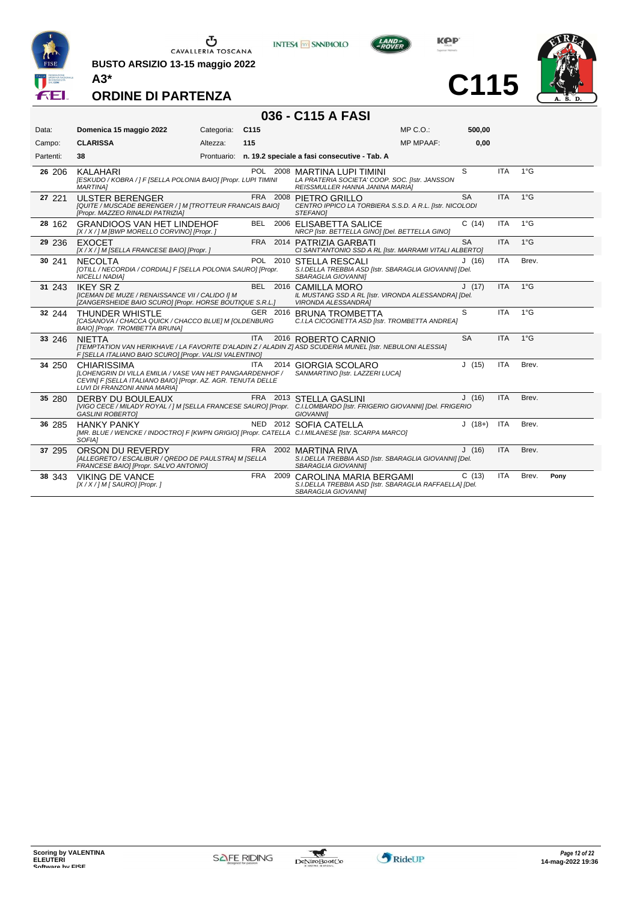

**BUSTO ARSIZIO 13-15 maggio 2022 A3\***



**KOP** 

**C115**



**ORDINE DI PARTENZA**

# **036 - C115 A FASI**

| Data:     | Domenica 15 maggio 2022                                                                                                                                                                | Categoria: | C115       |          |                                                                                                                   | $MP C. O.$ :     | 500,00    |            |               |      |
|-----------|----------------------------------------------------------------------------------------------------------------------------------------------------------------------------------------|------------|------------|----------|-------------------------------------------------------------------------------------------------------------------|------------------|-----------|------------|---------------|------|
| Campo:    | <b>CLARISSA</b>                                                                                                                                                                        | Altezza:   | 115        |          |                                                                                                                   | <b>MP MPAAF:</b> | 0,00      |            |               |      |
| Partenti: | 38                                                                                                                                                                                     |            |            |          | Prontuario: n. 19.2 speciale a fasi consecutive - Tab. A                                                          |                  |           |            |               |      |
| 26 206    | <b>KALAHARI</b><br>[ESKUDO / KOBRA / ] F [SELLA POLONIA BAIO] [Propr. LUPI TIMINI<br><b>MARTINAI</b>                                                                                   |            |            |          | POL 2008 MARTINA LUPI TIMINI<br>LA PRATERIA SOCIETA' COOP. SOC. [Istr. JANSSON<br>REISSMULLER HANNA JANINA MARIA] |                  | S         | <b>ITA</b> | $1^{\circ}$ G |      |
| 27 221    | <b>ULSTER BERENGER</b><br>[QUITE / MUSCADE BERENGER / ] M [TROTTEUR FRANCAIS BAIO]<br>[Propr. MAZZEO RINALDI PATRIZIA]                                                                 |            |            |          | FRA 2008 PIETRO GRILLO<br>CENTRO IPPICO LA TORBIERA S.S.D. A R.L. [Istr. NICOLODI<br>STEFANOI                     |                  | <b>SA</b> | <b>ITA</b> | $1^{\circ}$ G |      |
| 28 162    | <b>GRANDIOOS VAN HET LINDEHOF</b><br>[X / X / ] M [BWP MORELLO CORVINO] [Propr. ]                                                                                                      |            | BEL        |          | 2006 ELISABETTA SALICE<br>NRCP [Istr. BETTELLA GINO] [Del. BETTELLA GINO]                                         |                  | C(14)     | <b>ITA</b> | $1^{\circ}$ G |      |
| 29 236    | <b>EXOCET</b><br>[X / X / ] M [SELLA FRANCESE BAIO] [Propr. ]                                                                                                                          |            | FRA        |          | 2014 PATRIZIA GARBATI<br>CI SANT'ANTONIO SSD A RL [Istr. MARRAMI VITALI ALBERTO]                                  |                  | <b>SA</b> | <b>ITA</b> | $1^{\circ}$ G |      |
| 30 241    | <b>NECOLTA</b><br>[OTILL / NECORDIA / CORDIAL] F [SELLA POLONIA SAURO] [Propr.<br><b>NICELLI NADIAI</b>                                                                                |            |            |          | POL 2010 STELLA RESCALI<br>S.I.DELLA TREBBIA ASD [Istr. SBARAGLIA GIOVANNI] [Del.<br>SBARAGLIA GIOVANNII          |                  | J(16)     | <b>ITA</b> | Brev.         |      |
| 31 243    | <b>IKEY SR Z</b><br><b>IICEMAN DE MUZE / RENAISSANCE VII / CALIDO II M</b><br>[ZANGERSHEIDE BAIO SCURO] [Propr. HORSE BOUTIQUE S.R.L.]                                                 |            |            |          | BEL 2016 CAMILLA MORO<br>IL MUSTANG SSD A RL [Istr. VIRONDA ALESSANDRA] [Del.<br><b>VIRONDA ALESSANDRA1</b>       |                  | J(17)     | <b>ITA</b> | $1^{\circ}$ G |      |
| 32 244    | <b>THUNDER WHISTLE</b><br>[CASANOVA / CHACCA QUICK / CHACCO BLUE] M [OLDENBURG<br>BAIO] [Propr. TROMBETTA BRUNA]                                                                       |            |            | GER 2016 | <b>BRUNA TROMBETTA</b><br>C.I.LA CICOGNETTA ASD [Istr. TROMBETTA ANDREA]                                          |                  | S         | <b>ITA</b> | $1^{\circ}$ G |      |
| 33 246    | <b>NIFTTA</b><br>[TEMPTATION VAN HERIKHAVE / LA FAVORITE D'ALADIN Z / ALADIN Z] ASD SCUDERIA MUNEL [Istr. NEBULONI ALESSIA]<br>F [SELLA ITALIANO BAIO SCURO] [Propr. VALISI VALENTINO] |            | <b>ITA</b> |          | 2016 ROBERTO CARNIO                                                                                               |                  | <b>SA</b> | <b>ITA</b> | $1^{\circ}$ G |      |
| 34 250    | <b>CHIARISSIMA</b><br>ILOHENGRIN DI VILLA EMILIA / VASE VAN HET PANGAARDENHOF /<br>CEVIN] F [SELLA ITALIANO BAIO] [Propr. AZ. AGR. TENUTA DELLE<br>LUVI DI FRANZONI ANNA MARIA]        |            | ITA.       |          | 2014 GIORGIA SCOLARO<br>SANMARTINO [Istr. LAZZERI LUCA]                                                           |                  | J(15)     | <b>ITA</b> | Brev.         |      |
| 35 280    | DERBY DU BOULEAUX<br>[VIGO CECE / MILADY ROYAL / ] M [SELLA FRANCESE SAURO] [Propr. C.I.LOMBARDO [Istr. FRIGERIO GIOVANNI] [Del. FRIGERIO<br><b>GASLINI ROBERTOI</b>                   |            |            |          | FRA 2013 STELLA GASLINI<br><b>GIOVANNII</b>                                                                       |                  | J(16)     | <b>ITA</b> | Brev.         |      |
| 36 285    | <b>HANKY PANKY</b><br>[MR. BLUE / WENCKE / INDOCTRO] F [KWPN GRIGIO] [Propr. CATELLA C.I.MILANESE [Istr. SCARPA MARCO]<br>SOFIA]                                                       |            |            |          | NED 2012 SOFIA CATELLA                                                                                            |                  | $J(18+)$  | <b>ITA</b> | Brev.         |      |
| 37 295    | ORSON DU REVERDY<br>[ALLEGRETO / ESCALIBUR / QREDO DE PAULSTRA] M [SELLA<br>FRANCESE BAIO] [Propr. SALVO ANTONIO]                                                                      |            |            |          | FRA 2002 MARTINA RIVA<br>S.I.DELLA TREBBIA ASD [Istr. SBARAGLIA GIOVANNI] [Del.<br>SBARAGLIA GIOVANNI]            |                  | J(16)     | <b>ITA</b> | Brev.         |      |
| 38 343    | <b>VIKING DE VANCE</b><br>[X / X / ] M [ SAURO] [Propr. ]                                                                                                                              |            | FRA        |          | 2009 CAROLINA MARIA BERGAMI<br>S.I.DELLA TREBBIA ASD [Istr. SBARAGLIA RAFFAELLA] [Del.<br>SBARAGLIA GIOVANNII     |                  | C(13)     | <b>ITA</b> | Brev.         | Pony |

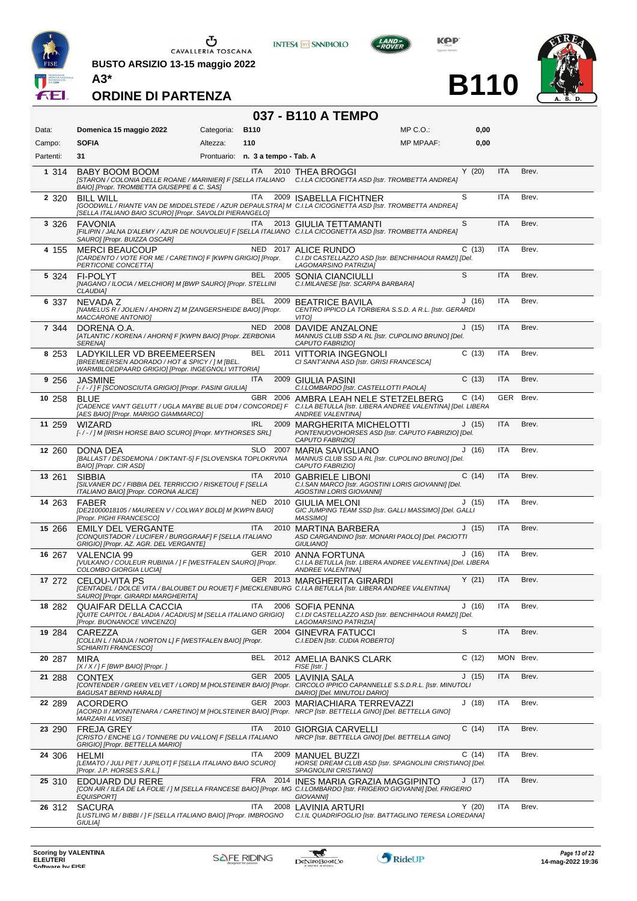

**BUSTO ARSIZIO 13-15 maggio 2022 A3\***



**INTESA M** SANPAOLO

**KOP** 

**B110**



| 037 - B110 A TEMPO |                                                                                                                                                                                          |                                   |                    |                                                                                                                                 |                  |       |            |       |  |  |  |  |
|--------------------|------------------------------------------------------------------------------------------------------------------------------------------------------------------------------------------|-----------------------------------|--------------------|---------------------------------------------------------------------------------------------------------------------------------|------------------|-------|------------|-------|--|--|--|--|
| Data:              | Domenica 15 maggio 2022                                                                                                                                                                  | Categoria:<br><b>B110</b>         |                    |                                                                                                                                 | $MP C. O.$ :     | 0,00  |            |       |  |  |  |  |
| Campo:             | <b>SOFIA</b>                                                                                                                                                                             | Altezza:<br>110                   |                    |                                                                                                                                 | <b>MP MPAAF:</b> | 0,00  |            |       |  |  |  |  |
| Partenti:          | 31                                                                                                                                                                                       | Prontuario: n. 3 a tempo - Tab. A |                    |                                                                                                                                 |                  |       |            |       |  |  |  |  |
| 1 3 1 4            | BABY BOOM BOOM<br>[STARON / COLONIA DELLE ROANE / MARINIER] F [SELLA ITALIANO C.I.LA CICOGNETTA ASD [Istr. TROMBETTA ANDREA]<br>BAIO] [Propr. TROMBETTA GIUSEPPE & C. SAS]               |                                   | <b>ITA</b>         | 2010 THEA BROGGI                                                                                                                |                  | Y(20) | <b>ITA</b> | Brev. |  |  |  |  |
| 2 3 2 0            | <b>BILL WILL</b><br>[GOODWILL / RIANTE VAN DE MIDDELSTEDE / AZUR DEPAULSTRA] M C.I.LA CICOGNETTA ASD [Istr. TROMBETTA ANDREA]<br>[SELLA ITALIANO BAIO SCURO] [Propr. SAVOLDI PIERANGELO] |                                   | ITA                | 2009 ISABELLA FICHTNER                                                                                                          |                  | S     | <b>ITA</b> | Brev. |  |  |  |  |
| 3 3 2 6            | <b>FAVONIA</b><br>[FILIPIN / JALNA D'ALEMY / AZUR DE NOUVOLIEU] F [SELLA ITALIANO C.I.LA CICOGNETTA ASD [Istr. TROMBETTA ANDREA]<br>SAURO] [Propr. BUIZZA OSCAR]                         |                                   | <b>ITA</b>         | 2013 GIULIA TETTAMANTI                                                                                                          |                  | S     | <b>ITA</b> | Brev. |  |  |  |  |
| 4 155              | <b>MERCI BEAUCOUP</b><br>[CARDENTO / VOTE FOR ME / CARETINO] F [KWPN GRIGIO] [Propr.<br>PERTICONE CONCETTA]                                                                              |                                   |                    | NED 2017 ALICE RUNDO<br>C.I.DI CASTELLAZZO ASD [Istr. BENCHIHAOUI RAMZI] [Del.<br>LAGOMARSINO PATRIZIA]                         |                  | C(13) | <b>ITA</b> | Brev. |  |  |  |  |
| 5 3 2 4            | <b>FI-POLYT</b><br>[NAGANO / ILOCIA / MELCHIOR] M [BWP SAURO] [Propr. STELLINI<br><b>CLAUDIA1</b>                                                                                        |                                   |                    | BEL 2005 SONIA CIANCIULLI<br>C.I.MILANESE [Istr. SCARPA BARBARA]                                                                |                  | S     | <b>ITA</b> | Brev. |  |  |  |  |
| 6 337              | NEVADA Z<br>[NAMELUS R / JOLIEN / AHORN Z] M [ZANGERSHEIDE BAIO] [Propr.<br>MACCARONE ANTONIO]                                                                                           |                                   |                    | BEL 2009 BEATRICE BAVILA<br>CENTRO IPPICO LA TORBIERA S.S.D. A R.L. [Istr. GERARDI<br>VITO]                                     |                  | J(16) | <b>ITA</b> | Brev. |  |  |  |  |
| 7 3 4 4            | DORENA O.A.<br>[ATLANTIC / KORENA / AHORN] F [KWPN BAIO] [Propr. ZERBONIA<br><b>SERENA1</b>                                                                                              |                                   |                    | NED 2008 DAVIDE ANZALONE<br>MANNUS CLUB SSD A RL [Istr. CUPOLINO BRUNO] [Del.<br>CAPUTO FABRIZIOI                               |                  | J(15) | <b>ITA</b> | Brev. |  |  |  |  |
| 8 2 5 3            | LADYKILLER VD BREEMEERSEN<br>[BREEMEERSEN ADORADO / HOT & SPICY / ] M [BEL.<br>WARMBLOEDPAARD GRIGIO] [Propr. INGEGNOLI VITTORIA]                                                        |                                   |                    | BEL 2011 VITTORIA INGEGNOLI<br>CI SANT'ANNA ASD [Istr. GRISI FRANCESCA]                                                         |                  | C(13) | <b>ITA</b> | Brev. |  |  |  |  |
| 9 256              | <b>JASMINE</b><br>[-/-/] F [SCONOSCIUTA GRIGIO] [Propr. PASINI GIULIA]                                                                                                                   |                                   | ITA                | 2009 GIULIA PASINI<br>C.I.LOMBARDO [Istr. CASTELLOTTI PAOLA]                                                                    |                  | C(13) | <b>ITA</b> | Brev. |  |  |  |  |
| 10 258             | <b>BLUE</b><br>[CADENCE VAN'T GELUTT / UGLA MAYBE BLUE D'04 / CONCORDE] F<br>[AES BAIO] [Propr. MARIGO GIAMMARCO]                                                                        |                                   |                    | GBR 2006 AMBRA LEAH NELE STETZELBERG<br>C.I.LA BETULLA [Istr. LIBERA ANDREE VALENTINA] [Del. LIBERA<br><b>ANDREE VALENTINA1</b> |                  | C(14) | GER Brev.  |       |  |  |  |  |
| 11 259             | <b>WIZARD</b><br>[-/-/] M [IRISH HORSE BAIO SCURO] [Propr. MYTHORSES SRL]                                                                                                                |                                   | <b>IRL</b><br>2009 | <b>MARGHERITA MICHELOTTI</b><br>PONTENUOVOHORSES ASD [Istr. CAPUTO FABRIZIO] [Del.<br>CAPUTO FABRIZIO]                          |                  | J(15) | <b>ITA</b> | Brev. |  |  |  |  |
| 12 260             | DONA DEA<br>[BALLAST / DESDEMONA / DIKTANT-5] F [SLOVENSKA TOPLOKRVNA<br>BAIO] [Propr. CIR ASD]                                                                                          |                                   | SLO 2007           | <b>MARIA SAVIGLIANO</b><br>MANNUS CLUB SSD A RL [Istr. CUPOLINO BRUNO] [Del.<br>CAPUTO FABRIZIO]                                |                  | J(16) | <b>ITA</b> | Brev. |  |  |  |  |
| 13 261             | <b>SIBBIA</b><br>[SILVANER DC / FIBBIA DEL TERRICCIO / RISKETOU] F [SELLA<br>ITALIANO BAIO] [Propr. CORONA ALICE]                                                                        |                                   | <b>ITA</b><br>2010 | <b>GABRIELE LIBONI</b><br>C.I.SAN MARCO [Istr. AGOSTINI LORIS GIOVANNI] [Del.<br>AGOSTINI LORIS GIOVANNI]                       |                  | C(14) | <b>ITA</b> | Brev. |  |  |  |  |
| 14 263             | FABER<br>[DE21000018105 / MAUREEN V / COLWAY BOLD] M [KWPN BAIO]<br>[Propr. PIGHI FRANCESCO]                                                                                             |                                   | NED 2010           | GIULIA MELONI<br>GIC JUMPING TEAM SSD [Istr. GALLI MASSIMO] [Del. GALLI<br>MASSIMO1                                             |                  | J(15) | <b>ITA</b> | Brev. |  |  |  |  |
| 15 266             | <b>EMILY DEL VERGANTE</b><br>[CONQUISTADOR / LUCIFER / BURGGRAAF] F [SELLA ITALIANO<br>GRIGIO] [Propr. AZ. AGR. DEL VERGANTE]                                                            |                                   | ITA<br>2010        | MARTINA BARBERA<br>ASD CARGANDINO [Istr. MONARI PAOLO] [Del. PACIOTTI<br><b>GIULIANO1</b>                                       |                  | J(15) | <b>ITA</b> | Brev. |  |  |  |  |
| 16 267             | VALENCIA 99<br>[VULKANO / COULEUR RUBINIA / ] F [WESTFALEN SAURO] [Propr.<br>COLOMBO GIORGIA LUCIA]                                                                                      |                                   |                    | GER 2010 ANNA FORTUNA<br>C.I.LA BETULLA [Istr. LIBERA ANDREE VALENTINA] [Del. LIBERA<br><b>ANDREE VALENTINAI</b>                |                  | J(16) | ITA        | Brev. |  |  |  |  |
| 17 272             | <b>CELOU-VITA PS</b><br>[CENTADEL / DOLCE VITA / BALOUBET DU ROUET] F [MECKLENBURG C.I.LA BETULLA [Istr. LIBERA ANDREE VALENTINA]<br>SAURO] [Propr. GIRARDI MARGHERITA]                  |                                   |                    | GER 2013 MARGHERITA GIRARDI                                                                                                     |                  | Y(21) | <b>ITA</b> | Brev. |  |  |  |  |
| 18 282             | QUAIFAR DELLA CACCIA<br>[QUITE CAPITOL / BALADIA / ACADIUS] M [SELLA ITALIANO GRIGIO]<br>[Propr. BUONANOCE VINCENZO]                                                                     |                                   | ITA                | 2006 SOFIA PENNA<br>C.I.DI CASTELLAZZO ASD [Istr. BENCHIHAOUI RAMZI] [Del.<br>LAGOMARSINO PATRIZIA]                             |                  | J(16) | <b>ITA</b> | Brev. |  |  |  |  |
| 19 284             | CAREZZA<br>[COLLIN L / NADJA / NORTON L] F [WESTFALEN BAIO] [Propr.<br><b>SCHIARITI FRANCESCOI</b>                                                                                       |                                   |                    | GER 2004 GINEVRA FATUCCI<br>C.I.EDEN [Istr. CUDIA ROBERTO]                                                                      |                  | S     | <b>ITA</b> | Brev. |  |  |  |  |
| 20 287             | <b>MIRA</b><br>$[X/X]/F$ [BWP BAIO] [Propr.]                                                                                                                                             |                                   |                    | BEL 2012 AMELIA BANKS CLARK<br>FISE [Istr.]                                                                                     |                  | C(12) | MON Brev.  |       |  |  |  |  |
| 21 288             | <b>CONTEX</b><br>[CONTENDER / GREEN VELVET / LORD] M [HOLSTEINER BAIO] [Propr. CIRCOLO IPPICO CAPANNELLE S.S.D.R.L. [Istr. MINUTOLI<br><b>BAGUSAT BERND HARALDI</b>                      |                                   |                    | GER 2005 LAVINIA SALA<br>DARIO] [Del. MINUTOLI DARIO]                                                                           |                  | J(15) | <b>ITA</b> | Brev. |  |  |  |  |
| 22 289             | ACORDERO<br>[ACORD II / MONNTENARA / CARETINO] M [HOLSTEINER BAIO] [Propr. NRCP [Istr. BETTELLA GINO] [Del. BETTELLA GINO]<br><b>MARZARI ALVISE]</b>                                     |                                   |                    | GER 2003 MARIACHIARA TERREVAZZI                                                                                                 |                  | J(18) | <b>ITA</b> | Brev. |  |  |  |  |
| 23 290             | <b>FREJA GREY</b><br>[CRISTO / ENCHE LG / TONNERE DU VALLON] F [SELLA ITALIANO<br>GRIGIO] [Propr. BETTELLA MARIO]                                                                        |                                   | ITA.               | 2010 GIORGIA CARVELLI<br>NRCP [Istr. BETTELLA GINO] [Del. BETTELLA GINO]                                                        |                  | C(14) | ITA        | Brev. |  |  |  |  |
| 24 306             | HELMI<br>[LEMATO / JULI PET / JUPILOT] F [SELLA ITALIANO BAIO SCURO]<br>[Propr. J.P. HORSES S.R.L.]                                                                                      |                                   | ITA                | 2009 MANUEL BUZZI<br>HORSE DREAM CLUB ASD [Istr. SPAGNOLINI CRISTIANO] [Del.<br>SPAGNOLINI CRISTIANO]                           |                  | C(14) | ITA        | Brev. |  |  |  |  |
| 25 310             | EDOUARD DU RERE<br>[CON AIR / ILEA DE LA FOLIE / ] M [SELLA FRANCESE BAIO] [Propr. MG C.I.LOMBARDO [Istr. FRIGERIO GIOVANNI] [Del. FRIGERIO<br>EQUISPORT]                                |                                   |                    | FRA 2014 INES MARIA GRAZIA MAGGIPINTO<br><b>GIOVANNII</b>                                                                       |                  | J(17) | ITA        | Brev. |  |  |  |  |
| 26 312             | <b>SACURA</b><br>[LUSTLING M / BIBBI / ] F [SELLA ITALIANO BAIO] [Propr. IMBROGNO<br><b>GIULIAI</b>                                                                                      |                                   | <b>ITA</b>         | 2008 LAVINIA ARTURI<br>C.I.IL QUADRIFOGLIO [Istr. BATTAGLINO TERESA LOREDANA]                                                   |                  | Y(20) | ITA        | Brev. |  |  |  |  |

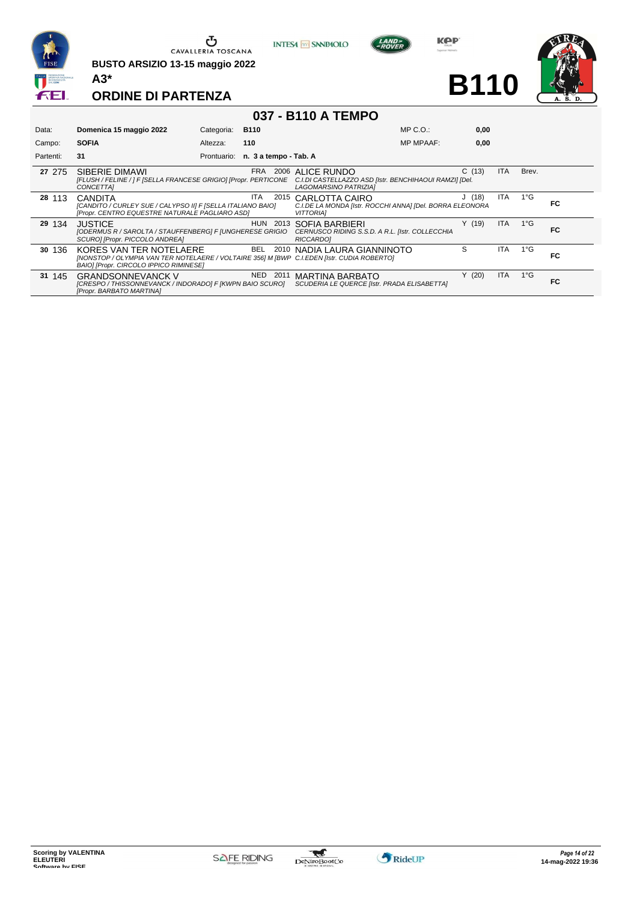

**BUSTO ARSIZIO 13-15 maggio 2022 A3\***



**KOP** 

**B110**



**ORDINE DI PARTENZA**

#### **037 - B110 A TEMPO**

| Data:     | Domenica 15 maggio 2022                                                                                                                                         | Categoria:  | <b>B110</b>           | $MP C. O.$ :                                                                                        | 0,00  |      |               |     |
|-----------|-----------------------------------------------------------------------------------------------------------------------------------------------------------------|-------------|-----------------------|-----------------------------------------------------------------------------------------------------|-------|------|---------------|-----|
| Campo:    | <b>SOFIA</b>                                                                                                                                                    | Altezza:    | 110                   | <b>MP MPAAF:</b>                                                                                    | 0,00  |      |               |     |
| Partenti: | 31                                                                                                                                                              | Prontuario: | n. 3 a tempo - Tab. A |                                                                                                     |       |      |               |     |
| 27 275    | SIBERIE DIMAWI<br>[FLUSH / FELINE / ] F [SELLA FRANCESE GRIGIO] [Propr. PERTICONE<br>CONCETTAI                                                                  |             | <b>FRA</b>            | 2006 ALICE RUNDO<br>C.I.DI CASTELLAZZO ASD [Istr. BENCHIHAOUI RAMZI] [Del.<br>LAGOMARSINO PATRIZIA] | C(13) | ITA. | Brev.         |     |
| 28 113    | <b>CANDITA</b><br>[CANDITO / CURLEY SUE / CALYPSO II] F [SELLA ITALIANO BAIO]<br>[Propr. CENTRO EQUESTRE NATURALE PAGLIARO ASD]                                 |             | ITA.                  | 2015 CARLOTTA CAIRO<br>C.I.DE LA MONDA [Istr. ROCCHI ANNA] [Del. BORRA ELEONORA<br><b>VITTORIAI</b> | J(18) | ITA  | $1^{\circ}$ G | FC  |
| 29 134    | <b>JUSTICE</b><br>[ODERMUS R / SAROLTA / STAUFFENBERG] F [UNGHERESE GRIGIO<br>SCURO] [Propr. PICCOLO ANDREA]                                                    |             | HUN 2013              | SOFIA BARBIERI<br>CERNUSCO RIDING S.S.D. A R.L. [Istr. COLLECCHIA<br><b>RICCARDOI</b>               | Y(19) | ITA. | $1^{\circ}$ G | FC. |
| 30 136    | KORES VAN TER NOTELAERE<br>[NONSTOP / OLYMPIA VAN TER NOTELAERE / VOLTAIRE 356] M [BWP C.I.EDEN [Istr. CUDIA ROBERTO]<br>BAIO] [Propr. CIRCOLO IPPICO RIMINESE] |             | BEL.<br>2010          | NADIA LAURA GIANNINOTO                                                                              | S     | ITA. | $1^{\circ}$ G | FC. |
| 31 145    | <b>GRANDSONNEVANCK V</b><br>[CRESPO / THISSONNEVANCK / INDORADO] F [KWPN BAIO SCURO]<br>[Propr. BARBATO MARTINA]                                                |             | <b>NED</b><br>2011    | <b>MARTINA BARBATO</b><br>SCUDERIA LE QUERCE [Istr. PRADA ELISABETTA]                               | Y(20) | ITA  | $1^{\circ}$ G | FC. |

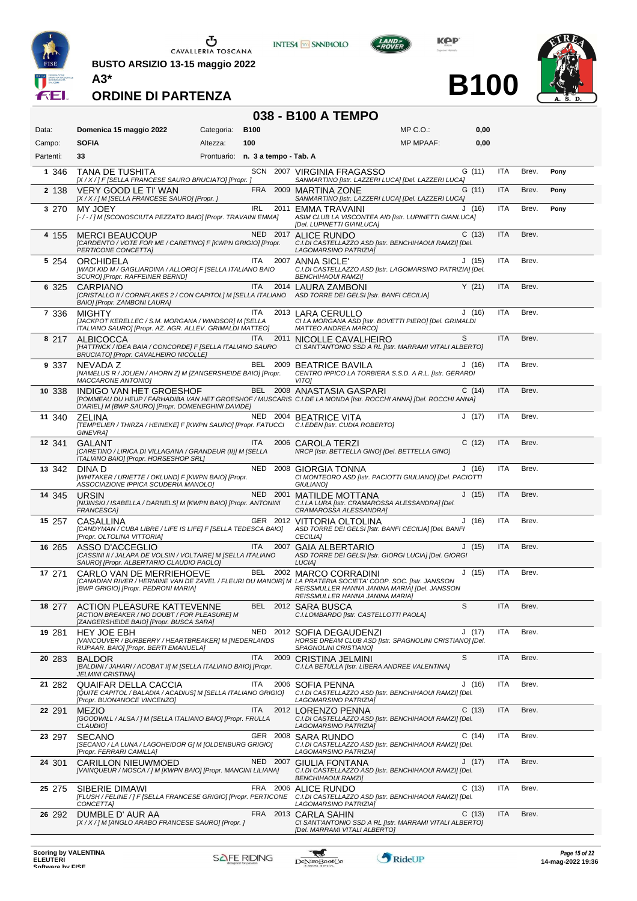

 $\begin{array}{c}\n\bullet \\
\bullet \\
\bullet \\
\bullet\n\end{array}$  CAVALLERIA TOSCANA

**BUSTO ARSIZIO 13-15 maggio 2022**



**KOP** 

**B100**



**ORDINE DI PARTENZA**

#### **038 - B100 A TEMPO**

| Data:     | Domenica 15 maggio 2022                                                                                                           | Categoria:                        | <b>B100</b> |          | $MP C. O.$ :                                                                                                                                                                                                                | 0,00  |            |       |      |
|-----------|-----------------------------------------------------------------------------------------------------------------------------------|-----------------------------------|-------------|----------|-----------------------------------------------------------------------------------------------------------------------------------------------------------------------------------------------------------------------------|-------|------------|-------|------|
| Campo:    | <b>SOFIA</b>                                                                                                                      | Altezza:                          | 100         |          | <b>MP MPAAF:</b>                                                                                                                                                                                                            | 0,00  |            |       |      |
| Partenti: | 33                                                                                                                                | Prontuario: n. 3 a tempo - Tab. A |             |          |                                                                                                                                                                                                                             |       |            |       |      |
| 1 346     | <b>TANA DE TUSHITA</b><br>[X / X / ] F [SELLA FRANCESE SAURO BRUCIATO] [Propr. ]                                                  |                                   |             |          | SCN 2007 VIRGINIA FRAGASSO<br>SANMARTINO [Istr. LAZZERI LUCA] [Del. LAZZERI LUCA]                                                                                                                                           | G(11) | <b>ITA</b> | Brev. | Pony |
| 2 1 3 8   | <b>VERY GOOD LE TI' WAN</b><br>[X / X / ] M [SELLA FRANCESE SAURO] [Propr. ]                                                      |                                   |             |          | FRA 2009 MARTINA ZONE<br>SANMARTINO [Istr. LAZZERI LUCA] [Del. LAZZERI LUCA]                                                                                                                                                | G(11) | <b>ITA</b> | Brev. | Pony |
| 3 270     | MY JOEY<br>[-/-/] M [SCONOSCIUTA PEZZATO BAIO] [Propr. TRAVAINI EMMA]                                                             |                                   | <b>IRL</b>  |          | 2011 EMMA TRAVAINI<br>ASIM CLUB LA VISCONTEA AID [Istr. LUPINETTI GIANLUCA]<br>[Del. LUPINETTI GIANLUCA]                                                                                                                    | J(16) | <b>ITA</b> | Brev. | Pony |
| 4 155     | <b>MERCI BEAUCOUP</b><br>[CARDENTO / VOTE FOR ME / CARETINO] F [KWPN GRIGIO] [Propr.<br>PERTICONE CONCETTA]                       |                                   |             |          | NED 2017 ALICE RUNDO<br>C.I.DI CASTELLAZZO ASD [Istr. BENCHIHAOUI RAMZI] [Del.<br>LAGOMARSINO PATRIZIA]                                                                                                                     | C(13) | <b>ITA</b> | Brev. |      |
| 5 2 5 4   | ORCHIDELA<br>[WADI KID M / GAGLIARDINA / ALLORO] F [SELLA ITALIANO BAIO<br>SCURO] [Propr. RAFFEINER BERND]                        |                                   | ITA.        |          | 2007 ANNA SICLE'<br>C.I.DI CASTELLAZZO ASD [Istr. LAGOMARSINO PATRIZIA] [Del.<br><b>BENCHIHAOUI RAMZI]</b>                                                                                                                  | J(15) | <b>ITA</b> | Brev. |      |
| 6 3 2 5   | <b>CARPIANO</b><br>BAIO] [Propr. ZAMBONI LAURA]                                                                                   |                                   | ITA.        |          | 2014 LAURA ZAMBONI<br>[CRISTALLO II / CORNFLAKES 2 / CON CAPITOL] M [SELLA ITALIANO ASD TORRE DEI GELSI [Istr. BANFI CECILIA]                                                                                               | Y(21) | <b>ITA</b> | Brev. |      |
| 7 3 3 6   | <b>MIGHTY</b><br>[JACKPOT KERELLEC / S.M. MORGANA / WINDSOR] M [SELLA<br>ITALIANO SAURO] [Propr. AZ. AGR. ALLEV. GRIMALDI MATTEO] |                                   | ITA.        |          | 2013 LARA CERULLO<br>CI LA MORGANA ASD [Istr. BOVETTI PIERO] [Del. GRIMALDI<br><b>MATTEO ANDREA MARCO]</b>                                                                                                                  | J(16) | <b>ITA</b> | Brev. |      |
| 8 217     | <b>ALBICOCCA</b><br>[HATTRICK / IDEA BAIA / CONCORDE] F [SELLA ITALIANO SAURO<br>BRUCIATO] [Propr. CAVALHEIRO NICOLLE]            |                                   | ITA.        |          | S<br>2011 NICOLLE CAVALHEIRO<br>CI SANT'ANTONIO SSD A RL [Istr. MARRAMI VITALI ALBERTO]                                                                                                                                     |       | <b>ITA</b> | Brev. |      |
| 9 3 3 7   | <b>NEVADA Z</b><br>[NAMELUS R / JOLIEN / AHORN Z] M [ZANGERSHEIDE BAIO] [Propr.<br>MACCARONE ANTONIO]                             |                                   |             |          | BEL 2009 BEATRICE BAVILA<br>CENTRO IPPICO LA TORBIERA S.S.D. A R.L. [Istr. GERARDI<br><b>VITO1</b>                                                                                                                          | J(16) | ITA        | Brev. |      |
| 10 338    | INDIGO VAN HET GROESHOF<br>D'ARIEL] M [BWP SAURO] [Propr. DOMENEGHINI DAVIDE]                                                     |                                   |             |          | BEL 2008 ANASTASIA GASPARI<br>[POMMEAU DU HEUP / FARHADIBA VAN HET GROESHOF / MUSCARIS C.I.DE LA MONDA [Istr. ROCCHI ANNA] [Del. ROCCHI ANNA]                                                                               | C(14) | <b>ITA</b> | Brev. |      |
| 11 340    | <b>ZELINA</b><br>[TEMPELIER / THIRZA / HEINEKE] F [KWPN SAURO] [Propr. FATUCCI<br>GINEVRA]                                        |                                   |             |          | NED 2004 BEATRICE VITA<br>C.I.EDEN [Istr. CUDIA ROBERTO]                                                                                                                                                                    | J(17) | ITA        | Brev. |      |
| 12 341    | <b>GALANT</b><br>[CARETINO / LIRICA DI VILLAGANA / GRANDEUR (II)] M [SELLA<br>ITALIANO BAIO] [Propr. HORSESHOP SRL]               |                                   | ITA         |          | 2006 CAROLA TERZI<br>NRCP [Istr. BETTELLA GINO] [Del. BETTELLA GINO]                                                                                                                                                        | C(12) | <b>ITA</b> | Brev. |      |
| 13 342    | DINA D<br>[WHITAKER / URIETTE / OKLUND] F [KWPN BAIO] [Propr.<br>ASSOCIAZIONE IPPICA SCUDERIA MANOLOJ                             |                                   |             |          | NED 2008 GIORGIA TONNA<br>CI MONTEORO ASD [Istr. PACIOTTI GIULIANO] [Del. PACIOTTI<br>GIULIANO]                                                                                                                             | J(16) | <b>ITA</b> | Brev. |      |
| 14 345    | URSIN<br>[NIJINSKI / ISABELLA / DARNELS] M [KWPN BAIO] [Propr. ANTONINI<br>FRANCESCA]                                             |                                   |             | NED 2001 | <b>MATILDE MOTTANA</b><br>C.I.LA LURA [Istr. CRAMAROSSA ALESSANDRA] [Del.<br>CRAMAROSSA ALESSANDRA]                                                                                                                         | J(15) | <b>ITA</b> | Brev. |      |
| 15 257    | CASALLINA<br>[CANDYMAN / CUBA LIBRE / LIFE IS LIFE] F [SELLA TEDESCA BAIO]<br>[Propr. OLTOLINA VITTORIA]                          |                                   |             | GER 2012 | VITTORIA OLTOLINA<br>ASD TORRE DEI GELSI [Istr. BANFI CECILIA] [Del. BANFI<br><b>CECILIA]</b>                                                                                                                               | J(16) | <b>ITA</b> | Brev. |      |
| 16 265    | ASSO D'ACCEGLIO<br>[CASSINI II / JALAPA DE VOLSIN / VOLTAIRE] M [SELLA ITALIANO<br>SAURO] [Propr. ALBERTARIO CLAUDIO PAOLO]       |                                   | <b>ITA</b>  | 2007     | <b>GAIA ALBERTARIO</b><br>ASD TORRE DEI GELSI [Istr. GIORGI LUCIA] [Del. GIORGI<br>LUCIA]                                                                                                                                   | J(15) | <b>ITA</b> | Brev. |      |
| 17 271    | CARLO VAN DE MERRIEHOEVE<br>[BWP GRIGIO] [Propr. PEDRONI MARIA]                                                                   |                                   |             |          | BEL 2002 MARCO CORRADINI<br>[CANADIAN RIVER / HERMINE VAN DE ZAVEL / FLEURI DU MANOIR] M LA PRATERIA SOCIETA' COOP. SOC. [Istr. JANSSON<br>REISSMULLER HANNA JANINA MARIA] [Del. JANSSON<br>REISSMULLER HANNA JANINA MARIA] | J(15) | <b>ITA</b> | Brev. |      |
|           | 18 277 ACTION PLEASURE KATTEVENNE<br>[ACTION BREAKER / NO DOUBT / FOR PLEASURE] M<br>[ZANGERSHEIDE BAIO] [Propr. BUSCA SARA]      |                                   |             |          | BEL 2012 SARA BUSCA<br>S<br>C.I.LOMBARDO [Istr. CASTELLOTTI PAOLA]                                                                                                                                                          |       | <b>ITA</b> | Brev. |      |
| 19 281    | <b>HEY JOE EBH</b><br>[VANCOUVER / BURBERRY / HEARTBREAKER] M [NEDERLANDS<br>RIJPAAR. BAIO] [Propr. BERTI EMANUELA]               |                                   |             |          | NED 2012 SOFIA DEGAUDENZI<br>HORSE DREAM CLUB ASD [Istr. SPAGNOLINI CRISTIANO] [Del.<br>SPAGNOLINI CRISTIANOJ                                                                                                               | J(17) | ITA        | Brev. |      |
| 20 283    | <b>BALDOR</b><br>[BALDINI / JAHARI / ACOBAT II] M [SELLA ITALIANO BAIO] [Propr.<br><b>JELMINI CRISTINA]</b>                       |                                   | ITA         |          | S<br>2009 CRISTINA JELMINI<br>C.I.LA BETULLA [Istr. LIBERA ANDREE VALENTINA]                                                                                                                                                |       | <b>ITA</b> | Brev. |      |
| 21 282    | QUAIFAR DELLA CACCIA<br>[QUITE CAPITOL / BALADIA / ACADIUS] M [SELLA ITALIANO GRIGIO]<br>[Propr. BUONANOCE VINCENZO]              |                                   | ITA.        |          | 2006 SOFIA PENNA<br>C.I.DI CASTELLAZZO ASD [Istr. BENCHIHAOUI RAMZI] [Del.<br>LAGOMARSINO PATRIZIA]                                                                                                                         | J(16) | ITA        | Brev. |      |
| 22 291    | <b>MEZIO</b><br>[GOODWILL / ALSA / ] M [SELLA ITALIANO BAIO] [Propr. FRULLA<br><b>CLAUDIO1</b>                                    |                                   | <b>ITA</b>  |          | 2012 LORENZO PENNA<br>C.I.DI CASTELLAZZO ASD [Istr. BENCHIHAOUI RAMZI] [Del.<br>LAGOMARSINO PATRIZIA]                                                                                                                       | C(13) | <b>ITA</b> | Brev. |      |
| 23 297    | <b>SECANO</b><br>[SECANO / LA LUNA / LAGOHEIDOR G] M [OLDENBURG GRIGIO]<br>[Propr. FERRARI CAMILLA]                               |                                   |             |          | GER 2008 SARA RUNDO<br>C.I.DI CASTELLAZZO ASD [Istr. BENCHIHAOUI RAMZI] [Del.<br>LAGOMARSINO PATRIZIA]                                                                                                                      | C(14) | ITA        | Brev. |      |
| 24 301    | <b>CARILLON NIEUWMOED</b><br>[VAINQUEUR / MOSCA / ] M [KWPN BAIO] [Propr. MANCINI LILIANA]                                        |                                   |             |          | NED 2007 GIULIA FONTANA<br>C.I.DI CASTELLAZZO ASD [Istr. BENCHIHAOUI RAMZI] [Del.<br><b>BENCHIHAOUI RAMZI]</b>                                                                                                              | J(17) | ITA        | Brev. |      |
| 25 275    | SIBERIE DIMAWI<br>CONCETTA]                                                                                                       |                                   |             |          | FRA 2006 ALICE RUNDO<br>[FLUSH / FELINE / ] F [SELLA FRANCESE GRIGIO] [Propr. PERTICONE C.I.DI CASTELLAZZO ASD [Istr. BENCHIHAOUI RAMZI] [Del.<br>LAGOMARSINO PATRIZIA]                                                     | C(13) | ITA        | Brev. |      |
| 26 292    | DUMBLE D' AUR AA<br>[X / X / ] M [ANGLO ARABO FRANCESE SAURO] [Propr. ]                                                           |                                   |             |          | FRA 2013 CARLA SAHIN<br>CI SANT'ANTONIO SSD A RL [Istr. MARRAMI VITALI ALBERTO]<br>[Del. MARRAMI VITALI ALBERTO]                                                                                                            | C(13) | ITA        | Brev. |      |

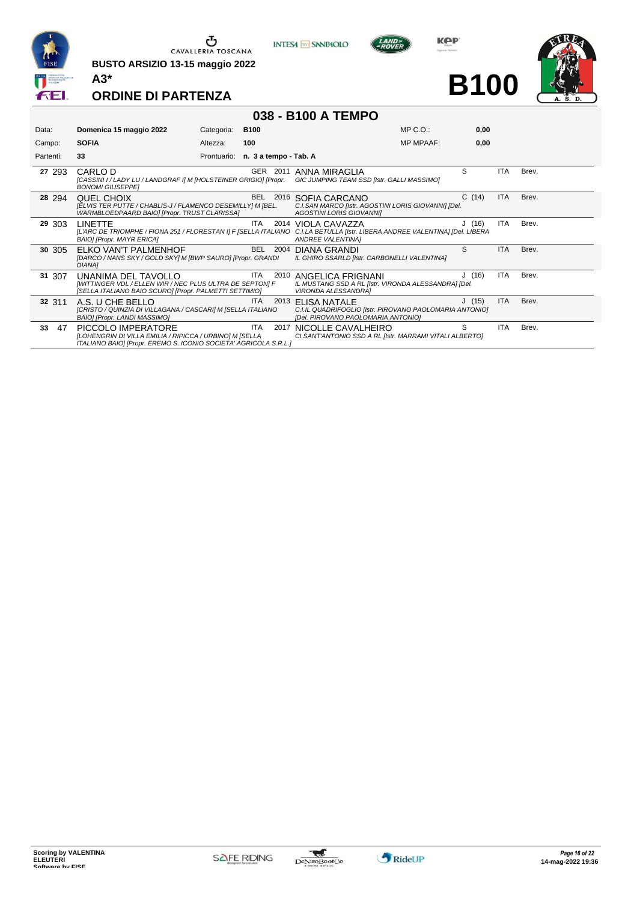

**BUSTO ARSIZIO 13-15 maggio 2022 A3\***



**KOP** 

**B100**



# **ORDINE DI PARTENZA**

|  |  | 038 - B100 A TEMPO |
|--|--|--------------------|
|--|--|--------------------|

| Data:     | Domenica 15 maggio 2022                                                                                                                           | Categoria:  | <b>B100</b>           | $MP C. O.$ :                                                                                                  | 0,00  |            |       |
|-----------|---------------------------------------------------------------------------------------------------------------------------------------------------|-------------|-----------------------|---------------------------------------------------------------------------------------------------------------|-------|------------|-------|
| Campo:    | <b>SOFIA</b>                                                                                                                                      | Altezza:    | 100                   | <b>MP MPAAF:</b>                                                                                              | 0,00  |            |       |
| Partenti: | 33                                                                                                                                                | Prontuario: | n. 3 a tempo - Tab. A |                                                                                                               |       |            |       |
| 27 293    | CARLO D<br>[CASSINI I / LADY LU / LANDGRAF I] M [HOLSTEINER GRIGIO] [Propr.<br><b>BONOMI GIUSEPPEI</b>                                            |             | GER<br>2011           | ANNA MIRAGLIA<br><b>GIC JUMPING TEAM SSD [Istr. GALLI MASSIMO]</b>                                            | S     | ITA        | Brev. |
| 28 294    | QUEL CHOIX<br>[ELVIS TER PUTTE / CHABLIS-J / FLAMENCO DESEMILLY] M [BEL.<br>WARMBLOEDPAARD BAIO] [Propr. TRUST CLARISSA]                          |             | BEL<br>2016           | SOFIA CARCANO<br>C.I.SAN MARCO [Istr. AGOSTINI LORIS GIOVANNI] [Del.<br><b>AGOSTINI LORIS GIOVANNII</b>       | C(14) | <b>ITA</b> | Brev. |
| 29 303    | <b>LINETTE</b><br>[L'ARC DE TRIOMPHE / FIONA 251 / FLORESTAN I] F [SELLA ITALIANO<br>BAIO] [Propr. MAYR ERICA]                                    |             | <b>ITA</b>            | 2014 VIOLA CAVAZZA<br>C.I.LA BETULLA [Istr. LIBERA ANDREE VALENTINA] [Del. LIBERA<br><b>ANDREE VALENTINA1</b> | J(16) | <b>ITA</b> | Brev. |
| 30 305    | ELKO VAN'T PALMENHOF<br>[DARCO / NANS SKY / GOLD SKY] M [BWP SAURO] [Propr. GRANDI<br><b>DIANA1</b>                                               |             | BEL<br>2004           | DIANA GRANDI<br>IL GHIRO SSARLD [Istr. CARBONELLI VALENTINA]                                                  | S     | <b>ITA</b> | Brev. |
| 31 307    | UNANIMA DEL TAVOLLO<br>[WITTINGER VDL / ELLEN WIR / NEC PLUS ULTRA DE SEPTON] F<br>[SELLA ITALIANO BAIO SCURO] [Propr. PALMETTI SETTIMIO]         |             | ITA<br>2010           | ANGELICA FRIGNANI<br>IL MUSTANG SSD A RL [Istr. VIRONDA ALESSANDRA] [Del.<br><b>VIRONDA ALESSANDRAI</b>       | J(16) | ITA        | Brev. |
| 32 311    | A.S. U CHE BELLO<br>[CRISTO / QUINZIA DI VILLAGANA / CASCARI] M [SELLA ITALIANO<br>BAIO] [Propr. LANDI MASSIMO]                                   |             | ITA.<br>2013          | ELISA NATALE<br>C.I.IL QUADRIFOGLIO [Istr. PIROVANO PAOLOMARIA ANTONIO]<br>[Del. PIROVANO PAOLOMARIA ANTONIO] | J(15) | <b>ITA</b> | Brev. |
| 33<br>47  | PICCOLO IMPERATORE<br>[LOHENGRIN DI VILLA EMILIA / RIPICCA / URBINO] M [SELLA<br>ITALIANO BAIO] [Propr. EREMO S. ICONIO SOCIETA' AGRICOLA S.R.L.] |             | <b>ITA</b><br>2017    | NICOLLE CAVALHEIRO<br>CI SANT'ANTONIO SSD A RL [Istr. MARRAMI VITALI ALBERTO]                                 | S     | <b>ITA</b> | Brev. |

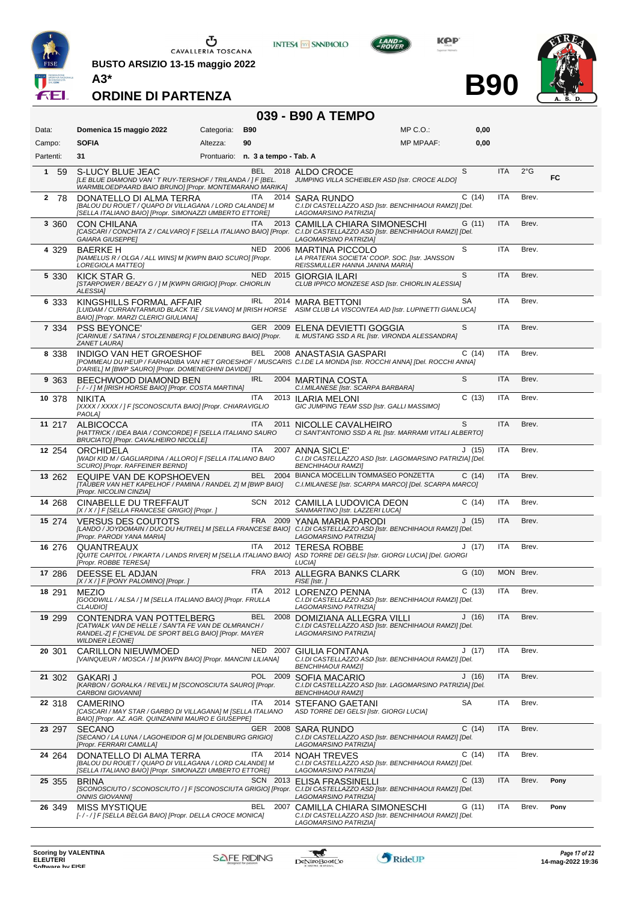

 $\begin{array}{c}\n\bullet \\
\bullet \\
\bullet \\
\bullet\n\end{array}$  CAVALLERIA TOSCANA

**BUSTO ARSIZIO 13-15 maggio 2022**



**KOP** 

**B90**



**ORDINE DI PARTENZA**

# **039 - B90 A TEMPO**

| Data:               | Domenica 15 maggio 2022                                                                                                                                            | Categoria: | <b>B90</b>                        | $MP C. O.$ :                                                                                                                                                                       | 0,00      |            |               |      |
|---------------------|--------------------------------------------------------------------------------------------------------------------------------------------------------------------|------------|-----------------------------------|------------------------------------------------------------------------------------------------------------------------------------------------------------------------------------|-----------|------------|---------------|------|
| Campo:              | <b>SOFIA</b>                                                                                                                                                       | Altezza:   | 90                                | <b>MP MPAAF:</b>                                                                                                                                                                   | 0,00      |            |               |      |
| Partenti:           | 31                                                                                                                                                                 |            | Prontuario: n. 3 a tempo - Tab. A |                                                                                                                                                                                    |           |            |               |      |
| $\mathbf{1}$<br>-59 | S-LUCY BLUE JEAC<br>[LE BLUE DIAMOND VAN 'T RUY-TERSHOF / TRILANDA / ] F [BEL.<br>WARMBLOEDPAARD BAIO BRUNO] [Propr. MONTEMARANO MARIKA]                           |            |                                   | BEL 2018 ALDO CROCE<br>JUMPING VILLA SCHEIBLER ASD [Istr. CROCE ALDO]                                                                                                              | S         | <b>ITA</b> | $2^{\circ}$ G | FC.  |
| 2 78                | DONATELLO DI ALMA TERRA<br>[BALOU DU ROUET / QUAPO DI VILLAGANA / LORD CALANDE] M<br>[SELLA ITALIANO BAIO] [Propr. SIMONAZZI UMBERTO ETTORE]                       |            | ITA                               | 2014 SARA RUNDO<br>C.I.DI CASTELLAZZO ASD [Istr. BENCHIHAOUI RAMZI] [Del.<br>LAGOMARSINO PATRIZIA]                                                                                 | C(14)     | <b>ITA</b> | Brev.         |      |
| 3 3 6 0             | <b>CON CHILANA</b><br><b>GAIARA GIUSEPPEI</b>                                                                                                                      |            | <b>ITA</b>                        | 2013 CAMILLA CHIARA SIMONESCHI<br>[CASCARI / CONCHITA Z / CALVARO] F [SELLA ITALIANO BAIO] [Propr. C.I.DI CASTELLAZZO ASD [Istr. BENCHIHAOUI RAMZI] [Del.<br>LAGOMARSINO PATRIZIA] | G(11)     | <b>ITA</b> | Brev.         |      |
| 4 329               | <b>BAERKE H</b><br>[NAMELUS R / OLGA / ALL WINS] M [KWPN BAIO SCURO] [Propr.<br>LOREGIOLA MATTEO]                                                                  |            |                                   | NED 2006 MARTINA PICCOLO<br>LA PRATERIA SOCIETA' COOP. SOC. [Istr. JANSSON<br>REISSMULLER HANNA JANINA MARIAJ                                                                      | S         | ITA        | Brev.         |      |
| 5 3 3 0             | KICK STAR G.<br>[STARPOWER / BEAZY G / ] M [KWPN GRIGIO] [Propr. CHIORLIN<br><b>ALESSIA1</b>                                                                       |            |                                   | NED 2015 GIORGIA ILARI<br>CLUB IPPICO MONZESE ASD [Istr. CHIORLIN ALESSIA]                                                                                                         | S         | <b>ITA</b> | Brev.         |      |
| 6 333               | KINGSHILLS FORMAL AFFAIR<br>BAIO] [Propr. MARZI CLERICI GIULIANA]                                                                                                  |            | IRL                               | 2014 MARA BETTONI<br>[LUIDAM / CURRANTARMUID BLACK TIE / SILVANO] M [IRISH HORSE ASIM CLUB LA VISCONTEA AID [Istr. LUPINETTI GIANLUCA]                                             | <b>SA</b> | ITA        | Brev.         |      |
| 7 3 3 4             | <b>PSS BEYONCE'</b><br>[CARINUE / SATINA / STOLZENBERG] F [OLDENBURG BAIO] [Propr.<br>ZANET LAURA]                                                                 |            |                                   | GER 2009 ELENA DEVIETTI GOGGIA<br>IL MUSTANG SSD A RL [Istr. VIRONDA ALESSANDRA]                                                                                                   | S         | <b>ITA</b> | Brev.         |      |
| 8 3 3 8             | INDIGO VAN HET GROESHOF<br>D'ARIEL] M [BWP SAURO] [Propr. DOMENEGHINI DAVIDE]                                                                                      |            |                                   | BEL 2008 ANASTASIA GASPARI<br>[POMMEAU DU HEUP / FARHADIBA VAN HET GROESHOF / MUSCARIS C.I.DE LA MONDA [Istr. ROCCHI ANNA] [Del. ROCCHI ANNA]                                      | C(14)     | ITA        | Brev.         |      |
| 9 3 6 3             | BEECHWOOD DIAMOND BEN<br>[-/-/] M [IRISH HORSE BAIO] [Propr. COSTA MARTINA]                                                                                        |            | <b>IRL</b>                        | 2004 MARTINA COSTA<br>C.I.MILANESE [Istr. SCARPA BARBARA]                                                                                                                          | S         | <b>ITA</b> | Brev.         |      |
| 10 378              | <b>NIKITA</b><br>[XXXX / XXXX / ] F [SCONOSCIUTA BAIO] [Propr. CHIARAVIGLIO<br>PAOLA]                                                                              |            | ITA.                              | 2013 ILARIA MELONI<br>GIC JUMPING TEAM SSD [Istr. GALLI MASSIMO]                                                                                                                   | C(13)     | ITA        | Brev.         |      |
| 11 217              | <b>ALBICOCCA</b><br>[HATTRICK / IDEA BAIA / CONCORDE] F [SELLA ITALIANO SAURO<br>BRUCIATO] [Propr. CAVALHEIRO NICOLLE]                                             |            | <b>ITA</b>                        | 2011 NICOLLE CAVALHEIRO<br>CI SANT'ANTONIO SSD A RL [Istr. MARRAMI VITALI ALBERTO]                                                                                                 | S         | <b>ITA</b> | Brev.         |      |
| 12 254              | <b>ORCHIDELA</b><br>[WADI KID M / GAGLIARDINA / ALLORO] F [SELLA ITALIANO BAIO<br>SCURO] [Propr. RAFFEINER BERND]                                                  |            | ITA                               | 2007 ANNA SICLE'<br>C.I.DI CASTELLAZZO ASD [Istr. LAGOMARSINO PATRIZIA] [Del.<br><b>BENCHIHAOUI RAMZI]</b>                                                                         | J(15)     | ITA        | Brev.         |      |
| 13 262              | EQUIPE VAN DE KOPSHOEVEN<br>[TAUBER VAN HET KAPELHOF / PAMINA / RANDEL Z] M [BWP BAIO]<br>[Propr. NICOLINI CINZIA]                                                 |            |                                   | BEL 2004 BIANCA MOCELLIN TOMMASEO PONZETTA<br>C.I.MILANESE [Istr. SCARPA MARCO] [Del. SCARPA MARCO]                                                                                | C(14)     | <b>ITA</b> | Brev.         |      |
| 14 268              | CINABELLE DU TREFFAUT<br>[X / X / ] F [SELLA FRANCESE GRIGIO] [Propr. ]                                                                                            |            |                                   | SCN 2012 CAMILLA LUDOVICA DEON<br>SANMARTINO [Istr. LAZZERI LUCA]                                                                                                                  | C(14)     | ITA        | Brev.         |      |
| 15 274              | <b>VERSUS DES COUTOTS</b><br>[Propr. PARODI YANA MARIA]                                                                                                            |            |                                   | FRA 2009 YANA MARIA PARODI<br>[LANDO / JOYDOMAIN / DUC DU HUTREL] M [SELLA FRANCESE BAIO] C.I.DI CASTELLAZZO ASD [Istr. BENCHIHAOUI RAMZI] [Del.<br>LAGOMARSINO PATRIZIA]          | J(15)     | <b>ITA</b> | Brev.         |      |
| 16 276              | QUANTREAUX<br>[Propr. ROBBE TERESA]                                                                                                                                |            | ITA.                              | 2012 TERESA ROBBE<br>[QUITE CAPITOL / PIKARTA / LANDS RIVER] M [SELLA ITALIANO BAIO] ASD TORRE DEI GELSI [Istr. GIORGI LUCIA] [Del. GIORGI<br><b>LUCIAI</b>                        | J(17)     | <b>ITA</b> | Brev.         |      |
| 17 286              | DEESSE EL ADJAN<br>[X / X / ] F [PONY PALOMINO] [Propr.]                                                                                                           |            |                                   | FRA 2013 ALLEGRA BANKS CLARK<br>FISE [Istr.]                                                                                                                                       | G(10)     |            | MON Brev.     |      |
| 18 291              | <b>MEZIO</b><br>[GOODWILL / ALSA / ] M [SELLA ITALIANO BAIO] [Propr. FRULLA<br>CLAUDIO]                                                                            |            | ITA                               | 2012 LORENZO PENNA<br>C.I.DI CASTELLAZZO ASD [Istr. BENCHIHAOUI RAMZI] [Del.<br>LAGOMARSINO PATRIZIAJ                                                                              | C(13)     | ITA        | Brev.         |      |
| 19 299              | CONTENDRA VAN POTTELBERG<br>[CATWALK VAN DE HELLE / SAN'TA FE VAN DE OLMRANCH /<br>RANDEL-Z] F [CHEVAL DE SPORT BELG BAIO] [Propr. MAYER<br><b>WILDNER LEONIEI</b> |            | BEL                               | 2008 DOMIZIANA ALLEGRA VILLI<br>C.I.DI CASTELLAZZO ASD [Istr. BENCHIHAOUI RAMZI] [Del.<br>LAGOMARSINO PATRIZIA]                                                                    | J(16)     | <b>ITA</b> | Brev.         |      |
| 20 301              | <b>CARILLON NIEUWMOED</b><br>[VAINQUEUR / MOSCA / ] M [KWPN BAIO] [Propr. MANCINI LILIANA]                                                                         |            | NED 2007                          | GIULIA FONTANA<br>C.I.DI CASTELLAZZO ASD [Istr. BENCHIHAOUI RAMZI] [Del.<br><b>BENCHIHAOUI RAMZII</b>                                                                              | J (17)    | ITA        | Brev.         |      |
| 21 302              | GAKARI J<br>[KARBON / GORALKA / REVEL] M [SCONOSCIUTA SAURO] [Propr.<br>CARBONI GIOVANNI]                                                                          |            |                                   | POL 2009 SOFIA MACARIO<br>C.I.DI CASTELLAZZO ASD [Istr. LAGOMARSINO PATRIZIA] [Del.<br>BENCHIHAOUI RAMZI]                                                                          | J(16)     | <b>ITA</b> | Brev.         |      |
| 22 318              | <b>CAMERINO</b><br>[CASCARI / MAY STAR / GARBO DI VILLAGANA] M [SELLA ITALIANO<br>BAIO] [Propr. AZ. AGR. QUINZANINI MAURO E GIUSEPPE]                              |            | ITA.                              | 2014 STEFANO GAETANI<br>ASD TORRE DEI GELSI [Istr. GIORGI LUCIA]                                                                                                                   | SA        | ITA        | Brev.         |      |
| 23 297              | <b>SECANO</b><br>[SECANO / LA LUNA / LAGOHEIDOR G] M [OLDENBURG GRIGIO]<br>[Propr. FERRARI CAMILLA]                                                                |            |                                   | GER 2008 SARA RUNDO<br>C.I.DI CASTELLAZZO ASD [Istr. BENCHIHAOUI RAMZI] [Del.<br>LAGOMARSINO PATRIZIA]                                                                             | C(14)     | ITA        | Brev.         |      |
| 24 264              | DONATELLO DI ALMA TERRA<br>[BALOU DU ROUET / QUAPO DI VILLAGANA / LORD CALANDE] M<br>[SELLA ITALIANO BAIO] [Propr. SIMONAZZI UMBERTO ETTORE]                       |            | ITA                               | 2014 NOAH TREVES<br>C.I.DI CASTELLAZZO ASD [Istr. BENCHIHAOUI RAMZI] [Del.<br>LAGOMARSINO PATRIZIA]                                                                                | C(14)     | ITA        | Brev.         |      |
| 25 355              | <b>BRINA</b><br><b>ONNIS GIOVANNI]</b>                                                                                                                             |            |                                   | SCN 2013 ELISA FRASSINELLI<br>[SCONOSCIUTO / SCONOSCIUTO / ] F [SCONOSCIUTA GRIGIO] [Propr. C.I.DI CASTELLAZZO ASD [Istr. BENCHIHAOUI RAMZI] [Del.<br>LAGOMARSINO PATRIZIA]        | C(13)     | ITA        | Brev.         | Pony |
| 26 349              | <b>MISS MYSTIQUE</b><br>[-/-/] F [SELLA BELGA BAIO] [Propr. DELLA CROCE MONICA]                                                                                    |            | BEL                               | 2007 CAMILLA CHIARA SIMONESCHI<br>C.I.DI CASTELLAZZO ASD [Istr. BENCHIHAOUI RAMZI] [Del.<br>LAGOMARSINO PATRIZIA]                                                                  | G(11)     | ITA        | Brev.         | Pony |

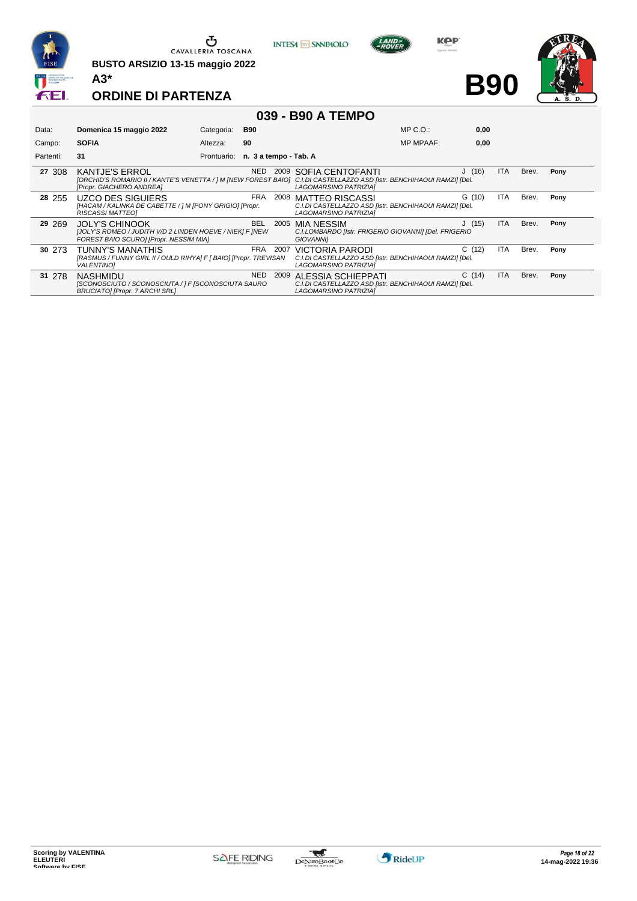

**BUSTO ARSIZIO 13-15 maggio 2022 A3\***



**KOP** 

**B90**



|           |                                                                                                                                                                            |                                   |            |      | 039 - B90 A TEMPO                                                                                                |                  |       |            |       |      |
|-----------|----------------------------------------------------------------------------------------------------------------------------------------------------------------------------|-----------------------------------|------------|------|------------------------------------------------------------------------------------------------------------------|------------------|-------|------------|-------|------|
| Data:     | Domenica 15 maggio 2022                                                                                                                                                    | Categoria:                        | <b>B90</b> |      |                                                                                                                  | $MP C. O.$ :     | 0.00  |            |       |      |
| Campo:    | <b>SOFIA</b>                                                                                                                                                               | Altezza:                          | 90         |      |                                                                                                                  | <b>MP MPAAF:</b> | 0,00  |            |       |      |
| Partenti: | 31                                                                                                                                                                         | Prontuario: n. 3 a tempo - Tab. A |            |      |                                                                                                                  |                  |       |            |       |      |
| 27 308    | <b>KANTJE'S ERROL</b><br>[ORCHID'S ROMARIO II / KANTE'S VENETTA / ] M [NEW FOREST BAIO] C.I.DI CASTELLAZZO ASD [Istr. BENCHIHAOUI RAMZI] [Del.<br>[Propr. GIACHERO ANDREA] |                                   | NED        |      | 2009 SOFIA CENTOFANTI<br><b>LAGOMARSINO PATRIZIAI</b>                                                            |                  | J(16) | <b>ITA</b> | Brev. | Pony |
| 28 255    | UZCO DES SIGUIERS<br>[HACAM / KALINKA DE CABETTE / ] M [PONY GRIGIO] [Propr.<br>RISCASSI MATTEOI                                                                           |                                   | FRA        | 2008 | <b>MATTEO RISCASSI</b><br>C.I.DI CASTELLAZZO ASD [Istr. BENCHIHAOUI RAMZI] [Del.<br><b>LAGOMARSINO PATRIZIAI</b> |                  | G(10) | <b>ITA</b> | Brev. | Pony |
| 29 269    | <b>JOLY'S CHINOOK</b><br>[JOLY'S ROMEO / JUDITH V/D 2 LINDEN HOEVE / NIEK] F [NEW<br>FOREST BAIO SCUROI [Propr. NESSIM MIA]                                                |                                   | BEL        | 2005 | <b>MIA NESSIM</b><br>C.I.LOMBARDO [Istr. FRIGERIO GIOVANNI] [Del. FRIGERIO<br><b>GIOVANNII</b>                   |                  | J(15) | <b>ITA</b> | Brev. | Pony |
| 30 273    | THINNY'S MANATHIS                                                                                                                                                          |                                   | FRA        |      | 2007 VICTORIA PARODI                                                                                             |                  | C(12) | <b>ITA</b> | Brev. | Pony |

| 30 273 | TUNNY'S MANATHIS                                                 | FRA. | 2007 VICTORIA PARODI                                   | C(12) | ITA        | Brev. | Pony |
|--------|------------------------------------------------------------------|------|--------------------------------------------------------|-------|------------|-------|------|
|        | [RASMUS / FUNNY GIRL II / OULD RIHYA] F [ BAIO] [Propr. TREVISAN |      | C.I.DI CASTELLAZZO ASD [Istr. BENCHIHAOUI RAMZI] [Del. |       |            |       |      |
|        | <b>VALENTINO1</b>                                                |      | LAGOMARSINO PATRIZIA]                                  |       |            |       |      |
|        |                                                                  |      |                                                        |       |            |       |      |
| 31 278 | NASHMIDU                                                         | NED. | 2009 ALESSIA SCHIEPPATI                                | C(14) | <b>ITA</b> | Brev. | Pony |
|        | [SCONOSCIUTO / SCONOSCIUTA / ] F [SCONOSCIUTA SAURO              |      | C.I.DI CASTELLAZZO ASD [Istr. BENCHIHAOUI RAMZI] [Del. |       |            |       |      |

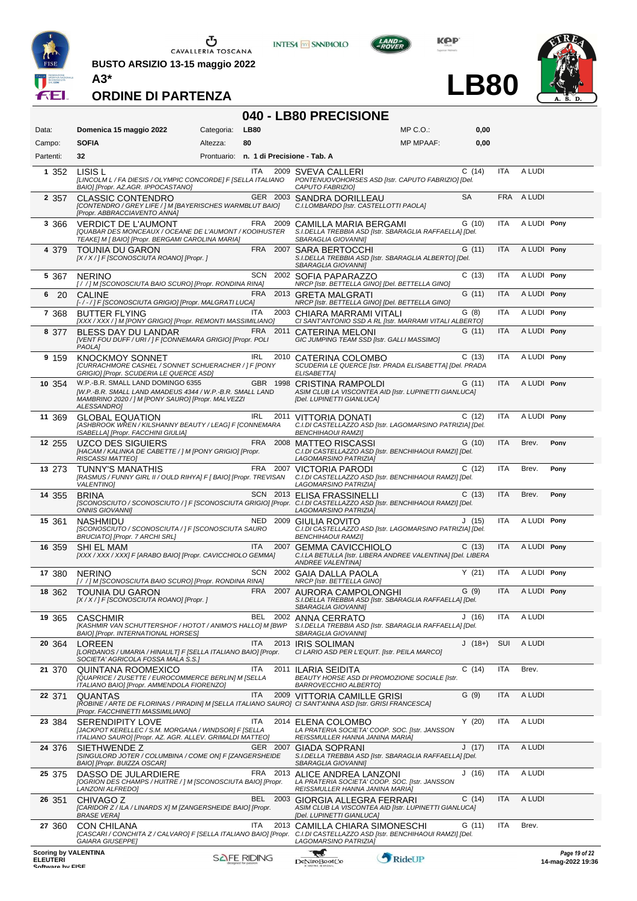

**BUSTO ARSIZIO 13-15 maggio 2022 A3\***



**KOP** 

**LB80**



**ORDINE DI PARTENZA**

# **040 - LB80 PRECISIONE**

| Data:                                                              | Domenica 15 maggio 2022                                                                                                                                            | Categoria: | LB80               |          | MP C.O.:                                                                                                                                                                           | 0,00      |            |             |                                    |
|--------------------------------------------------------------------|--------------------------------------------------------------------------------------------------------------------------------------------------------------------|------------|--------------------|----------|------------------------------------------------------------------------------------------------------------------------------------------------------------------------------------|-----------|------------|-------------|------------------------------------|
| Campo:                                                             | <b>SOFIA</b>                                                                                                                                                       | Altezza:   | 80                 |          | <b>MP MPAAF:</b>                                                                                                                                                                   | 0,00      |            |             |                                    |
| Partenti:                                                          | 32                                                                                                                                                                 |            |                    |          | Prontuario: n. 1 di Precisione - Tab. A                                                                                                                                            |           |            |             |                                    |
| 1 352                                                              | LISIS L<br>[LINCOLM L / FA DIESIS / OLYMPIC CONCORDE] F [SELLA ITALIANO<br>BAIO] [Propr. AZ.AGR. IPPOCASTANO]                                                      |            | ITA.               |          | 2009 SVEVA CALLERI<br>PONTENUOVOHORSES ASD [Istr. CAPUTO FABRIZIO] [Del.<br>CAPUTO FABRIZIO]                                                                                       | C(14)     | ITA        | A LUDI      |                                    |
| 2 3 5 7                                                            | <b>CLASSIC CONTENDRO</b><br>[CONTENDRO / GREY LIFE / ] M [BAYERISCHES WARMBLUT BAIO]<br>[Propr. ABBRACCIAVENTO ANNA]                                               |            |                    |          | GER 2003 SANDRA DORILLEAU<br>C.I.LOMBARDO [Istr. CASTELLOTTI PAOLA]                                                                                                                | <b>SA</b> | <b>FRA</b> | A LUDI      |                                    |
| 3 3 6 6                                                            | <b>VERDICT DE L'AUMONT</b><br>[QUABAR DES MONCEAUX / OCEANE DE L'AUMONT / KOOIHUSTER<br>TEAKE] M [ BAIO] [Propr. BERGAMI CAROLINA MARIA]                           |            |                    |          | FRA 2009 CAMILLA MARIA BERGAMI<br>S.I.DELLA TREBBIA ASD [Istr. SBARAGLIA RAFFAELLA] [Del.<br>SBARAGLIA GIOVANNI]                                                                   | G(10)     | <b>ITA</b> | A LUDI Pony |                                    |
| 4 379                                                              | <b>TOUNIA DU GARON</b><br>[X / X / ] F [SCONOSCIUTA ROANO] [Propr. ]                                                                                               |            |                    | FRA 2007 | <b>SARA BERTOCCHI</b><br>S.I.DELLA TREBBIA ASD [Istr. SBARAGLIA ALBERTO] [Del.<br>SBARAGLIA GIOVANNI]                                                                              | G(11)     | <b>ITA</b> | A LUDI Pony |                                    |
| 5 3 6 7                                                            | <b>NERINO</b><br>[//] M [SCONOSCIUTA BAIO SCURO] [Propr. RONDINA RINA]                                                                                             |            | <b>SCN</b>         |          | 2002 SOFIA PAPARAZZO<br>NRCP [Istr. BETTELLA GINO] [Del. BETTELLA GINO]                                                                                                            | C(13)     | ITA        | A LUDI Pony |                                    |
| 6<br>- 20                                                          | <b>CALINE</b><br>[-/-/] F [SCONOSCIUTA GRIGIO] [Propr. MALGRATI LUCA]                                                                                              |            |                    |          | FRA 2013 GRETA MALGRATI<br>NRCP [Istr. BETTELLA GINO] [Del. BETTELLA GINO]                                                                                                         | G(11)     | <b>ITA</b> | A LUDI Pony |                                    |
| 7 3 6 8                                                            | <b>BUTTER FLYING</b><br>[XXX / XXX / ] M [PONY GRIGIO] [Propr. REMONTI MASSIMILIANO]                                                                               |            | <b>ITA</b>         |          | 2003 CHIARA MARRAMI VITALI<br>CI SANT'ANTONIO SSD A RL [Istr. MARRAMI VITALI ALBERTO]                                                                                              | G(8)      | <b>ITA</b> | A LUDI Pony |                                    |
| 8 377                                                              | BLESS DAY DU LANDAR<br>[VENT FOU DUFF / URI / ] F [CONNEMARA GRIGIO] [Propr. POLI<br>PAOLA]                                                                        |            | FRA                | 2011     | CATERINA MELONI<br>GIC JUMPING TEAM SSD [Istr. GALLI MASSIMO]                                                                                                                      | G (11)    | <b>ITA</b> | A LUDI Pony |                                    |
| 9 159                                                              | <b>KNOCKMOY SONNET</b><br>[CURRACHMORE CASHEL / SONNET SCHUERACHER / ] F [PONY<br>GRIGIO] [Propr. SCUDERIA LE QUERCE ASD]                                          |            | IRL                |          | 2010 CATERINA COLOMBO<br>SCUDERIA LE QUERCE [Istr. PRADA ELISABETTA] [Del. PRADA<br>ELISABETTA]                                                                                    | C(13)     | ITA        | A LUDI Pony |                                    |
| 10 354                                                             | W.P.-B.R. SMALL LAND DOMINGO 6355<br>[W.P.-B.R. SMALL LAND AMADEUS 4344 / W.P.-B.R. SMALL LAND<br>MAMBRINO 2020 / 1 M [PONY SAURO] [Propr. MALVEZZI<br>ALESSANDRO] |            |                    |          | GBR 1998 CRISTINA RAMPOLDI<br>ASIM CLUB LA VISCONTEA AID [Istr. LUPINETTI GIANLUCA]<br>[Del. LUPINETTI GIANLUCA]                                                                   | G(11)     | <b>ITA</b> | A LUDI Pony |                                    |
| 11 369                                                             | <b>GLOBAL EQUATION</b><br>[ASHBROOK WREN / KILSHANNY BEAUTY / LEAG] F [CONNEMARA<br>ISABELLA] [Propr. FACCHINI GIULIA]                                             |            | IRL                |          | 2011 VITTORIA DONATI<br>C.I.DI CASTELLAZZO ASD [Istr. LAGOMARSINO PATRIZIA] [Del.<br><b>BENCHIHAOUI RAMZI]</b>                                                                     | C(12)     | ITA        | A LUDI Pony |                                    |
| 12 255                                                             | <b>UZCO DES SIGUIERS</b><br>[HACAM / KALINKA DE CABETTE / ] M [PONY GRIGIO] [Propr.<br><b>RISCASSI MATTEO]</b>                                                     |            |                    | FRA 2008 | <b>MATTEO RISCASSI</b><br>C.I.DI CASTELLAZZO ASD [Istr. BENCHIHAOUI RAMZI] [Del.<br>LAGOMARSINO PATRIZIA]                                                                          | G(10)     | <b>ITA</b> | Brev.       | Pony                               |
| 13 273                                                             | <b>TUNNY'S MANATHIS</b><br>[RASMUS / FUNNY GIRL II / OULD RIHYA] F [ BAIO] [Propr. TREVISAN<br><b>VALENTINO]</b>                                                   |            |                    |          | FRA 2007 VICTORIA PARODI<br>C.I.DI CASTELLAZZO ASD [Istr. BENCHIHAOUI RAMZI] [Del.<br>LAGOMARSINO PATRIZIAI                                                                        | C(12)     | <b>ITA</b> | Brev.       | Pony                               |
| 14 355                                                             | <b>BRINA</b><br><b>ONNIS GIOVANNII</b>                                                                                                                             |            |                    |          | SCN 2013 ELISA FRASSINELLI<br>[SCONOSCIUTO / SCONOSCIUTO / ] F [SCONOSCIUTA GRIGIO] [Propr. C.I.DI CASTELLAZZO ASD [Istr. BENCHIHAOUI RAMZI] [Del.<br>LAGOMARSINO PATRIZIA]        | C(13)     | <b>ITA</b> | Brev.       | Pony                               |
| 15 361                                                             | <b>NASHMIDU</b><br>[SCONOSCIUTO / SCONOSCIUTA / ] F [SCONOSCIUTA SAURO<br>BRUCIATO] [Propr. 7 ARCHI SRL]                                                           |            |                    |          | NED 2009 GIULIA ROVITO<br>C.I.DI CASTELLAZZO ASD [Istr. LAGOMARSINO PATRIZIA] [Del.<br><b>BENCHIHAOUI RAMZI]</b>                                                                   | J(15)     | ITA        | A LUDI Pony |                                    |
| 16 359                                                             | <b>SHI EL MAM</b><br>[XXX / XXX / XXX] F [ARABO BAIO] [Propr. CAVICCHIOLO GEMMA]                                                                                   |            | <b>ITA</b>         |          | 2007 GEMMA CAVICCHIOLO<br>C.I.LA BETULLA [Istr. LIBERA ANDREE VALENTINA] [Del. LIBERA<br><b>ANDREE VALENTINA1</b>                                                                  | C(13)     | <b>ITA</b> | A LUDI Pony |                                    |
| 17 380                                                             | <b>NERINO</b><br>[//] M [SCONOSCIUTA BAIO SCURO] [Propr. RONDINA RINA]                                                                                             |            |                    |          | SCN 2002 GAIA DALLA PAOLA<br>NRCP [Istr. BETTELLA GINO]                                                                                                                            | Y(21)     | ITA        | A LUDI Pony |                                    |
| 18 362                                                             | <b>TOUNIA DU GARON</b><br>[X / X / ] F [SCONOSCIUTA ROANO] [Propr. ]                                                                                               |            | <b>FRA</b>         |          | 2007 AURORA CAMPOLONGHI<br>S.I.DELLA TREBBIA ASD [Istr. SBARAGLIA RAFFAELLA] [Del.<br>SBARAGLIA GIOVANNI]                                                                          | G (9)     | <b>ITA</b> | A LUDI Ponv |                                    |
| 19 365                                                             | <b>CASCHMIR</b><br>[KASHMIR VAN SCHUTTERSHOF / HOTOT / ANIMO'S HALLO] M [BWP<br>BAIO] [Propr. INTERNATIONAL HORSES]                                                |            | BEL                |          | 2002 ANNA CERRATO<br>S.I.DELLA TREBBIA ASD [Istr. SBARAGLIA RAFFAELLA] [Del.<br>SBARAGLIA GIOVANNII                                                                                | J (16)    | ITA        | A LUDI      |                                    |
| 20 364                                                             | LOREEN<br>[LORDANOS / UMARIA / HINAULT] F [SELLA ITALIANO BAIO] [Propr.<br>SOCIETA' AGRICOLA FOSSA MALA S.S.1                                                      |            | ITA.               |          | 2013 IRIS SOLIMAN<br>CI LARIO ASD PER L'EQUIT. [Istr. PEILA MARCO]                                                                                                                 | $J(18+)$  | SUI        | A LUDI      |                                    |
| 21 370                                                             | QUINTANA ROOMEXICO<br>[QUAPRICE / ZUSETTE / EUROCOMMERCE BERLIN] M [SELLA<br>ITALIANO BAIO] [Propr. AMMENDOLA FIORENZO]                                            |            | ITA.               | 2011     | ILARIA SEIDITA<br>BEAUTY HORSE ASD DI PROMOZIONE SOCIALE [Istr.<br>BARROVECCHIO ALBERTOJ                                                                                           | C(14)     | ITA        | Brev.       |                                    |
| 22 371                                                             | <b>QUANTAS</b><br>[Propr. FACCHINETTI MASSIMILIANO]                                                                                                                |            | <b>ITA</b>         |          | 2009 VITTORIA CAMILLE GRISI<br>[ROBINE / ARTE DE FLORINAS / PIRADIN] M [SELLA ITALIANO SAURO] CI SANT'ANNA ASD [Istr. GRISI FRANCESCA]                                             | G (9)     | <b>ITA</b> | A LUDI      |                                    |
| 23 384                                                             | <b>SERENDIPITY LOVE</b><br>[JACKPOT KERELLEC / S.M. MORGANA / WINDSOR] F [SELLA<br>ITALIANO SAURO] [Propr. AZ. AGR. ALLEV. GRIMALDI MATTEO]                        |            | <b>ITA</b>         | 2014     | ELENA COLOMBO<br>LA PRATERIA SOCIETA' COOP. SOC. [Istr. JANSSON<br>REISSMULLER HANNA JANINA MARIA]                                                                                 | Y(20)     | ITA        | A LUDI      |                                    |
| 24 376                                                             | SIETHWENDE Z<br>[SINGULORD JOTER / COLUMBINA / COME ON] F [ZANGERSHEIDE<br>BAIO] [Propr. BUIZZA OSCAR]                                                             |            |                    | GER 2007 | GIADA SOPRANI<br>S.I.DELLA TREBBIA ASD [Istr. SBARAGLIA RAFFAELLA] [Del.<br>SBARAGLIA GIOVANNI]                                                                                    | J(17)     | <b>ITA</b> | A LUDI      |                                    |
| 25 375                                                             | DASSO DE JULARDIERE<br>[OGRION DES CHAMPS / HUITRE / ] M [SCONOSCIUTA BAIO] [Propr.<br>LANZONI ALFREDOJ                                                            |            |                    | FRA 2013 | ALICE ANDREA LANZONI<br>LA PRATERIA SOCIETA' COOP. SOC. [Istr. JANSSON<br>REISSMULLER HANNA JANINA MARIA]                                                                          | J(16)     | ITA        | A LUDI      |                                    |
| 26 351                                                             | CHIVAGO Z<br>[CARIDOR Z / ILA / LINARDS X] M [ZANGERSHEIDE BAIO] [Propr.<br><b>BRASE VERA]</b>                                                                     |            | BEL                | 2003     | GIORGIA ALLEGRA FERRARI<br>ASIM CLUB LA VISCONTEA AID [Istr. LUPINETTI GIANLUCA]<br>[Del. LUPINETTI GIANLUCA]                                                                      | C(14)     | <b>ITA</b> | A LUDI      |                                    |
| 27 360                                                             | <b>CON CHILANA</b><br><b>GAIARA GIUSEPPE]</b>                                                                                                                      |            | <b>ITA</b>         |          | 2013 CAMILLA CHIARA SIMONESCHI<br>[CASCARI / CONCHITA Z / CALVARO] F [SELLA ITALIANO BAIO] [Propr. C.I.DI CASTELLAZZO ASD [Istr. BENCHIHAOUI RAMZI] [Del.<br>LAGOMARSINO PATRIZIA] | G (11)    | ITA        | Brev.       |                                    |
| <b>Scoring by VALENTINA</b><br><b>ELEUTERI</b><br>Coffware by EICE |                                                                                                                                                                    |            | <b>SAFE RIDING</b> |          | RideUP<br><b>DeNiroBootCo</b>                                                                                                                                                      |           |            |             | Page 19 of 22<br>14-mag-2022 19:36 |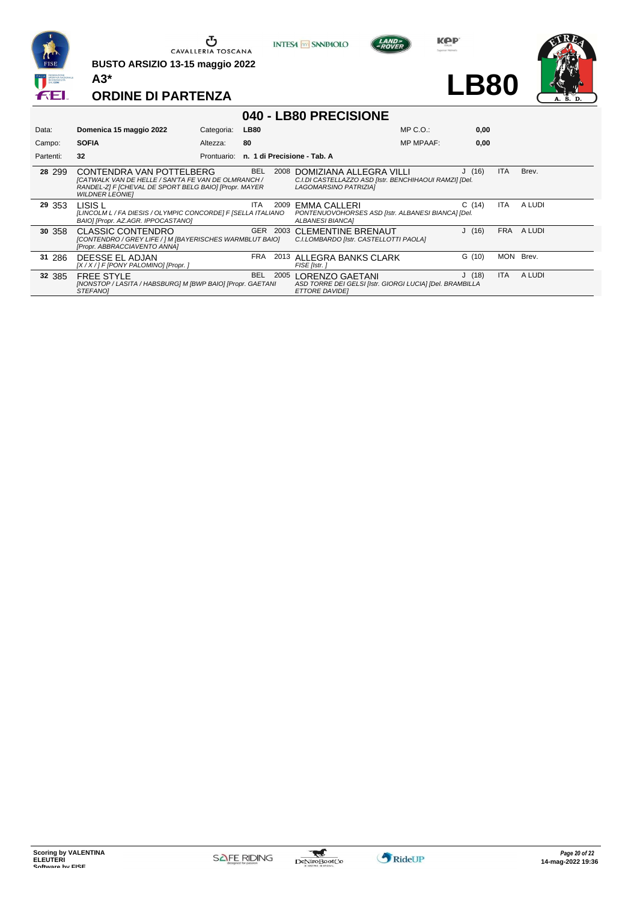

**BUSTO ARSIZIO 13-15 maggio 2022 A3\***



**Kep** 

**LB80**



|           |                                                                                                                                                                    |            |             |      | 040 - LB80 PRECISIONE                                                                                      |                  |        |            |        |
|-----------|--------------------------------------------------------------------------------------------------------------------------------------------------------------------|------------|-------------|------|------------------------------------------------------------------------------------------------------------|------------------|--------|------------|--------|
| Data:     | Domenica 15 maggio 2022                                                                                                                                            | Categoria: | <b>LB80</b> |      |                                                                                                            | MP C. O.         | 0,00   |            |        |
| Campo:    | <b>SOFIA</b>                                                                                                                                                       | Altezza:   | 80          |      |                                                                                                            | <b>MP MPAAF:</b> | 0.00   |            |        |
| Partenti: | 32                                                                                                                                                                 |            |             |      | Prontuario: n. 1 di Precisione - Tab. A                                                                    |                  |        |            |        |
| 28 299    | CONTENDRA VAN POTTELBERG<br>[CATWALK VAN DE HELLE / SAN'TA FE VAN DE OLMRANCH /<br>RANDEL-ZI F [CHEVAL DE SPORT BELG BAIO] [Propr. MAYER<br><b>WILDNER LEONIEI</b> |            | <b>BEL</b>  | 2008 | DOMIZIANA ALLEGRA VILLI<br>C.I.DI CASTELLAZZO ASD [Istr. BENCHIHAOUI RAMZI] [Del.<br>LAGOMARSINO PATRIZIA] |                  | J(16)  | ITA.       | Brev.  |
| 29 353    | LISIS L<br>[LINCOLM L / FA DIESIS / OLYMPIC CONCORDE] F [SELLA ITALIANO]<br>BAIO] [Propr. AZ.AGR. IPPOCASTANO]                                                     |            | ITA         |      | 2009 EMMA CALLERI<br>PONTENUOVOHORSES ASD [Istr. ALBANESI BIANCA] [Del.<br>ALBANESI BIANCA]                |                  | C(14)  | ITA        | A LUDI |
| 30 358    | <b>CLASSIC CONTENDRO</b><br>[CONTENDRO / GREY LIFE / ] M [BAYERISCHES WARMBLUT BAIO]<br>[Propr. ABBRACCIAVENTO ANNA]                                               |            |             |      | GER 2003 CLEMENTINE BRENAUT<br>C.I.LOMBARDO [Istr. CASTELLOTTI PAOLA]                                      |                  | J(16)  | <b>FRA</b> | A LUDI |
| 31 286    | DEESSE EL ADJAN<br>[X / X / ] F [PONY PALOMINO] [Propr. ]                                                                                                          |            | <b>FRA</b>  |      | 2013 ALLEGRA BANKS CLARK<br>FISE [Istr.]                                                                   |                  | G (10) | MON.       | Brev.  |
| 32 385    | <b>FREE STYLE</b><br>[NONSTOP / LASITA / HABSBURG] M [BWP BAIO] [Propr. GAETANI<br>STEFANOI                                                                        |            | <b>BEL</b>  |      | 2005 LORENZO GAETANI<br>ASD TORRE DEI GELSI [Istr. GIORGI LUCIA] [Del. BRAMBILLA<br><b>ETTORE DAVIDEI</b>  |                  | J(18)  | <b>ITA</b> | A LUDI |



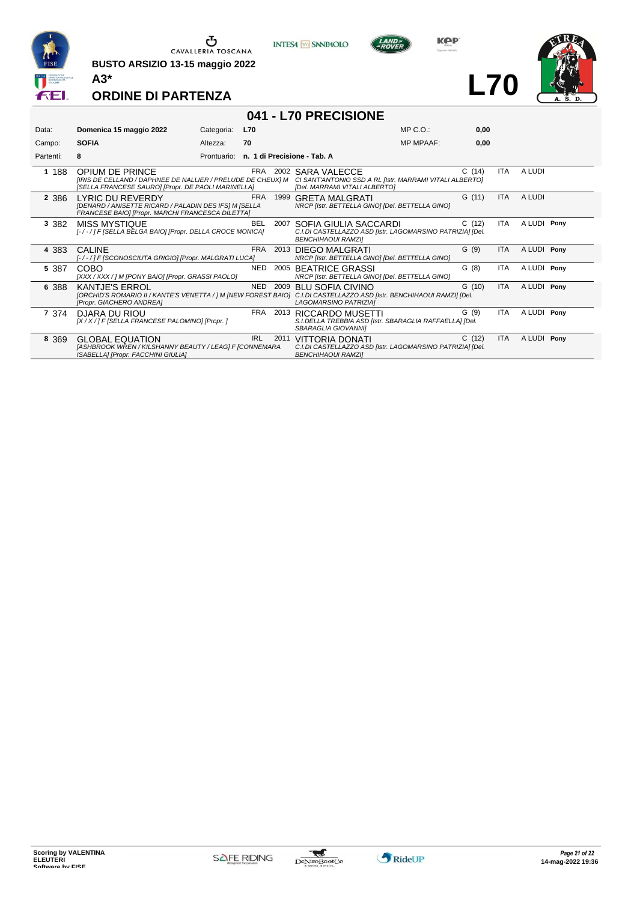

**BUSTO ARSIZIO 13-15 maggio 2022 A3\***



**KOP** 

**L70**



**ORDINE DI PARTENZA**

# **041 - L70 PRECISIONE**

| Data:     | Domenica 15 maggio 2022                                                                                                                                                    | Categoria:  | <b>L70</b> |      |                                                                                                                 | $MP C. O.$ :     | 0,00   |            |             |  |
|-----------|----------------------------------------------------------------------------------------------------------------------------------------------------------------------------|-------------|------------|------|-----------------------------------------------------------------------------------------------------------------|------------------|--------|------------|-------------|--|
| Campo:    | <b>SOFIA</b>                                                                                                                                                               | Altezza:    | 70         |      |                                                                                                                 | <b>MP MPAAF:</b> | 0,00   |            |             |  |
| Partenti: | 8                                                                                                                                                                          | Prontuario: |            |      | n. 1 di Precisione - Tab. A                                                                                     |                  |        |            |             |  |
| 1 188     | <b>OPIUM DE PRINCE</b><br><b>IIRIS DE CELLAND / DAPHNEE DE NALLIER / PRELUDE DE CHEUXI M</b><br>[SELLA FRANCESE SAURO] [Propr. DE PAOLI MARINELLA]                         |             | FRA        | 2002 | SARA VALECCE<br>CI SANT'ANTONIO SSD A RL [Istr. MARRAMI VITALI ALBERTO]<br>[Del. MARRAMI VITALI ALBERTO]        |                  | C(14)  | ITA        | A LUDI      |  |
| 2 3 8 6   | LYRIC DU REVERDY<br>[DENARD / ANISETTE RICARD / PALADIN DES IFS] M [SELLA<br>FRANCESE BAIO] [Propr. MARCHI FRANCESCA DILETTA]                                              |             | <b>FRA</b> | 1999 | GRETA MALGRATI<br>NRCP [Istr. BETTELLA GINO] [Del. BETTELLA GINO]                                               |                  | G(11)  | <b>ITA</b> | A LUDI      |  |
| 3 3 8 2   | <b>MISS MYSTIQUE</b><br>[-/-/] F [SELLA BELGA BAIO] [Propr. DELLA CROCE MONICA]                                                                                            |             | <b>BEL</b> | 2007 | SOFIA GIULIA SACCARDI<br>C.I.DI CASTELLAZZO ASD [Istr. LAGOMARSINO PATRIZIA] [Del.<br><b>BENCHIHAOUI RAMZII</b> |                  | C(12)  | ITA        | A LUDI Pony |  |
| 4 383     | <b>CALINE</b><br>[-/-/] F [SCONOSCIUTA GRIGIO] [Propr. MALGRATI LUCA]                                                                                                      |             | FRA        |      | 2013 DIEGO MALGRATI<br>NRCP [Istr. BETTELLA GINO] [Del. BETTELLA GINO]                                          |                  | G(9)   | <b>ITA</b> | A LUDI Pony |  |
| 5 387     | COBO<br>[XXX / XXX / ] M [PONY BAIO] [Propr. GRASSI PAOLO]                                                                                                                 |             | NED.       | 2005 | <b>BEATRICE GRASSI</b><br>NRCP [Istr. BETTELLA GINO] [Del. BETTELLA GINO]                                       |                  | G(8)   | ITA.       | A LUDI Pony |  |
| 6 388     | <b>KANTJE'S ERROL</b><br>[ORCHID'S ROMARIO II / KANTE'S VENETTA / ] M [NEW FOREST BAIO] C.I.DI CASTELLAZZO ASD [Istr. BENCHIHAOUI RAMZI] [Del.<br>[Propr. GIACHERO ANDREA] |             | NED        | 2009 | <b>BLU SOFIA CIVINO</b><br>LAGOMARSINO PATRIZIA]                                                                |                  | G (10) | <b>ITA</b> | A LUDI Pony |  |
| 7 374     | DJARA DU RIOU<br>[X / X / ] F [SELLA FRANCESE PALOMINO] [Propr. ]                                                                                                          |             | FRA        |      | 2013 RICCARDO MUSETTI<br>S.I.DELLA TREBBIA ASD [Istr. SBARAGLIA RAFFAELLA] [Del.<br>SBARAGLIA GIOVANNII         |                  | G (9)  | <b>ITA</b> | A LUDI Pony |  |
| 8 3 6 9   | <b>GLOBAL EQUATION</b><br>[ASHBROOK WREN / KILSHANNY BEAUTY / LEAG] F [CONNEMARA<br>ISABELLA] [Propr. FACCHINI GIULIA]                                                     |             | <b>IRL</b> | 2011 | VITTORIA DONATI<br>C.I.DI CASTELLAZZO ASD [Istr. LAGOMARSINO PATRIZIA] [Del.<br><b>BENCHIHAOUI RAMZII</b>       |                  | C(12)  | <b>ITA</b> | A LUDI Pony |  |